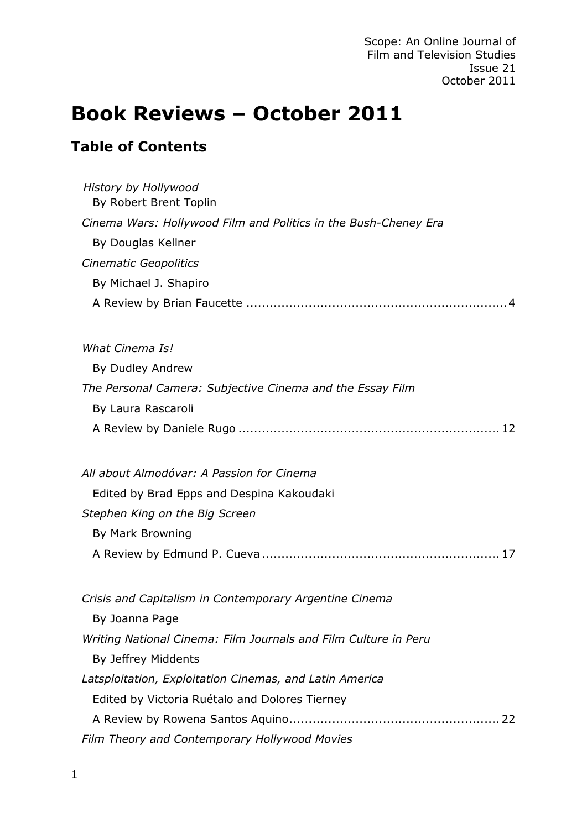# **Book Reviews – October 2011**

# **Table of Contents**

| History by Hollywood<br>By Robert Brent Toplin                  |
|-----------------------------------------------------------------|
| Cinema Wars: Hollywood Film and Politics in the Bush-Cheney Era |
| By Douglas Kellner                                              |
| <b>Cinematic Geopolitics</b>                                    |
| By Michael J. Shapiro                                           |
|                                                                 |
| <b>What Cinema Is!</b>                                          |
| By Dudley Andrew                                                |
| The Personal Camera: Subjective Cinema and the Essay Film       |
| By Laura Rascaroli                                              |
|                                                                 |
| All about Almodóvar: A Passion for Cinema                       |
| Edited by Brad Epps and Despina Kakoudaki                       |
| Stephen King on the Big Screen                                  |
| By Mark Browning                                                |
|                                                                 |
| Crisis and Capitalism in Contemporary Argentine Cinema          |
| By Joanna Page                                                  |
| Writing National Cinema: Film Journals and Film Culture in Peru |
| By Jeffrey Middents                                             |
| Latsploitation, Exploitation Cinemas, and Latin America         |
| Edited by Victoria Ruétalo and Dolores Tierney                  |
|                                                                 |
| Film Theory and Contemporary Hollywood Movies                   |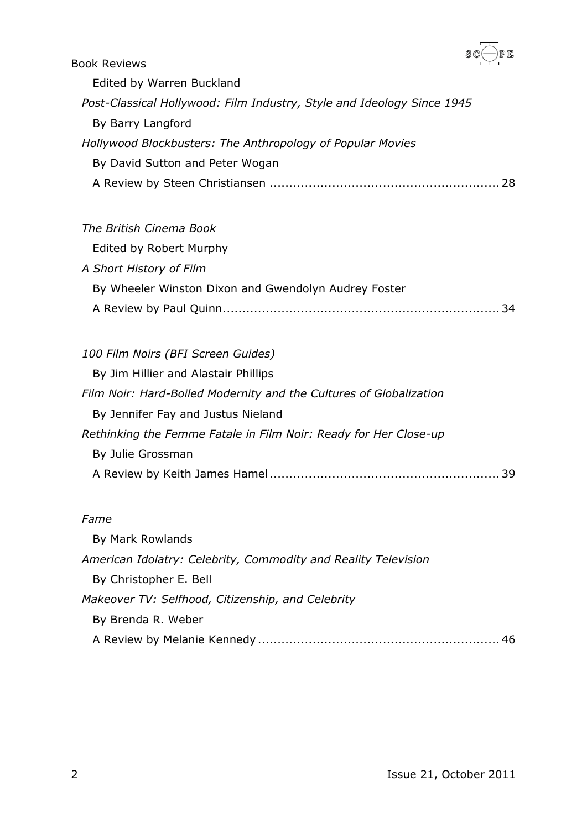

| <b>Book Reviews</b>                                                    | $\sim$ $\sim$ $\sim$ |
|------------------------------------------------------------------------|----------------------|
| Edited by Warren Buckland                                              |                      |
| Post-Classical Hollywood: Film Industry, Style and Ideology Since 1945 |                      |
| By Barry Langford                                                      |                      |
| Hollywood Blockbusters: The Anthropology of Popular Movies             |                      |
| By David Sutton and Peter Wogan                                        |                      |
|                                                                        | 28                   |
|                                                                        |                      |

# *[The British Cinema Book](#page-33-0)* [Edited by Robert Murphy](#page-33-1) *[A Short History of Film](#page-33-2)* [By Wheeler Winston Dixon and Gwendolyn Audrey Foster](#page-33-3) [A Review by Paul Quinn.......................................................................](#page-33-4) 34

| 100 Film Noirs (BFI Screen Guides)                                 |    |
|--------------------------------------------------------------------|----|
| By Jim Hillier and Alastair Phillips                               |    |
| Film Noir: Hard-Boiled Modernity and the Cultures of Globalization |    |
| By Jennifer Fay and Justus Nieland                                 |    |
| Rethinking the Femme Fatale in Film Noir: Ready for Her Close-up   |    |
| By Julie Grossman                                                  |    |
|                                                                    | 39 |

#### *[Fame](#page-45-0)*

| By Mark Rowlands                                               |    |
|----------------------------------------------------------------|----|
| American Idolatry: Celebrity, Commodity and Reality Television |    |
| By Christopher E. Bell                                         |    |
| Makeover TV: Selfhood, Citizenship, and Celebrity              |    |
| By Brenda R. Weber                                             |    |
|                                                                | 46 |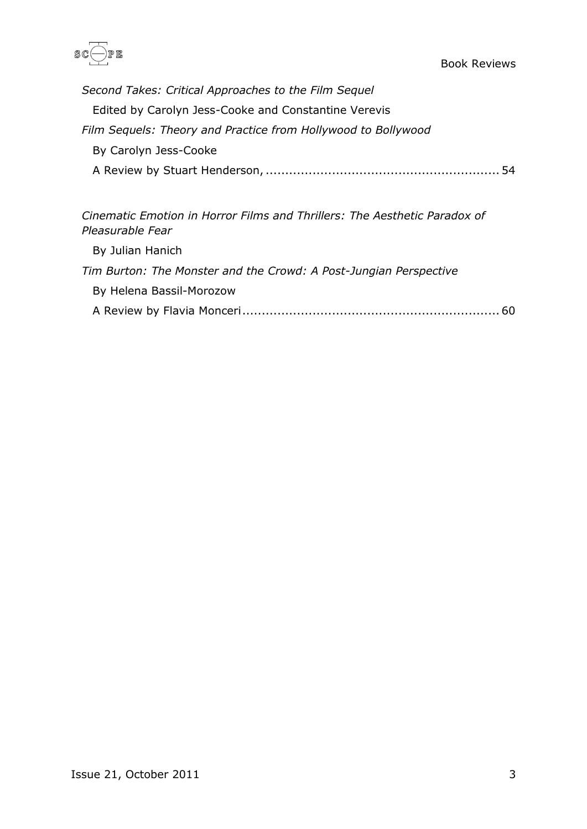

| Second Takes: Critical Approaches to the Film Sequel          |
|---------------------------------------------------------------|
| Edited by Carolyn Jess-Cooke and Constantine Verevis          |
| Film Sequels: Theory and Practice from Hollywood to Bollywood |
| By Carolyn Jess-Cooke                                         |
| -54                                                           |

*[Cinematic Emotion in Horror Films and Thrillers: The Aesthetic Paradox of](#page-59-0)  [Pleasurable Fear](#page-59-0)*

[By Julian Hanich](#page-59-1) *[Tim Burton: The Monster and the Crowd: A Post-Jungian Perspective](#page-59-2)* [By Helena Bassil-Morozow](#page-59-3) [A Review by Flavia Monceri..................................................................](#page-59-4) 60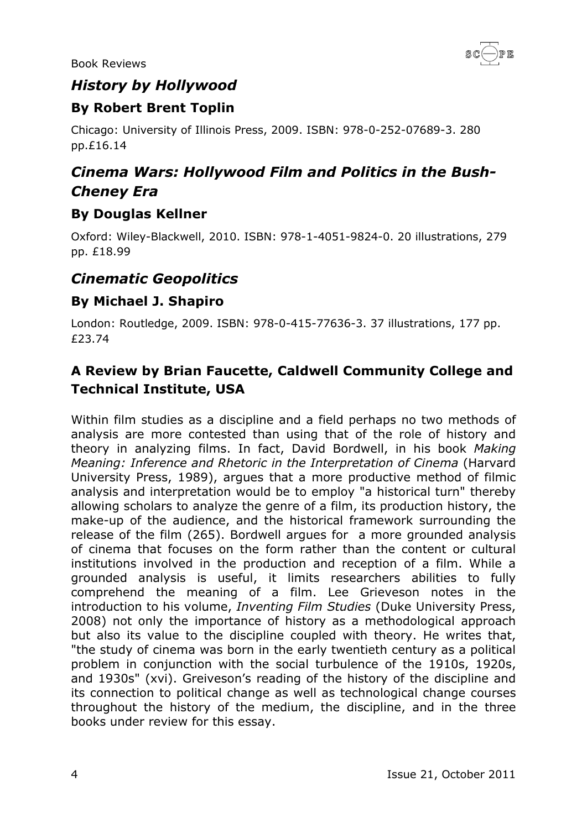

#### <span id="page-3-0"></span>*History by Hollywood*

### <span id="page-3-1"></span>**By Robert Brent Toplin**

Chicago: University of Illinois Press, 2009. ISBN: 978-0-252-07689-3. 280 pp.£16.14

# <span id="page-3-2"></span>*Cinema Wars: Hollywood Film and Politics in the Bush-Cheney Era*

#### <span id="page-3-3"></span>**By Douglas Kellner**

Oxford: Wiley-Blackwell, 2010. ISBN: 978-1-4051-9824-0. 20 illustrations, 279 pp. £18.99

### <span id="page-3-4"></span>*Cinematic Geopolitics*

#### <span id="page-3-5"></span>**By Michael J. Shapiro**

London: Routledge, 2009. ISBN: 978-0-415-77636-3. 37 illustrations, 177 pp. £23.74

### <span id="page-3-6"></span>**A Review by Brian Faucette, Caldwell Community College and Technical Institute, USA**

Within film studies as a discipline and a field perhaps no two methods of analysis are more contested than using that of the role of history and theory in analyzing films. In fact, David Bordwell, in his book *Making Meaning: Inference and Rhetoric in the Interpretation of Cinema* (Harvard University Press, 1989), argues that a more productive method of filmic analysis and interpretation would be to employ "a historical turn" thereby allowing scholars to analyze the genre of a film, its production history, the make-up of the audience, and the historical framework surrounding the release of the film (265). Bordwell argues for a more grounded analysis of cinema that focuses on the form rather than the content or cultural institutions involved in the production and reception of a film. While a grounded analysis is useful, it limits researchers abilities to fully comprehend the meaning of a film. Lee Grieveson notes in the introduction to his volume, *Inventing Film Studies* (Duke University Press, 2008) not only the importance of history as a methodological approach but also its value to the discipline coupled with theory. He writes that, "the study of cinema was born in the early twentieth century as a political problem in conjunction with the social turbulence of the 1910s, 1920s, and 1930s" (xvi). Greiveson's reading of the history of the discipline and its connection to political change as well as technological change courses throughout the history of the medium, the discipline, and in the three books under review for this essay.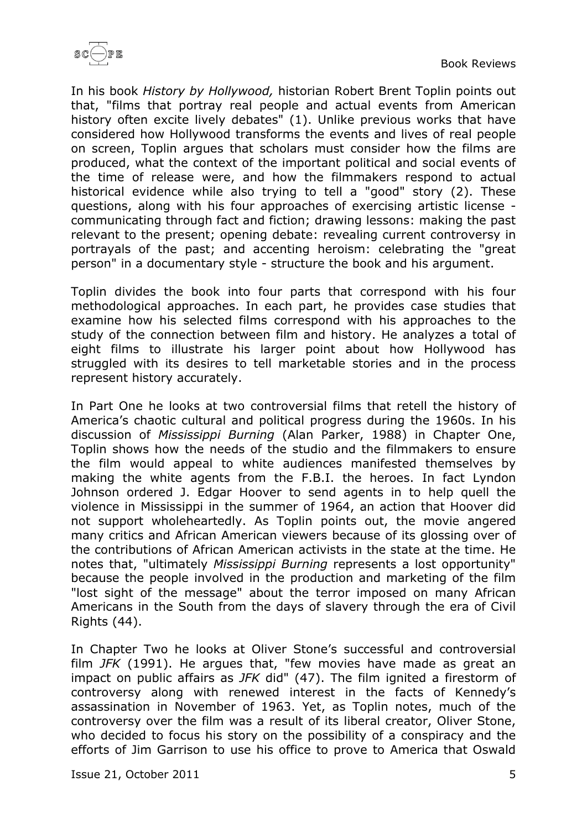

In his book *History by Hollywood,* historian Robert Brent Toplin points out that, "films that portray real people and actual events from American history often excite lively debates" (1). Unlike previous works that have considered how Hollywood transforms the events and lives of real people on screen, Toplin argues that scholars must consider how the films are produced, what the context of the important political and social events of the time of release were, and how the filmmakers respond to actual historical evidence while also trying to tell a "good" story (2). These questions, along with his four approaches of exercising artistic license communicating through fact and fiction; drawing lessons: making the past relevant to the present; opening debate: revealing current controversy in portrayals of the past; and accenting heroism: celebrating the "great person" in a documentary style - structure the book and his argument.

Toplin divides the book into four parts that correspond with his four methodological approaches. In each part, he provides case studies that examine how his selected films correspond with his approaches to the study of the connection between film and history. He analyzes a total of eight films to illustrate his larger point about how Hollywood has struggled with its desires to tell marketable stories and in the process represent history accurately.

In Part One he looks at two controversial films that retell the history of America's chaotic cultural and political progress during the 1960s. In his discussion of *Mississippi Burning* (Alan Parker, 1988) in Chapter One, Toplin shows how the needs of the studio and the filmmakers to ensure the film would appeal to white audiences manifested themselves by making the white agents from the F.B.I. the heroes. In fact Lyndon Johnson ordered J. Edgar Hoover to send agents in to help quell the violence in Mississippi in the summer of 1964, an action that Hoover did not support wholeheartedly. As Toplin points out, the movie angered many critics and African American viewers because of its glossing over of the contributions of African American activists in the state at the time. He notes that, "ultimately *Mississippi Burning* represents a lost opportunity" because the people involved in the production and marketing of the film "lost sight of the message" about the terror imposed on many African Americans in the South from the days of slavery through the era of Civil Rights (44).

In Chapter Two he looks at Oliver Stone's successful and controversial film *JFK* (1991). He argues that, "few movies have made as great an impact on public affairs as *JFK* did" (47). The film ignited a firestorm of controversy along with renewed interest in the facts of Kennedy's assassination in November of 1963. Yet, as Toplin notes, much of the controversy over the film was a result of its liberal creator, Oliver Stone, who decided to focus his story on the possibility of a conspiracy and the efforts of Jim Garrison to use his office to prove to America that Oswald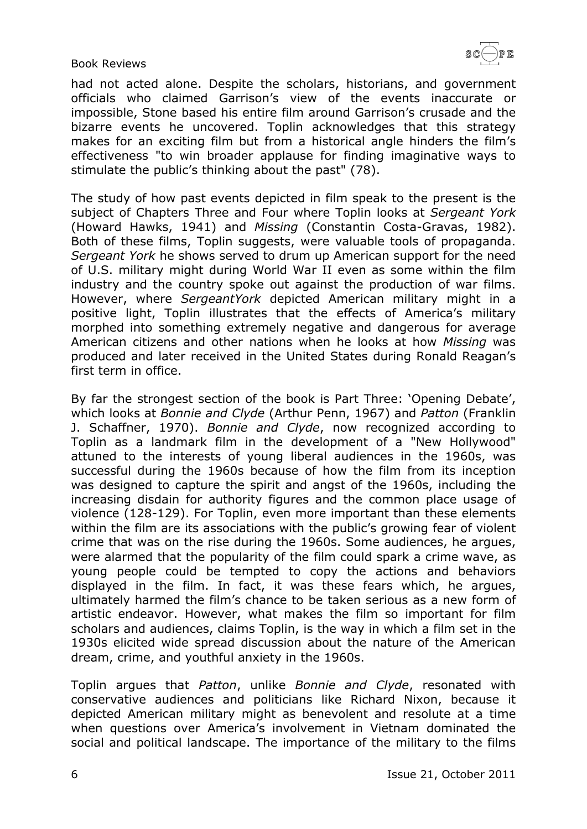had not acted alone. Despite the scholars, historians, and government officials who claimed Garrison's view of the events inaccurate or impossible, Stone based his entire film around Garrison's crusade and the bizarre events he uncovered. Toplin acknowledges that this strategy makes for an exciting film but from a historical angle hinders the film's effectiveness "to win broader applause for finding imaginative ways to stimulate the public's thinking about the past" (78).

The study of how past events depicted in film speak to the present is the subject of Chapters Three and Four where Toplin looks at *Sergeant York* (Howard Hawks, 1941) and *Missing* (Constantin Costa-Gravas, 1982). Both of these films, Toplin suggests, were valuable tools of propaganda. *Sergeant York* he shows served to drum up American support for the need of U.S. military might during World War II even as some within the film industry and the country spoke out against the production of war films. However, where *SergeantYork* depicted American military might in a positive light, Toplin illustrates that the effects of America's military morphed into something extremely negative and dangerous for average American citizens and other nations when he looks at how *Missing* was produced and later received in the United States during Ronald Reagan's first term in office.

By far the strongest section of the book is Part Three: 'Opening Debate', which looks at *Bonnie and Clyde* (Arthur Penn, 1967) and *Patton* (Franklin J. Schaffner, 1970). *Bonnie and Clyde*, now recognized according to Toplin as a landmark film in the development of a "New Hollywood" attuned to the interests of young liberal audiences in the 1960s, was successful during the 1960s because of how the film from its inception was designed to capture the spirit and angst of the 1960s, including the increasing disdain for authority figures and the common place usage of violence (128-129). For Toplin, even more important than these elements within the film are its associations with the public's growing fear of violent crime that was on the rise during the 1960s. Some audiences, he argues, were alarmed that the popularity of the film could spark a crime wave, as young people could be tempted to copy the actions and behaviors displayed in the film. In fact, it was these fears which, he argues, ultimately harmed the film's chance to be taken serious as a new form of artistic endeavor. However, what makes the film so important for film scholars and audiences, claims Toplin, is the way in which a film set in the 1930s elicited wide spread discussion about the nature of the American dream, crime, and youthful anxiety in the 1960s.

Toplin argues that *Patton*, unlike *Bonnie and Clyde*, resonated with conservative audiences and politicians like Richard Nixon, because it depicted American military might as benevolent and resolute at a time when questions over America's involvement in Vietnam dominated the social and political landscape. The importance of the military to the films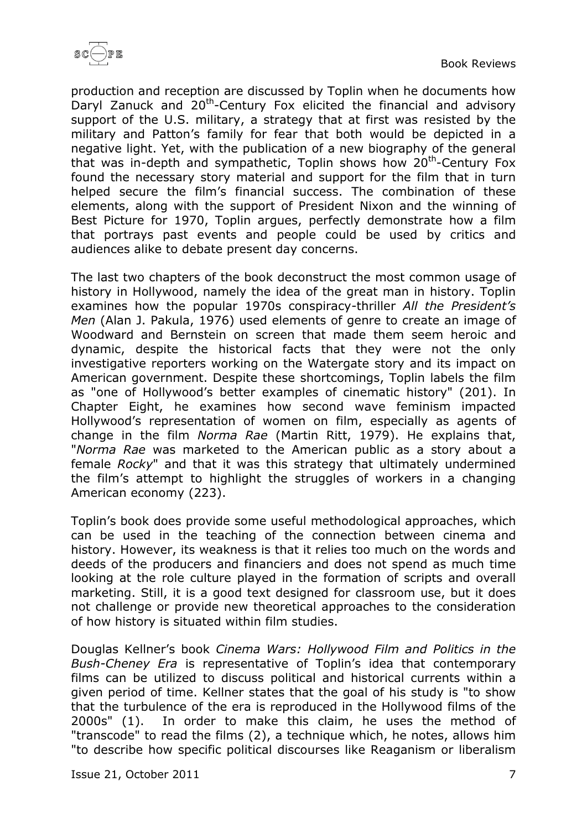

production and reception are discussed by Toplin when he documents how Daryl Zanuck and 20<sup>th</sup>-Century Fox elicited the financial and advisory support of the U.S. military, a strategy that at first was resisted by the military and Patton's family for fear that both would be depicted in a negative light. Yet, with the publication of a new biography of the general that was in-depth and sympathetic, Toplin shows how 20<sup>th</sup>-Century Fox found the necessary story material and support for the film that in turn helped secure the film's financial success. The combination of these elements, along with the support of President Nixon and the winning of Best Picture for 1970, Toplin argues, perfectly demonstrate how a film that portrays past events and people could be used by critics and audiences alike to debate present day concerns.

The last two chapters of the book deconstruct the most common usage of history in Hollywood, namely the idea of the great man in history. Toplin examines how the popular 1970s conspiracy-thriller *All the President's Men* (Alan J. Pakula, 1976) used elements of genre to create an image of Woodward and Bernstein on screen that made them seem heroic and dynamic, despite the historical facts that they were not the only investigative reporters working on the Watergate story and its impact on American government. Despite these shortcomings, Toplin labels the film as "one of Hollywood's better examples of cinematic history" (201). In Chapter Eight, he examines how second wave feminism impacted Hollywood's representation of women on film, especially as agents of change in the film *Norma Rae* (Martin Ritt, 1979). He explains that, "*Norma Rae* was marketed to the American public as a story about a female *Rocky*" and that it was this strategy that ultimately undermined the film's attempt to highlight the struggles of workers in a changing American economy (223).

Toplin's book does provide some useful methodological approaches, which can be used in the teaching of the connection between cinema and history. However, its weakness is that it relies too much on the words and deeds of the producers and financiers and does not spend as much time looking at the role culture played in the formation of scripts and overall marketing. Still, it is a good text designed for classroom use, but it does not challenge or provide new theoretical approaches to the consideration of how history is situated within film studies.

Douglas Kellner's book *Cinema Wars: Hollywood Film and Politics in the Bush-Cheney Era* is representative of Toplin's idea that contemporary films can be utilized to discuss political and historical currents within a given period of time. Kellner states that the goal of his study is "to show that the turbulence of the era is reproduced in the Hollywood films of the 2000s" (1). In order to make this claim, he uses the method of "transcode" to read the films (2), a technique which, he notes, allows him "to describe how specific political discourses like Reaganism or liberalism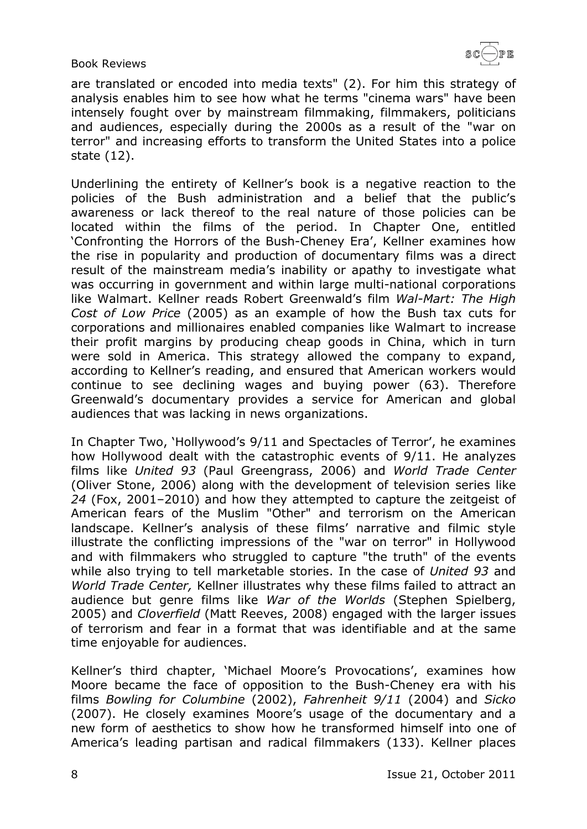

are translated or encoded into media texts" (2). For him this strategy of analysis enables him to see how what he terms "cinema wars" have been intensely fought over by mainstream filmmaking, filmmakers, politicians and audiences, especially during the 2000s as a result of the "war on terror" and increasing efforts to transform the United States into a police state (12).

Underlining the entirety of Kellner's book is a negative reaction to the policies of the Bush administration and a belief that the public's awareness or lack thereof to the real nature of those policies can be located within the films of the period. In Chapter One, entitled 'Confronting the Horrors of the Bush-Cheney Era', Kellner examines how the rise in popularity and production of documentary films was a direct result of the mainstream media's inability or apathy to investigate what was occurring in government and within large multi-national corporations like Walmart. Kellner reads Robert Greenwald's film *Wal-Mart: The High Cost of Low Price* (2005) as an example of how the Bush tax cuts for corporations and millionaires enabled companies like Walmart to increase their profit margins by producing cheap goods in China, which in turn were sold in America. This strategy allowed the company to expand, according to Kellner's reading, and ensured that American workers would continue to see declining wages and buying power (63). Therefore Greenwald's documentary provides a service for American and global audiences that was lacking in news organizations.

In Chapter Two, 'Hollywood's 9/11 and Spectacles of Terror', he examines how Hollywood dealt with the catastrophic events of 9/11. He analyzes films like *United 93* (Paul Greengrass, 2006) and *World Trade Center* (Oliver Stone, 2006) along with the development of television series like *24* (Fox, 2001–2010) and how they attempted to capture the zeitgeist of American fears of the Muslim "Other" and terrorism on the American landscape. Kellner's analysis of these films' narrative and filmic style illustrate the conflicting impressions of the "war on terror" in Hollywood and with filmmakers who struggled to capture "the truth" of the events while also trying to tell marketable stories. In the case of *United 93* and *World Trade Center,* Kellner illustrates why these films failed to attract an audience but genre films like *War of the Worlds* (Stephen Spielberg, 2005) and *Cloverfield* (Matt Reeves, 2008) engaged with the larger issues of terrorism and fear in a format that was identifiable and at the same time enjoyable for audiences.

Kellner's third chapter, 'Michael Moore's Provocations', examines how Moore became the face of opposition to the Bush-Cheney era with his films *Bowling for Columbine* (2002), *Fahrenheit 9/11* (2004) and *Sicko* (2007). He closely examines Moore's usage of the documentary and a new form of aesthetics to show how he transformed himself into one of America's leading partisan and radical filmmakers (133). Kellner places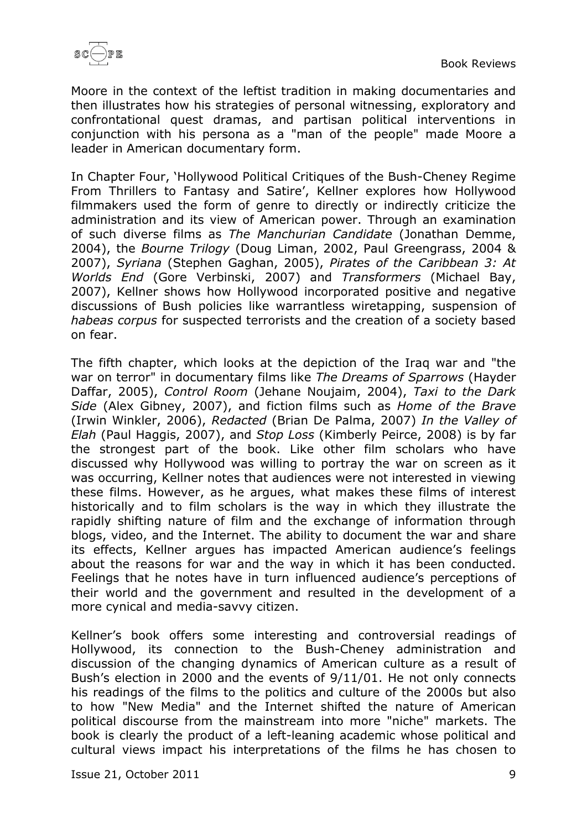

Moore in the context of the leftist tradition in making documentaries and then illustrates how his strategies of personal witnessing, exploratory and confrontational quest dramas, and partisan political interventions in conjunction with his persona as a "man of the people" made Moore a leader in American documentary form.

In Chapter Four, 'Hollywood Political Critiques of the Bush-Cheney Regime From Thrillers to Fantasy and Satire', Kellner explores how Hollywood filmmakers used the form of genre to directly or indirectly criticize the administration and its view of American power. Through an examination of such diverse films as *The Manchurian Candidate* (Jonathan Demme, 2004), the *Bourne Trilogy* (Doug Liman, 2002, Paul Greengrass, 2004 & 2007), *Syriana* (Stephen Gaghan, 2005), *Pirates of the Caribbean 3: At Worlds End* (Gore Verbinski, 2007) and *Transformers* (Michael Bay, 2007), Kellner shows how Hollywood incorporated positive and negative discussions of Bush policies like warrantless wiretapping, suspension of *habeas corpus* for suspected terrorists and the creation of a society based on fear.

The fifth chapter, which looks at the depiction of the Iraq war and "the war on terror" in documentary films like *The Dreams of Sparrows* (Hayder Daffar, 2005), *Control Room* (Jehane Noujaim, 2004), *Taxi to the Dark Side* (Alex Gibney, 2007), and fiction films such as *Home of the Brave* (Irwin Winkler, 2006), *Redacted* (Brian De Palma, 2007) *In the Valley of Elah* (Paul Haggis, 2007), and *Stop Loss* (Kimberly Peirce, 2008) is by far the strongest part of the book. Like other film scholars who have discussed why Hollywood was willing to portray the war on screen as it was occurring, Kellner notes that audiences were not interested in viewing these films. However, as he argues, what makes these films of interest historically and to film scholars is the way in which they illustrate the rapidly shifting nature of film and the exchange of information through blogs, video, and the Internet. The ability to document the war and share its effects, Kellner argues has impacted American audience's feelings about the reasons for war and the way in which it has been conducted. Feelings that he notes have in turn influenced audience's perceptions of their world and the government and resulted in the development of a more cynical and media-savvy citizen.

Kellner's book offers some interesting and controversial readings of Hollywood, its connection to the Bush-Cheney administration and discussion of the changing dynamics of American culture as a result of Bush's election in 2000 and the events of 9/11/01. He not only connects his readings of the films to the politics and culture of the 2000s but also to how "New Media" and the Internet shifted the nature of American political discourse from the mainstream into more "niche" markets. The book is clearly the product of a left-leaning academic whose political and cultural views impact his interpretations of the films he has chosen to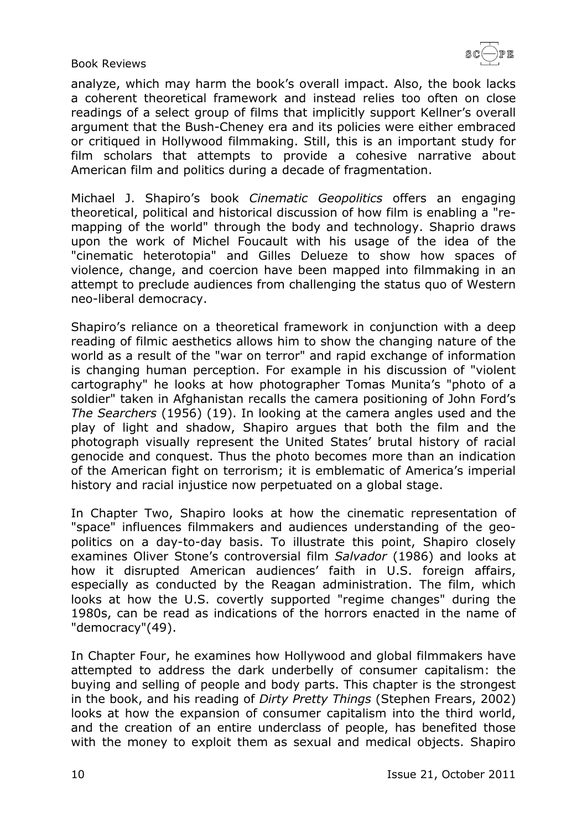

analyze, which may harm the book's overall impact. Also, the book lacks a coherent theoretical framework and instead relies too often on close readings of a select group of films that implicitly support Kellner's overall argument that the Bush-Cheney era and its policies were either embraced or critiqued in Hollywood filmmaking. Still, this is an important study for film scholars that attempts to provide a cohesive narrative about American film and politics during a decade of fragmentation.

Michael J. Shapiro's book *Cinematic Geopolitics* offers an engaging theoretical, political and historical discussion of how film is enabling a "remapping of the world" through the body and technology. Shaprio draws upon the work of Michel Foucault with his usage of the idea of the "cinematic heterotopia" and Gilles Delueze to show how spaces of violence, change, and coercion have been mapped into filmmaking in an attempt to preclude audiences from challenging the status quo of Western neo-liberal democracy.

Shapiro's reliance on a theoretical framework in conjunction with a deep reading of filmic aesthetics allows him to show the changing nature of the world as a result of the "war on terror" and rapid exchange of information is changing human perception. For example in his discussion of "violent cartography" he looks at how photographer Tomas Munita's "photo of a soldier" taken in Afghanistan recalls the camera positioning of John Ford's *The Searchers* (1956) (19). In looking at the camera angles used and the play of light and shadow, Shapiro argues that both the film and the photograph visually represent the United States' brutal history of racial genocide and conquest. Thus the photo becomes more than an indication of the American fight on terrorism; it is emblematic of America's imperial history and racial injustice now perpetuated on a global stage.

In Chapter Two, Shapiro looks at how the cinematic representation of "space" influences filmmakers and audiences understanding of the geopolitics on a day-to-day basis. To illustrate this point, Shapiro closely examines Oliver Stone's controversial film *Salvador* (1986) and looks at how it disrupted American audiences' faith in U.S. foreign affairs, especially as conducted by the Reagan administration. The film, which looks at how the U.S. covertly supported "regime changes" during the 1980s, can be read as indications of the horrors enacted in the name of "democracy"(49).

In Chapter Four, he examines how Hollywood and global filmmakers have attempted to address the dark underbelly of consumer capitalism: the buying and selling of people and body parts. This chapter is the strongest in the book, and his reading of *Dirty Pretty Things* (Stephen Frears, 2002) looks at how the expansion of consumer capitalism into the third world, and the creation of an entire underclass of people, has benefited those with the money to exploit them as sexual and medical objects. Shapiro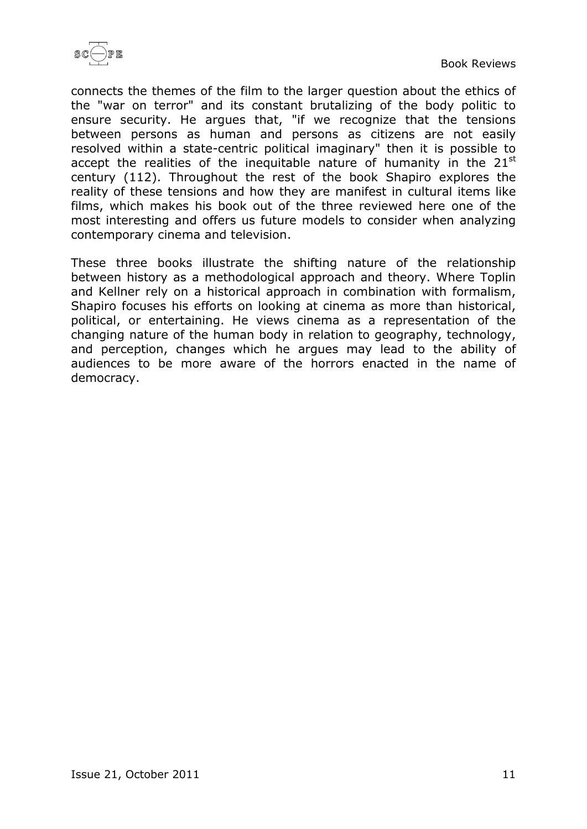

connects the themes of the film to the larger question about the ethics of the "war on terror" and its constant brutalizing of the body politic to ensure security. He argues that, "if we recognize that the tensions between persons as human and persons as citizens are not easily resolved within a state-centric political imaginary" then it is possible to accept the realities of the inequitable nature of humanity in the  $21<sup>st</sup>$ century (112). Throughout the rest of the book Shapiro explores the reality of these tensions and how they are manifest in cultural items like films, which makes his book out of the three reviewed here one of the most interesting and offers us future models to consider when analyzing contemporary cinema and television.

These three books illustrate the shifting nature of the relationship between history as a methodological approach and theory. Where Toplin and Kellner rely on a historical approach in combination with formalism, Shapiro focuses his efforts on looking at cinema as more than historical, political, or entertaining. He views cinema as a representation of the changing nature of the human body in relation to geography, technology, and perception, changes which he argues may lead to the ability of audiences to be more aware of the horrors enacted in the name of democracy.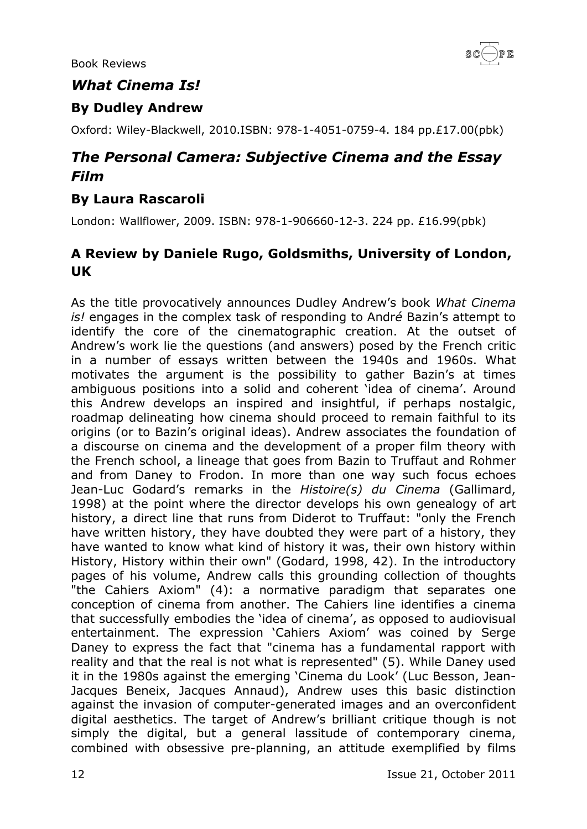

#### <span id="page-11-0"></span>*What Cinema Is!*

#### <span id="page-11-1"></span>**By Dudley Andrew**

Oxford: Wiley-Blackwell, 2010.ISBN: 978-1-4051-0759-4. 184 pp.£17.00(pbk)

# <span id="page-11-2"></span>*The Personal Camera: Subjective Cinema and the Essay Film*

#### <span id="page-11-3"></span>**By Laura Rascaroli**

London: Wallflower, 2009. ISBN: 978-1-906660-12-3. 224 pp. £16.99(pbk)

#### <span id="page-11-4"></span>**A Review by Daniele Rugo, Goldsmiths, University of London, UK**

As the title provocatively announces Dudley Andrew's book *What Cinema is!* engages in the complex task of responding to Andr*é* Bazin's attempt to identify the core of the cinematographic creation. At the outset of Andrew's work lie the questions (and answers) posed by the French critic in a number of essays written between the 1940s and 1960s. What motivates the argument is the possibility to gather Bazin's at times ambiguous positions into a solid and coherent 'idea of cinema'. Around this Andrew develops an inspired and insightful, if perhaps nostalgic, roadmap delineating how cinema should proceed to remain faithful to its origins (or to Bazin's original ideas). Andrew associates the foundation of a discourse on cinema and the development of a proper film theory with the French school, a lineage that goes from Bazin to Truffaut and Rohmer and from Daney to Frodon. In more than one way such focus echoes Jean-Luc Godard's remarks in the *Histoire(s) du Cinema* (Gallimard, 1998) at the point where the director develops his own genealogy of art history, a direct line that runs from Diderot to Truffaut: "only the French have written history, they have doubted they were part of a history, they have wanted to know what kind of history it was, their own history within History, History within their own" (Godard, 1998, 42). In the introductory pages of his volume, Andrew calls this grounding collection of thoughts "the Cahiers Axiom" (4): a normative paradigm that separates one conception of cinema from another. The Cahiers line identifies a cinema that successfully embodies the 'idea of cinema', as opposed to audiovisual entertainment. The expression 'Cahiers Axiom' was coined by Serge Daney to express the fact that "cinema has a fundamental rapport with reality and that the real is not what is represented" (5). While Daney used it in the 1980s against the emerging 'Cinema du Look' (Luc Besson, Jean-Jacques Beneix, Jacques Annaud), Andrew uses this basic distinction against the invasion of computer-generated images and an overconfident digital aesthetics. The target of Andrew's brilliant critique though is not simply the digital, but a general lassitude of contemporary cinema, combined with obsessive pre-planning, an attitude exemplified by films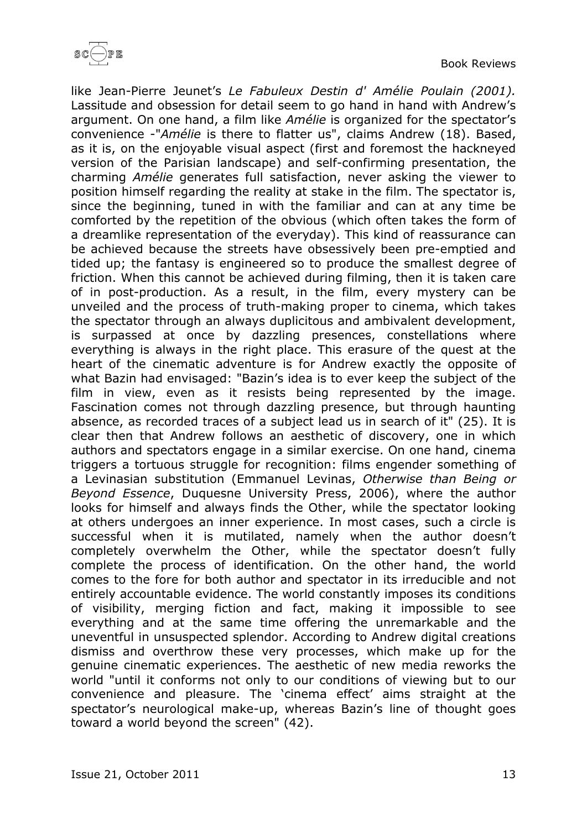

like Jean-Pierre Jeunet's *Le Fabuleux Destin d' Amélie Poulain (2001).* Lassitude and obsession for detail seem to go hand in hand with Andrew's argument. On one hand, a film like *Amélie* is organized for the spectator's convenience -"*Amélie* is there to flatter us", claims Andrew (18). Based, as it is, on the enjoyable visual aspect (first and foremost the hackneyed version of the Parisian landscape) and self-confirming presentation, the charming *Amélie* generates full satisfaction, never asking the viewer to position himself regarding the reality at stake in the film. The spectator is, since the beginning, tuned in with the familiar and can at any time be comforted by the repetition of the obvious (which often takes the form of a dreamlike representation of the everyday). This kind of reassurance can be achieved because the streets have obsessively been pre-emptied and tided up; the fantasy is engineered so to produce the smallest degree of friction. When this cannot be achieved during filming, then it is taken care of in post-production. As a result, in the film, every mystery can be unveiled and the process of truth-making proper to cinema, which takes the spectator through an always duplicitous and ambivalent development, is surpassed at once by dazzling presences, constellations where everything is always in the right place. This erasure of the quest at the heart of the cinematic adventure is for Andrew exactly the opposite of what Bazin had envisaged: "Bazin's idea is to ever keep the subject of the film in view, even as it resists being represented by the image. Fascination comes not through dazzling presence, but through haunting absence, as recorded traces of a subject lead us in search of it" (25). It is clear then that Andrew follows an aesthetic of discovery, one in which authors and spectators engage in a similar exercise. On one hand, cinema triggers a tortuous struggle for recognition: films engender something of a Levinasian substitution (Emmanuel Levinas, *Otherwise than Being or Beyond Essence*, Duquesne University Press, 2006), where the author looks for himself and always finds the Other, while the spectator looking at others undergoes an inner experience. In most cases, such a circle is successful when it is mutilated, namely when the author doesn't completely overwhelm the Other, while the spectator doesn't fully complete the process of identification. On the other hand, the world comes to the fore for both author and spectator in its irreducible and not entirely accountable evidence. The world constantly imposes its conditions of visibility, merging fiction and fact, making it impossible to see everything and at the same time offering the unremarkable and the uneventful in unsuspected splendor. According to Andrew digital creations dismiss and overthrow these very processes, which make up for the genuine cinematic experiences. The aesthetic of new media reworks the world "until it conforms not only to our conditions of viewing but to our convenience and pleasure. The 'cinema effect' aims straight at the spectator's neurological make-up, whereas Bazin's line of thought goes toward a world beyond the screen" (42).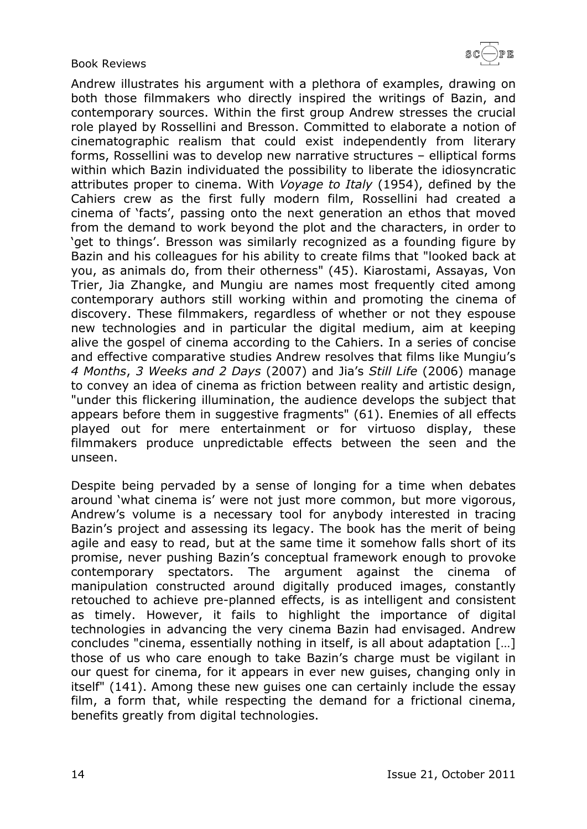

Andrew illustrates his argument with a plethora of examples, drawing on both those filmmakers who directly inspired the writings of Bazin, and contemporary sources. Within the first group Andrew stresses the crucial role played by Rossellini and Bresson. Committed to elaborate a notion of cinematographic realism that could exist independently from literary forms, Rossellini was to develop new narrative structures – elliptical forms within which Bazin individuated the possibility to liberate the idiosyncratic attributes proper to cinema. With *Voyage to Italy* (1954), defined by the Cahiers crew as the first fully modern film, Rossellini had created a cinema of 'facts', passing onto the next generation an ethos that moved from the demand to work beyond the plot and the characters, in order to 'get to things'. Bresson was similarly recognized as a founding figure by Bazin and his colleagues for his ability to create films that "looked back at you, as animals do, from their otherness" (45). Kiarostami, Assayas, Von Trier, Jia Zhangke, and Mungiu are names most frequently cited among contemporary authors still working within and promoting the cinema of discovery. These filmmakers, regardless of whether or not they espouse new technologies and in particular the digital medium, aim at keeping alive the gospel of cinema according to the Cahiers. In a series of concise and effective comparative studies Andrew resolves that films like Mungiu's *4 Months*, *3 Weeks and 2 Days* (2007) and Jia's *Still Life* (2006) manage to convey an idea of cinema as friction between reality and artistic design, "under this flickering illumination, the audience develops the subject that appears before them in suggestive fragments" (61). Enemies of all effects played out for mere entertainment or for virtuoso display, these filmmakers produce unpredictable effects between the seen and the unseen.

Despite being pervaded by a sense of longing for a time when debates around 'what cinema is' were not just more common, but more vigorous, Andrew's volume is a necessary tool for anybody interested in tracing Bazin's project and assessing its legacy. The book has the merit of being agile and easy to read, but at the same time it somehow falls short of its promise, never pushing Bazin's conceptual framework enough to provoke contemporary spectators. The argument against the cinema of manipulation constructed around digitally produced images, constantly retouched to achieve pre-planned effects, is as intelligent and consistent as timely. However, it fails to highlight the importance of digital technologies in advancing the very cinema Bazin had envisaged. Andrew concludes "cinema, essentially nothing in itself, is all about adaptation […] those of us who care enough to take Bazin's charge must be vigilant in our quest for cinema, for it appears in ever new guises, changing only in itself" (141). Among these new guises one can certainly include the essay film, a form that, while respecting the demand for a frictional cinema, benefits greatly from digital technologies.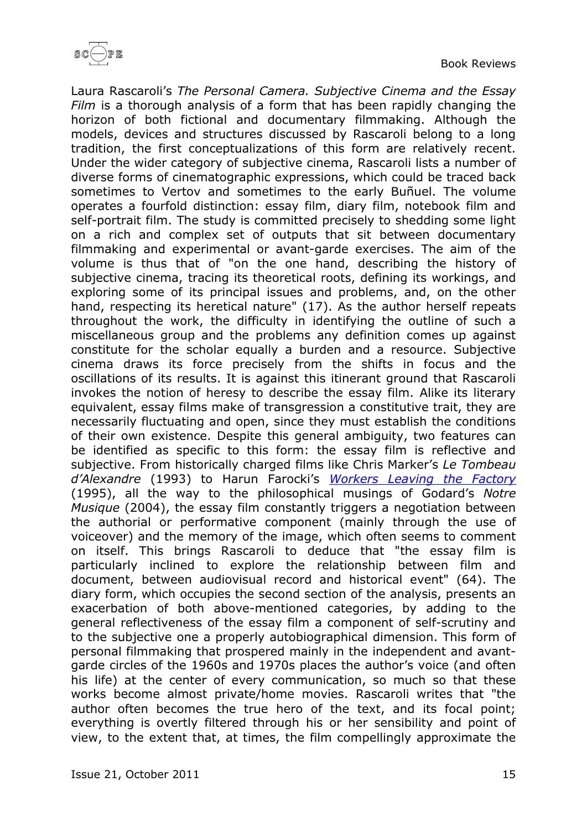

Laura Rascaroli's *The Personal Camera. Subjective Cinema and the Essay Film* is a thorough analysis of a form that has been rapidly changing the horizon of both fictional and documentary filmmaking. Although the models, devices and structures discussed by Rascaroli belong to a long tradition, the first conceptualizations of this form are relatively recent. Under the wider category of subjective cinema, Rascaroli lists a number of diverse forms of cinematographic expressions, which could be traced back sometimes to Vertov and sometimes to the early Buñuel. The volume operates a fourfold distinction: essay film, diary film, notebook film and self-portrait film. The study is committed precisely to shedding some light on a rich and complex set of outputs that sit between documentary filmmaking and experimental or avant-garde exercises. The aim of the volume is thus that of "on the one hand, describing the history of subjective cinema, tracing its theoretical roots, defining its workings, and exploring some of its principal issues and problems, and, on the other hand, respecting its heretical nature" (17). As the author herself repeats throughout the work, the difficulty in identifying the outline of such a miscellaneous group and the problems any definition comes up against constitute for the scholar equally a burden and a resource. Subjective cinema draws its force precisely from the shifts in focus and the oscillations of its results. It is against this itinerant ground that Rascaroli invokes the notion of heresy to describe the essay film. Alike its literary equivalent, essay films make of transgression a constitutive trait, they are necessarily fluctuating and open, since they must establish the conditions of their own existence. Despite this general ambiguity, two features can be identified as specific to this form: the essay film is reflective and subjective. From historically charged films like Chris Marker's *Le Tombeau d'Alexandre* (1993) to Harun Farocki's *[Workers](http://www.sensesofcinema.com/2002/21/farocki_workers/) Leaving the Factory* (1995), all the way to the philosophical musings of Godard's *Notre Musique* (2004), the essay film constantly triggers a negotiation between the authorial or performative component (mainly through the use of voiceover) and the memory of the image, which often seems to comment on itself. This brings Rascaroli to deduce that "the essay film is particularly inclined to explore the relationship between film and document, between audiovisual record and historical event" (64). The diary form, which occupies the second section of the analysis, presents an exacerbation of both above-mentioned categories, by adding to the general reflectiveness of the essay film a component of self-scrutiny and to the subjective one a properly autobiographical dimension. This form of personal filmmaking that prospered mainly in the independent and avantgarde circles of the 1960s and 1970s places the author's voice (and often his life) at the center of every communication, so much so that these works become almost private/home movies. Rascaroli writes that "the author often becomes the true hero of the text, and its focal point; everything is overtly filtered through his or her sensibility and point of view, to the extent that, at times, the film compellingly approximate the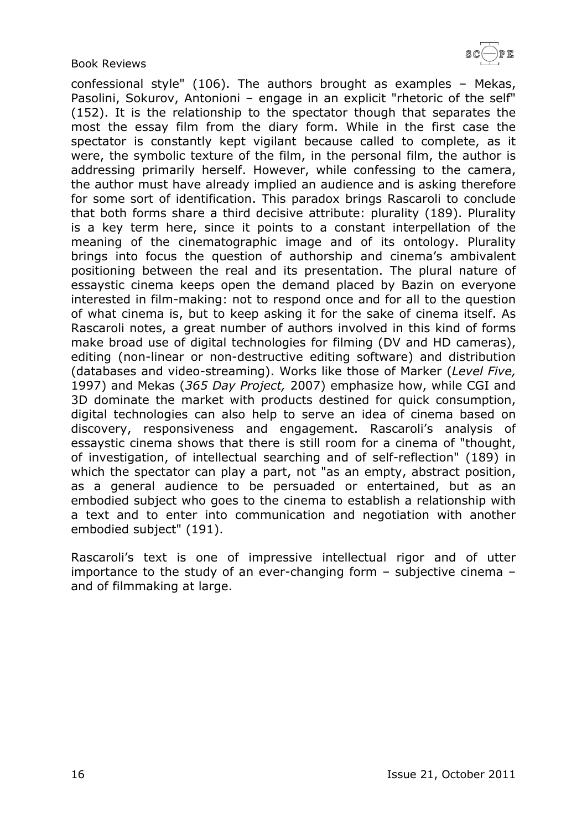confessional style" (106). The authors brought as examples – Mekas, Pasolini, Sokurov, Antonioni – engage in an explicit "rhetoric of the self" (152). It is the relationship to the spectator though that separates the most the essay film from the diary form. While in the first case the spectator is constantly kept vigilant because called to complete, as it were, the symbolic texture of the film, in the personal film, the author is addressing primarily herself. However, while confessing to the camera, the author must have already implied an audience and is asking therefore for some sort of identification. This paradox brings Rascaroli to conclude that both forms share a third decisive attribute: plurality (189). Plurality is a key term here, since it points to a constant interpellation of the meaning of the cinematographic image and of its ontology. Plurality brings into focus the question of authorship and cinema's ambivalent positioning between the real and its presentation. The plural nature of essaystic cinema keeps open the demand placed by Bazin on everyone interested in film-making: not to respond once and for all to the question of what cinema is, but to keep asking it for the sake of cinema itself. As Rascaroli notes, a great number of authors involved in this kind of forms make broad use of digital technologies for filming (DV and HD cameras), editing (non-linear or non-destructive editing software) and distribution (databases and video-streaming). Works like those of Marker (*Level Five,* 1997) and Mekas (*365 Day Project,* 2007) emphasize how, while CGI and 3D dominate the market with products destined for quick consumption, digital technologies can also help to serve an idea of cinema based on discovery, responsiveness and engagement. Rascaroli's analysis of essaystic cinema shows that there is still room for a cinema of "thought, of investigation, of intellectual searching and of self-reflection" (189) in which the spectator can play a part, not "as an empty, abstract position, as a general audience to be persuaded or entertained, but as an embodied subject who goes to the cinema to establish a relationship with a text and to enter into communication and negotiation with another embodied subject" (191).

Rascaroli's text is one of impressive intellectual rigor and of utter importance to the study of an ever-changing form – subjective cinema – and of filmmaking at large.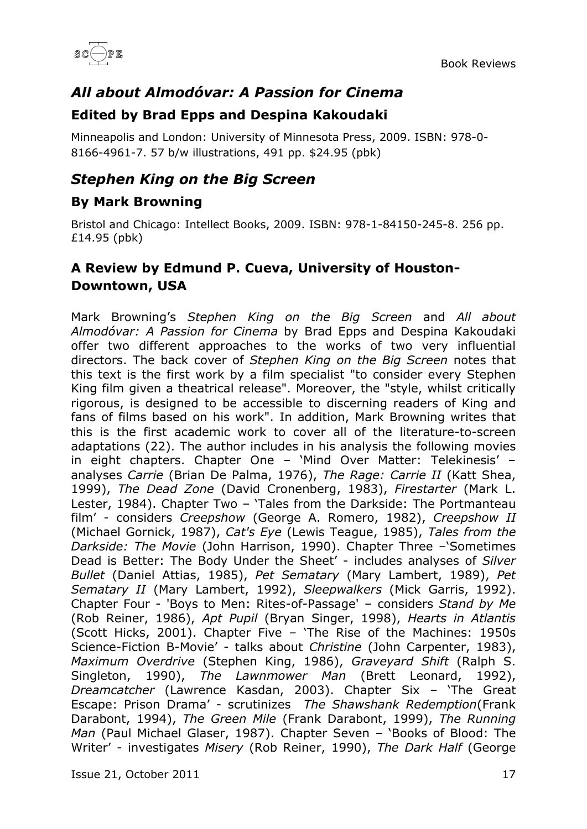

# <span id="page-16-0"></span>*All about Almodóvar: A Passion for Cinema*

#### <span id="page-16-1"></span>**Edited by Brad Epps and Despina Kakoudaki**

Minneapolis and London: University of Minnesota Press, 2009. ISBN: 978-0- 8166-4961-7. 57 b/w illustrations, 491 pp. \$24.95 (pbk)

# <span id="page-16-2"></span>*Stephen King on the Big Screen*

#### <span id="page-16-3"></span>**By Mark Browning**

Bristol and Chicago: Intellect Books, 2009. ISBN: 978-1-84150-245-8. 256 pp. £14.95 (pbk)

### <span id="page-16-4"></span>**A Review by Edmund P. Cueva, University of Houston-Downtown, USA**

Mark Browning's *Stephen King on the Big Screen* and *All about Almodóvar: A Passion for Cinema* by Brad Epps and Despina Kakoudaki offer two different approaches to the works of two very influential directors. The back cover of *Stephen King on the Big Screen* notes that this text is the first work by a film specialist "to consider every Stephen King film given a theatrical release". Moreover, the "style, whilst critically rigorous, is designed to be accessible to discerning readers of King and fans of films based on his work". In addition, Mark Browning writes that this is the first academic work to cover all of the literature-to-screen adaptations (22). The author includes in his analysis the following movies in eight chapters. Chapter One – 'Mind Over Matter: Telekinesis' – analyses *Carrie* (Brian De Palma, 1976), *The Rage: Carrie II* (Katt Shea, 1999), *The Dead Zone* (David Cronenberg, 1983), *Firestarter* (Mark L. Lester, 1984). Chapter Two – 'Tales from the Darkside: The Portmanteau film' - considers *Creepshow* (George A. Romero, 1982), *Creepshow II* (Michael Gornick, 1987), *Cat's Eye* (Lewis Teague, 1985), *Tales from the Darkside: The Movie* (John Harrison, 1990). Chapter Three –'Sometimes Dead is Better: The Body Under the Sheet' - includes analyses of *Silver Bullet* (Daniel Attias, 1985), *Pet Sematary* (Mary Lambert, 1989), *Pet Sematary II* (Mary Lambert, 1992), *Sleepwalkers* (Mick Garris, 1992). Chapter Four - 'Boys to Men: Rites-of-Passage' – considers *Stand by Me* (Rob Reiner, 1986), *Apt Pupil* (Bryan Singer, 1998), *Hearts in Atlantis* (Scott Hicks, 2001). Chapter Five – 'The Rise of the Machines: 1950s Science-Fiction B-Movie' - talks about *Christine* (John Carpenter, 1983), *Maximum Overdrive* (Stephen King, 1986), *Graveyard Shift* (Ralph S. Singleton, 1990), *The Lawnmower Man* (Brett Leonard, 1992), *Dreamcatcher* (Lawrence Kasdan, 2003). Chapter Six – 'The Great Escape: Prison Drama' - scrutinizes *The Shawshank Redemption*(Frank Darabont, 1994), *The Green Mile* (Frank Darabont, 1999), *The Running Man* (Paul Michael Glaser, 1987). Chapter Seven – 'Books of Blood: The Writer' - investigates *Misery* (Rob Reiner, 1990), *The Dark Half* (George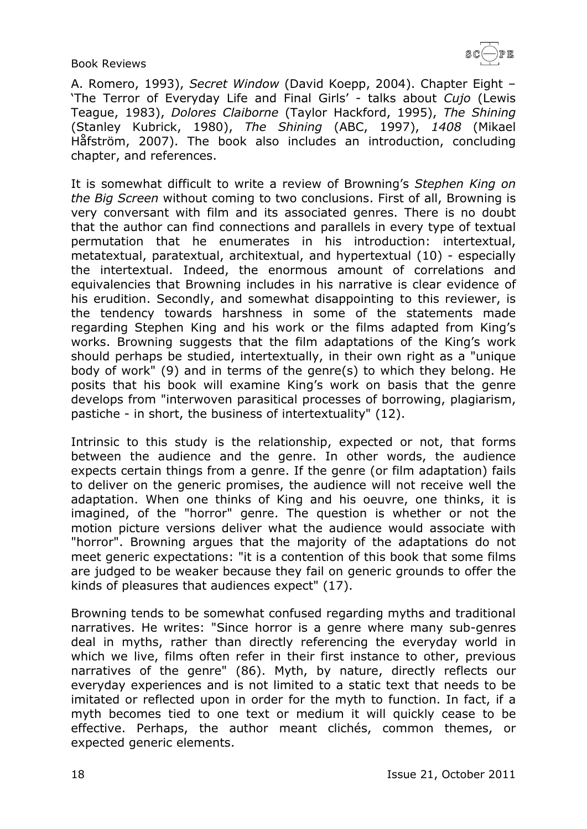A. Romero, 1993), *Secret Window* (David Koepp, 2004). Chapter Eight – 'The Terror of Everyday Life and Final Girls' - talks about *Cujo* (Lewis Teague, 1983), *Dolores Claiborne* (Taylor Hackford, 1995), *The Shining* (Stanley Kubrick, 1980), *The Shining* (ABC, 1997), *1408* (Mikael Håfström, 2007). The book also includes an introduction, concluding chapter, and references.

It is somewhat difficult to write a review of Browning's *Stephen King on the Big Screen* without coming to two conclusions. First of all, Browning is very conversant with film and its associated genres. There is no doubt that the author can find connections and parallels in every type of textual permutation that he enumerates in his introduction: intertextual, metatextual, paratextual, architextual, and hypertextual (10) - especially the intertextual. Indeed, the enormous amount of correlations and equivalencies that Browning includes in his narrative is clear evidence of his erudition. Secondly, and somewhat disappointing to this reviewer, is the tendency towards harshness in some of the statements made regarding Stephen King and his work or the films adapted from King's works. Browning suggests that the film adaptations of the King's work should perhaps be studied, intertextually, in their own right as a "unique body of work" (9) and in terms of the genre(s) to which they belong. He posits that his book will examine King's work on basis that the genre develops from "interwoven parasitical processes of borrowing, plagiarism, pastiche - in short, the business of intertextuality" (12).

Intrinsic to this study is the relationship, expected or not, that forms between the audience and the genre. In other words, the audience expects certain things from a genre. If the genre (or film adaptation) fails to deliver on the generic promises, the audience will not receive well the adaptation. When one thinks of King and his oeuvre, one thinks, it is imagined, of the "horror" genre. The question is whether or not the motion picture versions deliver what the audience would associate with "horror". Browning argues that the majority of the adaptations do not meet generic expectations: "it is a contention of this book that some films are judged to be weaker because they fail on generic grounds to offer the kinds of pleasures that audiences expect" (17).

Browning tends to be somewhat confused regarding myths and traditional narratives. He writes: "Since horror is a genre where many sub-genres deal in myths, rather than directly referencing the everyday world in which we live, films often refer in their first instance to other, previous narratives of the genre" (86). Myth, by nature, directly reflects our everyday experiences and is not limited to a static text that needs to be imitated or reflected upon in order for the myth to function. In fact, if a myth becomes tied to one text or medium it will quickly cease to be effective. Perhaps, the author meant clichés, common themes, or expected generic elements.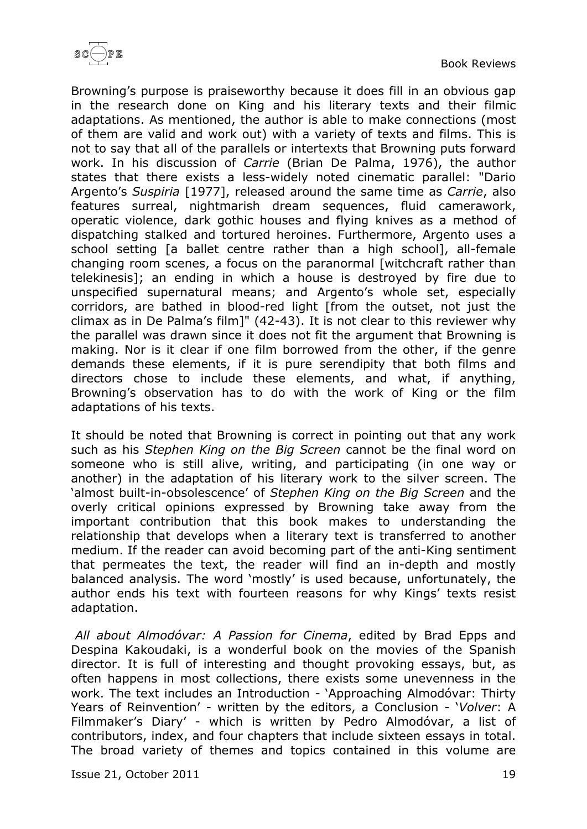

Browning's purpose is praiseworthy because it does fill in an obvious gap in the research done on King and his literary texts and their filmic adaptations. As mentioned, the author is able to make connections (most of them are valid and work out) with a variety of texts and films. This is not to say that all of the parallels or intertexts that Browning puts forward work. In his discussion of *Carrie* (Brian De Palma, 1976), the author states that there exists a less-widely noted cinematic parallel: "Dario Argento's *Suspiria* [1977], released around the same time as *Carrie*, also features surreal, nightmarish dream sequences, fluid camerawork, operatic violence, dark gothic houses and flying knives as a method of dispatching stalked and tortured heroines. Furthermore, Argento uses a school setting [a ballet centre rather than a high school], all-female changing room scenes, a focus on the paranormal [witchcraft rather than telekinesis]; an ending in which a house is destroyed by fire due to unspecified supernatural means; and Argento's whole set, especially corridors, are bathed in blood-red light [from the outset, not just the climax as in De Palma's film]" (42-43). It is not clear to this reviewer why the parallel was drawn since it does not fit the argument that Browning is making. Nor is it clear if one film borrowed from the other, if the genre demands these elements, if it is pure serendipity that both films and directors chose to include these elements, and what, if anything, Browning's observation has to do with the work of King or the film adaptations of his texts.

It should be noted that Browning is correct in pointing out that any work such as his *Stephen King on the Big Screen* cannot be the final word on someone who is still alive, writing, and participating (in one way or another) in the adaptation of his literary work to the silver screen. The 'almost built-in-obsolescence' of *Stephen King on the Big Screen* and the overly critical opinions expressed by Browning take away from the important contribution that this book makes to understanding the relationship that develops when a literary text is transferred to another medium. If the reader can avoid becoming part of the anti-King sentiment that permeates the text, the reader will find an in-depth and mostly balanced analysis. The word 'mostly' is used because, unfortunately, the author ends his text with fourteen reasons for why Kings' texts resist adaptation.

*All about Almodóvar: A Passion for Cinema*, edited by Brad Epps and Despina Kakoudaki, is a wonderful book on the movies of the Spanish director. It is full of interesting and thought provoking essays, but, as often happens in most collections, there exists some unevenness in the work. The text includes an Introduction - 'Approaching Almodóvar: Thirty Years of Reinvention' - written by the editors, a Conclusion - '*Volver*: A Filmmaker's Diary' - which is written by Pedro Almodóvar, a list of contributors, index, and four chapters that include sixteen essays in total. The broad variety of themes and topics contained in this volume are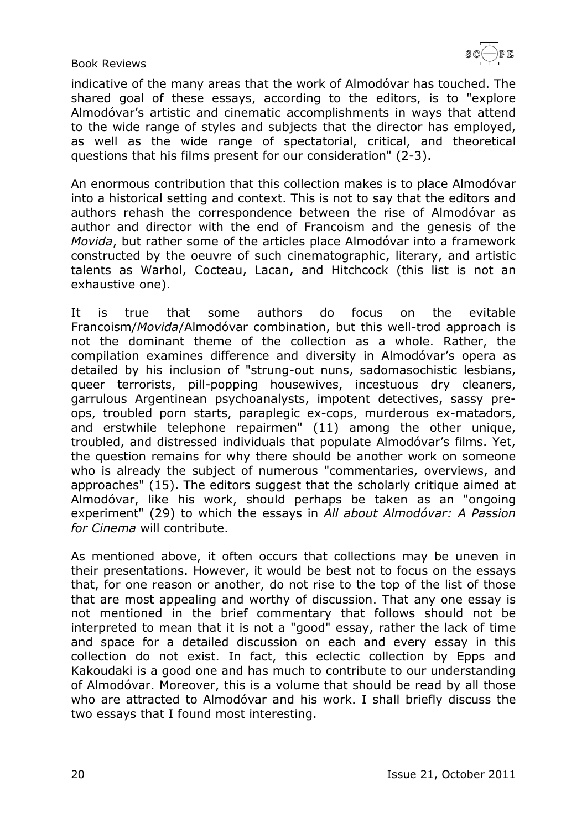indicative of the many areas that the work of Almodóvar has touched. The shared goal of these essays, according to the editors, is to "explore Almodóvar's artistic and cinematic accomplishments in ways that attend to the wide range of styles and subjects that the director has employed, as well as the wide range of spectatorial, critical, and theoretical questions that his films present for our consideration" (2-3).

An enormous contribution that this collection makes is to place Almodóvar into a historical setting and context. This is not to say that the editors and authors rehash the correspondence between the rise of Almodóvar as author and director with the end of Francoism and the genesis of the *Movida*, but rather some of the articles place Almodóvar into a framework constructed by the oeuvre of such cinematographic, literary, and artistic talents as Warhol, Cocteau, Lacan, and Hitchcock (this list is not an exhaustive one).

It is true that some authors do focus on the evitable Francoism/*Movida*/Almodóvar combination, but this well-trod approach is not the dominant theme of the collection as a whole. Rather, the compilation examines difference and diversity in Almodóvar's opera as detailed by his inclusion of "strung-out nuns, sadomasochistic lesbians, queer terrorists, pill-popping housewives, incestuous dry cleaners, garrulous Argentinean psychoanalysts, impotent detectives, sassy preops, troubled porn starts, paraplegic ex-cops, murderous ex-matadors, and erstwhile telephone repairmen" (11) among the other unique, troubled, and distressed individuals that populate Almodóvar's films. Yet, the question remains for why there should be another work on someone who is already the subject of numerous "commentaries, overviews, and approaches" (15). The editors suggest that the scholarly critique aimed at Almodóvar, like his work, should perhaps be taken as an "ongoing experiment" (29) to which the essays in *All about Almodóvar: A Passion for Cinema* will contribute.

As mentioned above, it often occurs that collections may be uneven in their presentations. However, it would be best not to focus on the essays that, for one reason or another, do not rise to the top of the list of those that are most appealing and worthy of discussion. That any one essay is not mentioned in the brief commentary that follows should not be interpreted to mean that it is not a "good" essay, rather the lack of time and space for a detailed discussion on each and every essay in this collection do not exist. In fact, this eclectic collection by Epps and Kakoudaki is a good one and has much to contribute to our understanding of Almodóvar. Moreover, this is a volume that should be read by all those who are attracted to Almodóvar and his work. I shall briefly discuss the two essays that I found most interesting.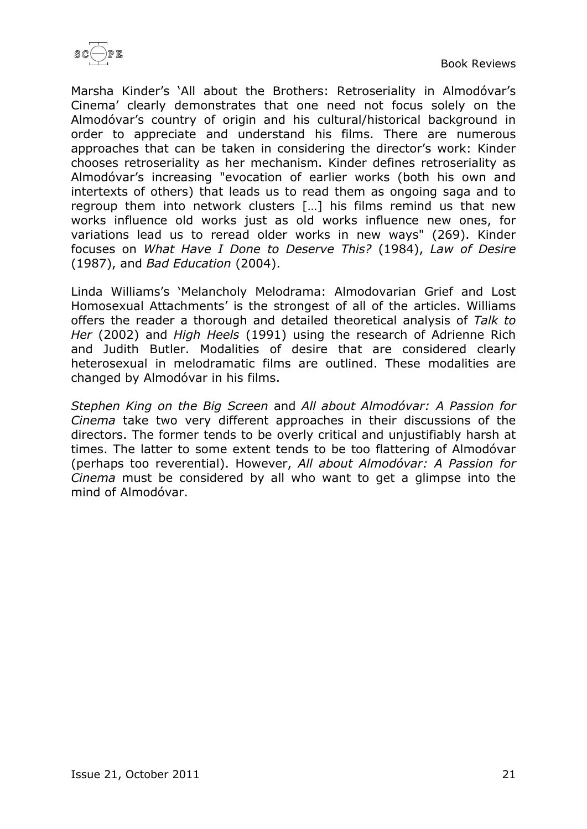

Marsha Kinder's 'All about the Brothers: Retroseriality in Almodóvar's Cinema' clearly demonstrates that one need not focus solely on the Almodóvar's country of origin and his cultural/historical background in order to appreciate and understand his films. There are numerous approaches that can be taken in considering the director's work: Kinder chooses retroseriality as her mechanism. Kinder defines retroseriality as Almodóvar's increasing "evocation of earlier works (both his own and intertexts of others) that leads us to read them as ongoing saga and to regroup them into network clusters […] his films remind us that new works influence old works just as old works influence new ones, for variations lead us to reread older works in new ways" (269). Kinder focuses on *What Have I Done to Deserve This?* (1984), *Law of Desire* (1987), and *Bad Education* (2004).

Linda Williams's 'Melancholy Melodrama: Almodovarian Grief and Lost Homosexual Attachments' is the strongest of all of the articles. Williams offers the reader a thorough and detailed theoretical analysis of *Talk to Her* (2002) and *High Heels* (1991) using the research of Adrienne Rich and Judith Butler. Modalities of desire that are considered clearly heterosexual in melodramatic films are outlined. These modalities are changed by Almodóvar in his films.

*Stephen King on the Big Screen* and *All about Almodóvar: A Passion for Cinema* take two very different approaches in their discussions of the directors. The former tends to be overly critical and unjustifiably harsh at times. The latter to some extent tends to be too flattering of Almodóvar (perhaps too reverential). However, *All about Almodóvar: A Passion for Cinema* must be considered by all who want to get a glimpse into the mind of Almodóvar.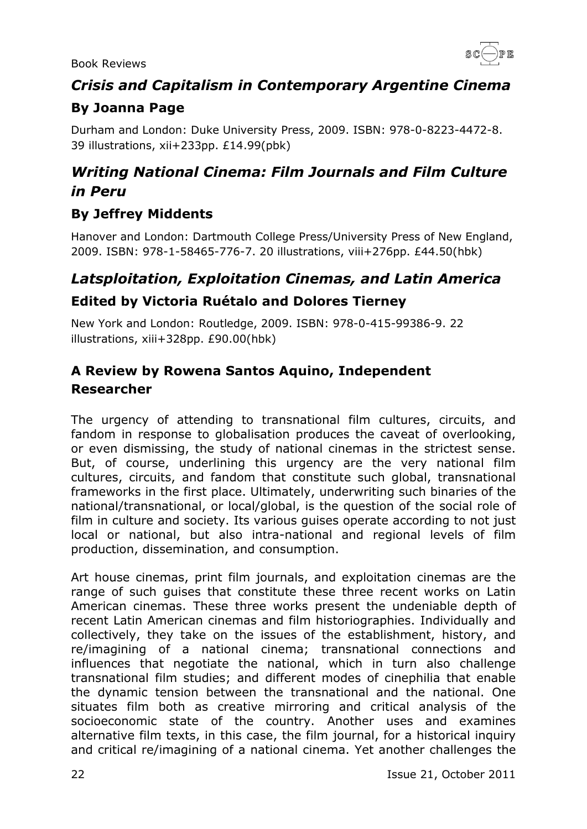

# <span id="page-21-0"></span>*Crisis and Capitalism in Contemporary Argentine Cinema* **By Joanna Page**

<span id="page-21-1"></span>Durham and London: Duke University Press, 2009. ISBN: 978-0-8223-4472-8. 39 illustrations, xii+233pp. £14.99(pbk)

# <span id="page-21-2"></span>*Writing National Cinema: Film Journals and Film Culture in Peru*

# <span id="page-21-3"></span>**By Jeffrey Middents**

Hanover and London: Dartmouth College Press/University Press of New England, 2009. ISBN: 978-1-58465-776-7. 20 illustrations, viii+276pp. £44.50(hbk)

# <span id="page-21-4"></span>*Latsploitation, Exploitation Cinemas, and Latin America*

### <span id="page-21-5"></span>**Edited by Victoria Ruétalo and Dolores Tierney**

New York and London: Routledge, 2009. ISBN: 978-0-415-99386-9. 22 illustrations, xiii+328pp. £90.00(hbk)

### <span id="page-21-6"></span>**A Review by Rowena Santos Aquino, Independent Researcher**

The urgency of attending to transnational film cultures, circuits, and fandom in response to globalisation produces the caveat of overlooking, or even dismissing, the study of national cinemas in the strictest sense. But, of course, underlining this urgency are the very national film cultures, circuits, and fandom that constitute such global, transnational frameworks in the first place. Ultimately, underwriting such binaries of the national/transnational, or local/global, is the question of the social role of film in culture and society. Its various guises operate according to not just local or national, but also intra-national and regional levels of film production, dissemination, and consumption.

Art house cinemas, print film journals, and exploitation cinemas are the range of such guises that constitute these three recent works on Latin American cinemas. These three works present the undeniable depth of recent Latin American cinemas and film historiographies. Individually and collectively, they take on the issues of the establishment, history, and re/imagining of a national cinema; transnational connections and influences that negotiate the national, which in turn also challenge transnational film studies; and different modes of cinephilia that enable the dynamic tension between the transnational and the national. One situates film both as creative mirroring and critical analysis of the socioeconomic state of the country. Another uses and examines alternative film texts, in this case, the film journal, for a historical inquiry and critical re/imagining of a national cinema. Yet another challenges the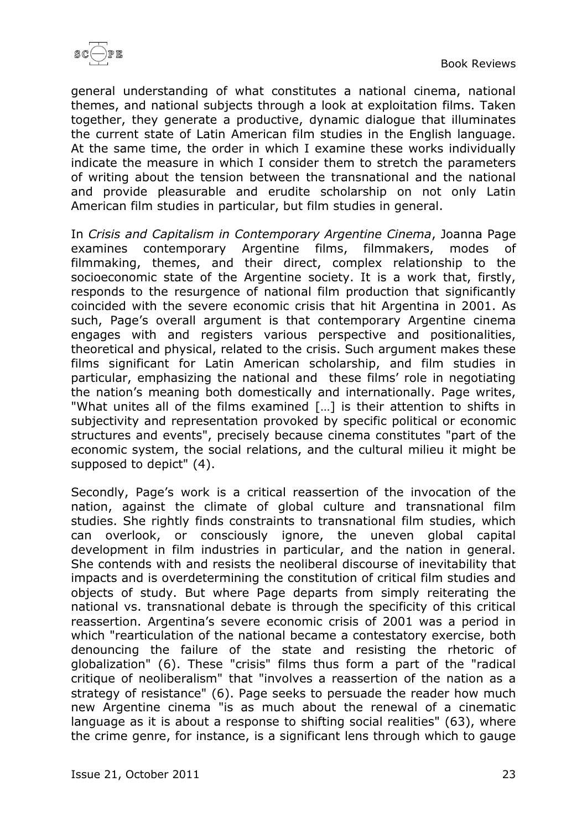

general understanding of what constitutes a national cinema, national themes, and national subjects through a look at exploitation films. Taken together, they generate a productive, dynamic dialogue that illuminates the current state of Latin American film studies in the English language. At the same time, the order in which I examine these works individually indicate the measure in which I consider them to stretch the parameters of writing about the tension between the transnational and the national and provide pleasurable and erudite scholarship on not only Latin American film studies in particular, but film studies in general.

In *Crisis and Capitalism in Contemporary Argentine Cinema*, Joanna Page examines contemporary Argentine films, filmmakers, modes of filmmaking, themes, and their direct, complex relationship to the socioeconomic state of the Argentine society. It is a work that, firstly, responds to the resurgence of national film production that significantly coincided with the severe economic crisis that hit Argentina in 2001. As such, Page's overall argument is that contemporary Argentine cinema engages with and registers various perspective and positionalities, theoretical and physical, related to the crisis. Such argument makes these films significant for Latin American scholarship, and film studies in particular, emphasizing the national and these films' role in negotiating the nation's meaning both domestically and internationally. Page writes, "What unites all of the films examined […] is their attention to shifts in subjectivity and representation provoked by specific political or economic structures and events", precisely because cinema constitutes "part of the economic system, the social relations, and the cultural milieu it might be supposed to depict" (4).

Secondly, Page's work is a critical reassertion of the invocation of the nation, against the climate of global culture and transnational film studies. She rightly finds constraints to transnational film studies, which can overlook, or consciously ignore, the uneven global capital development in film industries in particular, and the nation in general. She contends with and resists the neoliberal discourse of inevitability that impacts and is overdetermining the constitution of critical film studies and objects of study. But where Page departs from simply reiterating the national vs. transnational debate is through the specificity of this critical reassertion. Argentina's severe economic crisis of 2001 was a period in which "rearticulation of the national became a contestatory exercise, both denouncing the failure of the state and resisting the rhetoric of globalization" (6). These "crisis" films thus form a part of the "radical critique of neoliberalism" that "involves a reassertion of the nation as a strategy of resistance" (6). Page seeks to persuade the reader how much new Argentine cinema "is as much about the renewal of a cinematic language as it is about a response to shifting social realities" (63), where the crime genre, for instance, is a significant lens through which to gauge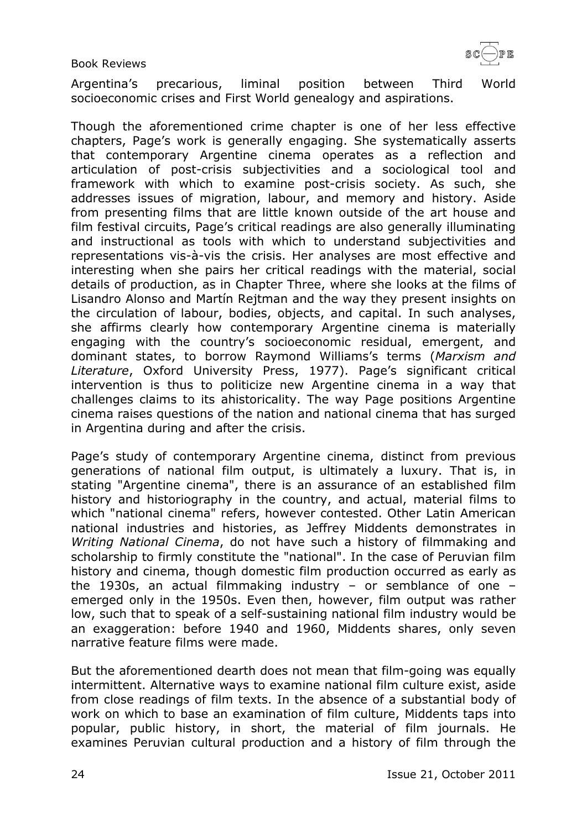

Argentina's precarious, liminal position between Third World socioeconomic crises and First World genealogy and aspirations.

Though the aforementioned crime chapter is one of her less effective chapters, Page's work is generally engaging. She systematically asserts that contemporary Argentine cinema operates as a reflection and articulation of post-crisis subjectivities and a sociological tool and framework with which to examine post-crisis society. As such, she addresses issues of migration, labour, and memory and history. Aside from presenting films that are little known outside of the art house and film festival circuits, Page's critical readings are also generally illuminating and instructional as tools with which to understand subjectivities and representations vis-à-vis the crisis. Her analyses are most effective and interesting when she pairs her critical readings with the material, social details of production, as in Chapter Three, where she looks at the films of Lisandro Alonso and Martín Rejtman and the way they present insights on the circulation of labour, bodies, objects, and capital. In such analyses, she affirms clearly how contemporary Argentine cinema is materially engaging with the country's socioeconomic residual, emergent, and dominant states, to borrow Raymond Williams's terms (*Marxism and Literature*, Oxford University Press, 1977). Page's significant critical intervention is thus to politicize new Argentine cinema in a way that challenges claims to its ahistoricality. The way Page positions Argentine cinema raises questions of the nation and national cinema that has surged in Argentina during and after the crisis.

Page's study of contemporary Argentine cinema, distinct from previous generations of national film output, is ultimately a luxury. That is, in stating "Argentine cinema", there is an assurance of an established film history and historiography in the country, and actual, material films to which "national cinema" refers, however contested. Other Latin American national industries and histories, as Jeffrey Middents demonstrates in *Writing National Cinema*, do not have such a history of filmmaking and scholarship to firmly constitute the "national". In the case of Peruvian film history and cinema, though domestic film production occurred as early as the 1930s, an actual filmmaking industry – or semblance of one – emerged only in the 1950s. Even then, however, film output was rather low, such that to speak of a self-sustaining national film industry would be an exaggeration: before 1940 and 1960, Middents shares, only seven narrative feature films were made.

But the aforementioned dearth does not mean that film-going was equally intermittent. Alternative ways to examine national film culture exist, aside from close readings of film texts. In the absence of a substantial body of work on which to base an examination of film culture, Middents taps into popular, public history, in short, the material of film journals. He examines Peruvian cultural production and a history of film through the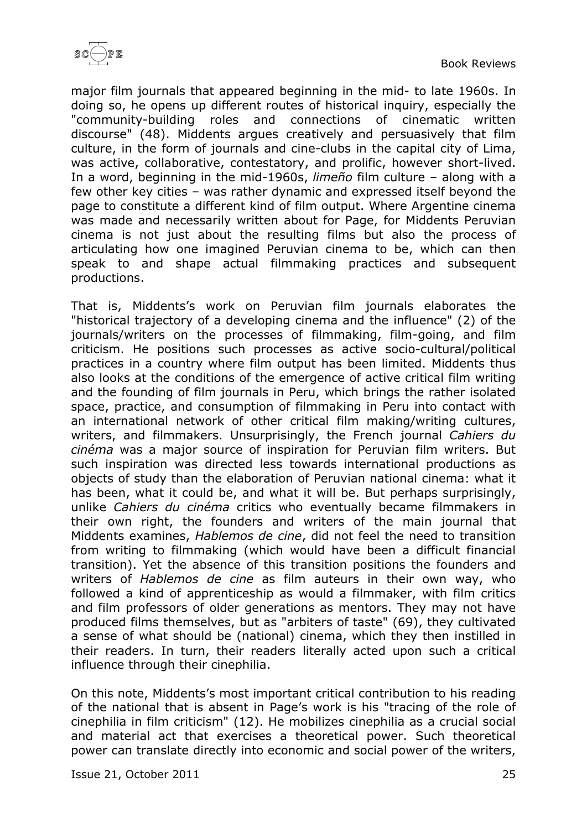

major film journals that appeared beginning in the mid- to late 1960s. In doing so, he opens up different routes of historical inquiry, especially the "community-building roles and connections of cinematic written discourse" (48). Middents argues creatively and persuasively that film culture, in the form of journals and cine-clubs in the capital city of Lima, was active, collaborative, contestatory, and prolific, however short-lived. In a word, beginning in the mid-1960s, *limeño* film culture – along with a few other key cities – was rather dynamic and expressed itself beyond the page to constitute a different kind of film output. Where Argentine cinema was made and necessarily written about for Page, for Middents Peruvian cinema is not just about the resulting films but also the process of articulating how one imagined Peruvian cinema to be, which can then speak to and shape actual filmmaking practices and subsequent productions.

That is, Middents's work on Peruvian film journals elaborates the "historical trajectory of a developing cinema and the influence" (2) of the journals/writers on the processes of filmmaking, film-going, and film criticism. He positions such processes as active socio-cultural/political practices in a country where film output has been limited. Middents thus also looks at the conditions of the emergence of active critical film writing and the founding of film journals in Peru, which brings the rather isolated space, practice, and consumption of filmmaking in Peru into contact with an international network of other critical film making/writing cultures, writers, and filmmakers. Unsurprisingly, the French journal *Cahiers du cinéma* was a major source of inspiration for Peruvian film writers. But such inspiration was directed less towards international productions as objects of study than the elaboration of Peruvian national cinema: what it has been, what it could be, and what it will be. But perhaps surprisingly, unlike *Cahiers du cinéma* critics who eventually became filmmakers in their own right, the founders and writers of the main journal that Middents examines, *Hablemos de cine*, did not feel the need to transition from writing to filmmaking (which would have been a difficult financial transition). Yet the absence of this transition positions the founders and writers of *Hablemos de cine* as film auteurs in their own way, who followed a kind of apprenticeship as would a filmmaker, with film critics and film professors of older generations as mentors. They may not have produced films themselves, but as "arbiters of taste" (69), they cultivated a sense of what should be (national) cinema, which they then instilled in their readers. In turn, their readers literally acted upon such a critical influence through their cinephilia.

On this note, Middents's most important critical contribution to his reading of the national that is absent in Page's work is his "tracing of the role of cinephilia in film criticism" (12). He mobilizes cinephilia as a crucial social and material act that exercises a theoretical power. Such theoretical power can translate directly into economic and social power of the writers,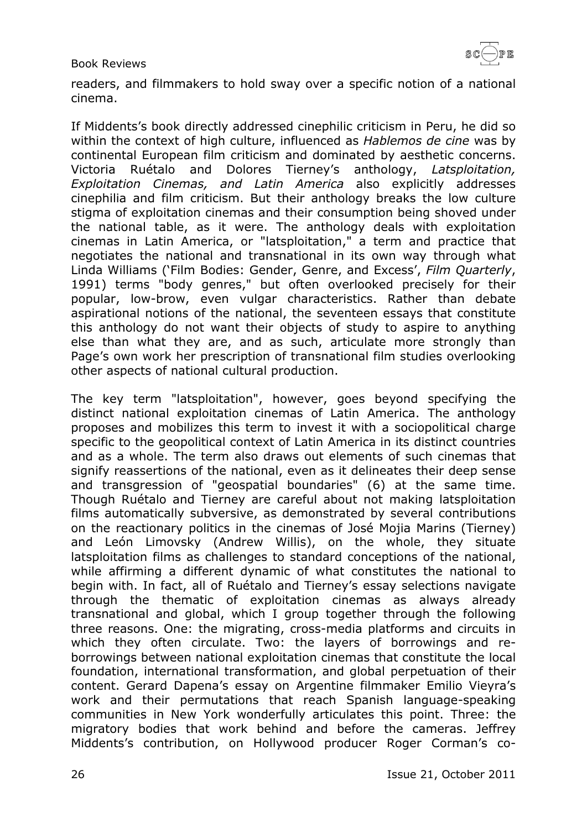

readers, and filmmakers to hold sway over a specific notion of a national cinema.

If Middents's book directly addressed cinephilic criticism in Peru, he did so within the context of high culture, influenced as *Hablemos de cine* was by continental European film criticism and dominated by aesthetic concerns. Victoria Ruétalo and Dolores Tierney's anthology, *Latsploitation, Exploitation Cinemas, and Latin America* also explicitly addresses cinephilia and film criticism. But their anthology breaks the low culture stigma of exploitation cinemas and their consumption being shoved under the national table, as it were. The anthology deals with exploitation cinemas in Latin America, or "latsploitation," a term and practice that negotiates the national and transnational in its own way through what Linda Williams ('Film Bodies: Gender, Genre, and Excess', *Film Quarterly*, 1991) terms "body genres," but often overlooked precisely for their popular, low-brow, even vulgar characteristics. Rather than debate aspirational notions of the national, the seventeen essays that constitute this anthology do not want their objects of study to aspire to anything else than what they are, and as such, articulate more strongly than Page's own work her prescription of transnational film studies overlooking other aspects of national cultural production.

The key term "latsploitation", however, goes beyond specifying the distinct national exploitation cinemas of Latin America. The anthology proposes and mobilizes this term to invest it with a sociopolitical charge specific to the geopolitical context of Latin America in its distinct countries and as a whole. The term also draws out elements of such cinemas that signify reassertions of the national, even as it delineates their deep sense and transgression of "geospatial boundaries" (6) at the same time. Though Ruétalo and Tierney are careful about not making latsploitation films automatically subversive, as demonstrated by several contributions on the reactionary politics in the cinemas of José Mojia Marins (Tierney) and León Limovsky (Andrew Willis), on the whole, they situate latsploitation films as challenges to standard conceptions of the national, while affirming a different dynamic of what constitutes the national to begin with. In fact, all of Ruétalo and Tierney's essay selections navigate through the thematic of exploitation cinemas as always already transnational and global, which I group together through the following three reasons. One: the migrating, cross-media platforms and circuits in which they often circulate. Two: the layers of borrowings and reborrowings between national exploitation cinemas that constitute the local foundation, international transformation, and global perpetuation of their content. Gerard Dapena's essay on Argentine filmmaker Emilio Vieyra's work and their permutations that reach Spanish language-speaking communities in New York wonderfully articulates this point. Three: the migratory bodies that work behind and before the cameras. Jeffrey Middents's contribution, on Hollywood producer Roger Corman's co-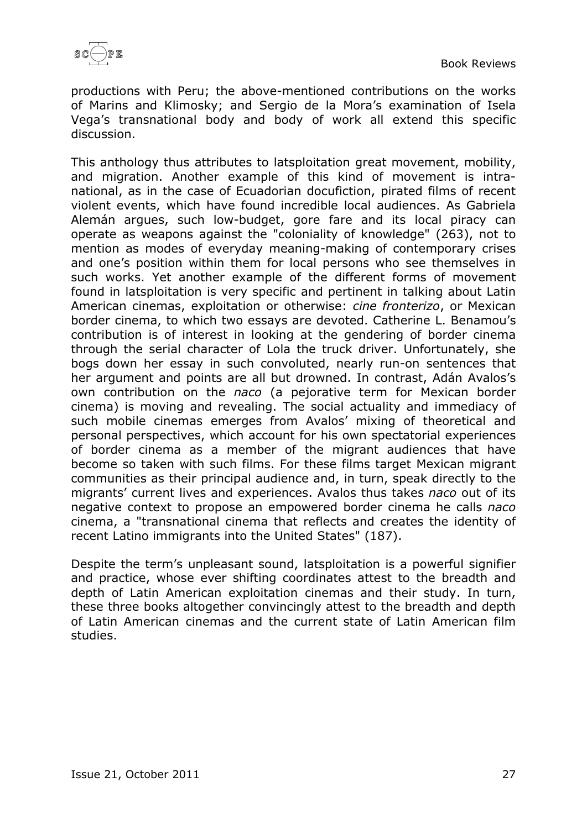

productions with Peru; the above-mentioned contributions on the works of Marins and Klimosky; and Sergio de la Mora's examination of Isela Vega's transnational body and body of work all extend this specific discussion.

This anthology thus attributes to latsploitation great movement, mobility, and migration. Another example of this kind of movement is intranational, as in the case of Ecuadorian docufiction, pirated films of recent violent events, which have found incredible local audiences. As Gabriela Alemán argues, such low-budget, gore fare and its local piracy can operate as weapons against the "coloniality of knowledge" (263), not to mention as modes of everyday meaning-making of contemporary crises and one's position within them for local persons who see themselves in such works. Yet another example of the different forms of movement found in latsploitation is very specific and pertinent in talking about Latin American cinemas, exploitation or otherwise: *cine fronterizo*, or Mexican border cinema, to which two essays are devoted. Catherine L. Benamou's contribution is of interest in looking at the gendering of border cinema through the serial character of Lola the truck driver. Unfortunately, she bogs down her essay in such convoluted, nearly run-on sentences that her argument and points are all but drowned. In contrast, Adán Avalos's own contribution on the *naco* (a pejorative term for Mexican border cinema) is moving and revealing. The social actuality and immediacy of such mobile cinemas emerges from Avalos' mixing of theoretical and personal perspectives, which account for his own spectatorial experiences of border cinema as a member of the migrant audiences that have become so taken with such films. For these films target Mexican migrant communities as their principal audience and, in turn, speak directly to the migrants' current lives and experiences. Avalos thus takes *naco* out of its negative context to propose an empowered border cinema he calls *naco* cinema, a "transnational cinema that reflects and creates the identity of recent Latino immigrants into the United States" (187).

Despite the term's unpleasant sound, latsploitation is a powerful signifier and practice, whose ever shifting coordinates attest to the breadth and depth of Latin American exploitation cinemas and their study. In turn, these three books altogether convincingly attest to the breadth and depth of Latin American cinemas and the current state of Latin American film studies.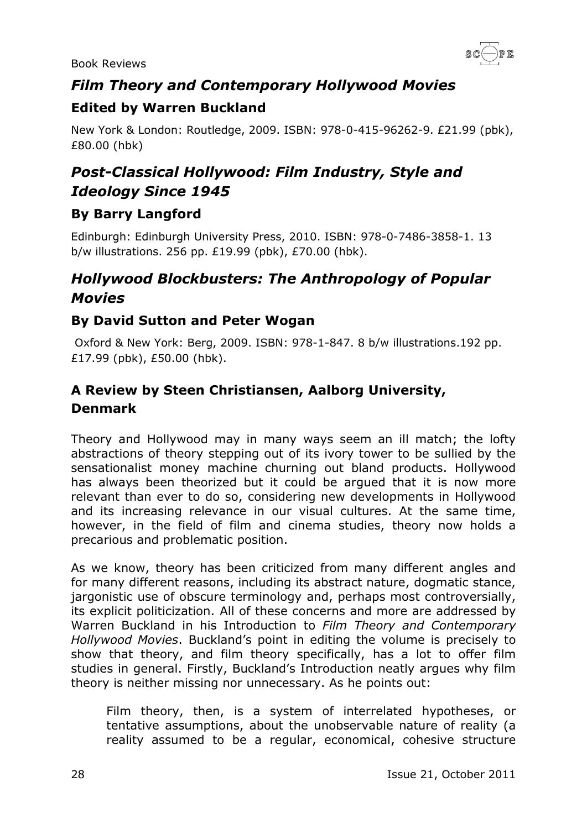

# <span id="page-27-0"></span>*Film Theory and Contemporary Hollywood Movies*

### <span id="page-27-1"></span>**Edited by Warren Buckland**

New York & London: Routledge, 2009. ISBN: 978-0-415-96262-9. £21.99 (pbk), £80.00 (hbk)

# <span id="page-27-2"></span>*Post-Classical Hollywood: Film Industry, Style and Ideology Since 1945*

### <span id="page-27-3"></span>**By Barry Langford**

Edinburgh: Edinburgh University Press, 2010. ISBN: 978-0-7486-3858-1. 13 b/w illustrations. 256 pp. £19.99 (pbk), £70.00 (hbk).

# <span id="page-27-4"></span>*Hollywood Blockbusters: The Anthropology of Popular Movies*

#### <span id="page-27-5"></span>**By David Sutton and Peter Wogan**

Oxford & New York: Berg, 2009. ISBN: 978-1-847. 8 b/w illustrations.192 pp. £17.99 (pbk), £50.00 (hbk).

### <span id="page-27-6"></span>**A Review by Steen Christiansen, Aalborg University, Denmark**

Theory and Hollywood may in many ways seem an ill match; the lofty abstractions of theory stepping out of its ivory tower to be sullied by the sensationalist money machine churning out bland products. Hollywood has always been theorized but it could be argued that it is now more relevant than ever to do so, considering new developments in Hollywood and its increasing relevance in our visual cultures. At the same time, however, in the field of film and cinema studies, theory now holds a precarious and problematic position.

As we know, theory has been criticized from many different angles and for many different reasons, including its abstract nature, dogmatic stance, jargonistic use of obscure terminology and, perhaps most controversially, its explicit politicization. All of these concerns and more are addressed by Warren Buckland in his Introduction to *Film Theory and Contemporary Hollywood Movies*. Buckland's point in editing the volume is precisely to show that theory, and film theory specifically, has a lot to offer film studies in general. Firstly, Buckland's Introduction neatly argues why film theory is neither missing nor unnecessary. As he points out:

Film theory, then, is a system of interrelated hypotheses, or tentative assumptions, about the unobservable nature of reality (a reality assumed to be a regular, economical, cohesive structure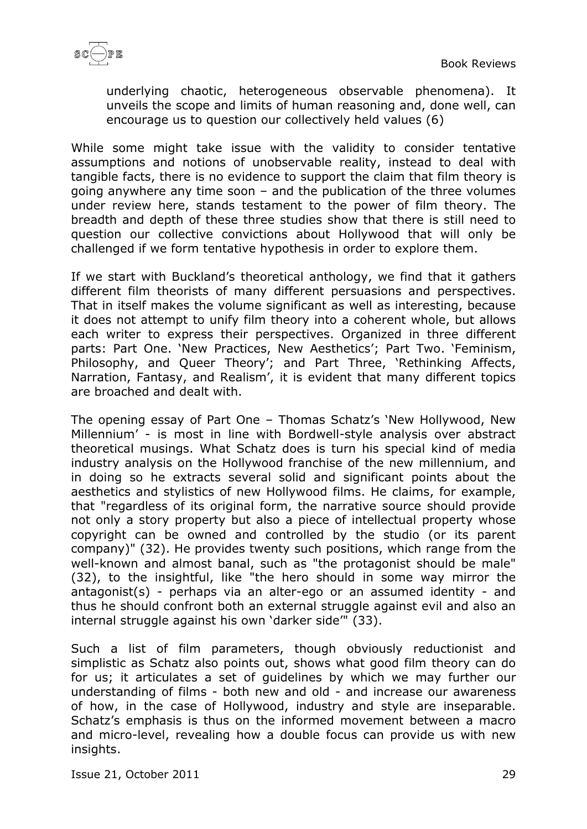

underlying chaotic, heterogeneous observable phenomena). It unveils the scope and limits of human reasoning and, done well, can encourage us to question our collectively held values (6)

While some might take issue with the validity to consider tentative assumptions and notions of unobservable reality, instead to deal with tangible facts, there is no evidence to support the claim that film theory is going anywhere any time soon – and the publication of the three volumes under review here, stands testament to the power of film theory. The breadth and depth of these three studies show that there is still need to question our collective convictions about Hollywood that will only be challenged if we form tentative hypothesis in order to explore them.

If we start with Buckland's theoretical anthology, we find that it gathers different film theorists of many different persuasions and perspectives. That in itself makes the volume significant as well as interesting, because it does not attempt to unify film theory into a coherent whole, but allows each writer to express their perspectives. Organized in three different parts: Part One. 'New Practices, New Aesthetics'; Part Two. 'Feminism, Philosophy, and Queer Theory'; and Part Three, 'Rethinking Affects, Narration, Fantasy, and Realism', it is evident that many different topics are broached and dealt with.

The opening essay of Part One – Thomas Schatz's 'New Hollywood, New Millennium' - is most in line with Bordwell-style analysis over abstract theoretical musings. What Schatz does is turn his special kind of media industry analysis on the Hollywood franchise of the new millennium, and in doing so he extracts several solid and significant points about the aesthetics and stylistics of new Hollywood films. He claims, for example, that "regardless of its original form, the narrative source should provide not only a story property but also a piece of intellectual property whose copyright can be owned and controlled by the studio (or its parent company)" (32). He provides twenty such positions, which range from the well-known and almost banal, such as "the protagonist should be male" (32), to the insightful, like "the hero should in some way mirror the antagonist(s) - perhaps via an alter-ego or an assumed identity - and thus he should confront both an external struggle against evil and also an internal struggle against his own 'darker side'" (33).

Such a list of film parameters, though obviously reductionist and simplistic as Schatz also points out, shows what good film theory can do for us; it articulates a set of guidelines by which we may further our understanding of films - both new and old - and increase our awareness of how, in the case of Hollywood, industry and style are inseparable. Schatz's emphasis is thus on the informed movement between a macro and micro-level, revealing how a double focus can provide us with new insights.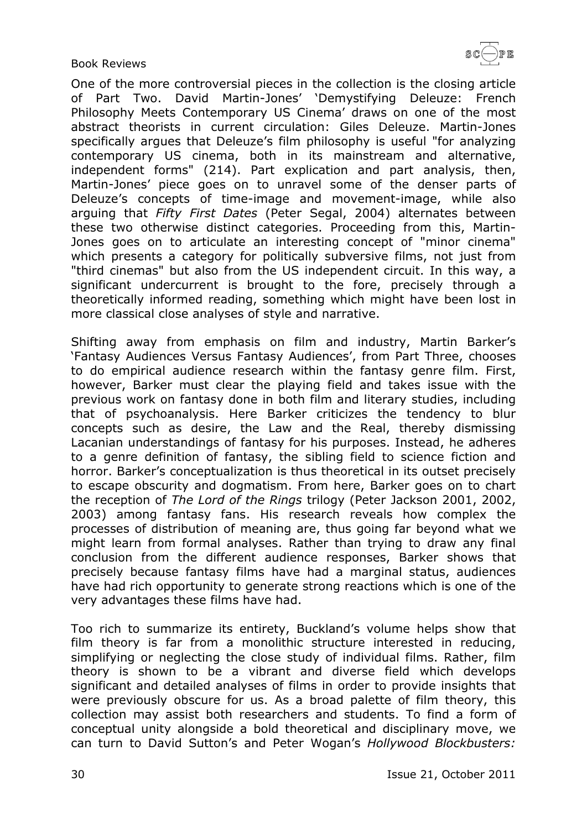$\texttt{SC}(\!\!\!-\!\!\,) \texttt{PE}$ 

Book Reviews

One of the more controversial pieces in the collection is the closing article of Part Two. David Martin-Jones' 'Demystifying Deleuze: French Philosophy Meets Contemporary US Cinema' draws on one of the most abstract theorists in current circulation: Giles Deleuze. Martin-Jones specifically argues that Deleuze's film philosophy is useful "for analyzing contemporary US cinema, both in its mainstream and alternative, independent forms" (214). Part explication and part analysis, then, Martin-Jones' piece goes on to unravel some of the denser parts of Deleuze's concepts of time-image and movement-image, while also arguing that *Fifty First Dates* (Peter Segal, 2004) alternates between these two otherwise distinct categories. Proceeding from this, Martin-Jones goes on to articulate an interesting concept of "minor cinema" which presents a category for politically subversive films, not just from "third cinemas" but also from the US independent circuit. In this way, a significant undercurrent is brought to the fore, precisely through a theoretically informed reading, something which might have been lost in more classical close analyses of style and narrative.

Shifting away from emphasis on film and industry, Martin Barker's 'Fantasy Audiences Versus Fantasy Audiences', from Part Three, chooses to do empirical audience research within the fantasy genre film. First, however, Barker must clear the playing field and takes issue with the previous work on fantasy done in both film and literary studies, including that of psychoanalysis. Here Barker criticizes the tendency to blur concepts such as desire, the Law and the Real, thereby dismissing Lacanian understandings of fantasy for his purposes. Instead, he adheres to a genre definition of fantasy, the sibling field to science fiction and horror. Barker's conceptualization is thus theoretical in its outset precisely to escape obscurity and dogmatism. From here, Barker goes on to chart the reception of *The Lord of the Rings* trilogy (Peter Jackson 2001, 2002, 2003) among fantasy fans. His research reveals how complex the processes of distribution of meaning are, thus going far beyond what we might learn from formal analyses. Rather than trying to draw any final conclusion from the different audience responses, Barker shows that precisely because fantasy films have had a marginal status, audiences have had rich opportunity to generate strong reactions which is one of the very advantages these films have had.

Too rich to summarize its entirety, Buckland's volume helps show that film theory is far from a monolithic structure interested in reducing, simplifying or neglecting the close study of individual films. Rather, film theory is shown to be a vibrant and diverse field which develops significant and detailed analyses of films in order to provide insights that were previously obscure for us. As a broad palette of film theory, this collection may assist both researchers and students. To find a form of conceptual unity alongside a bold theoretical and disciplinary move, we can turn to David Sutton's and Peter Wogan's *Hollywood Blockbusters:*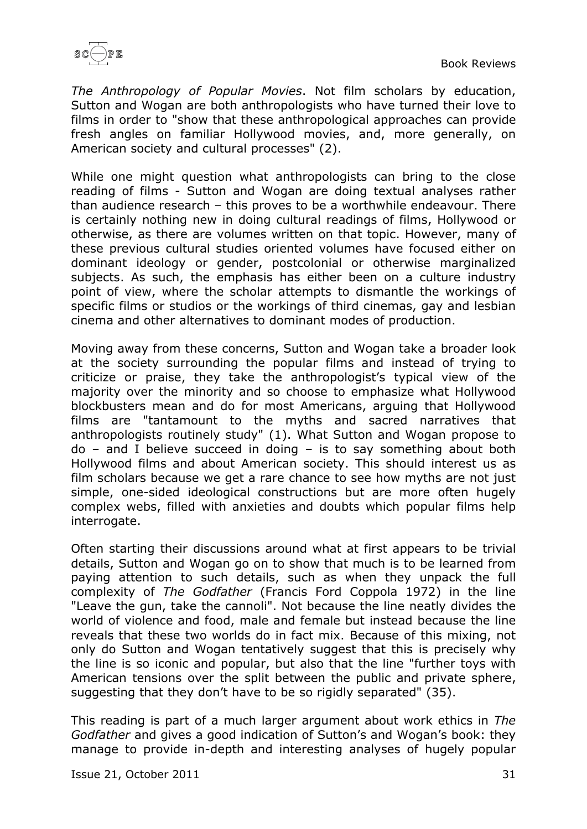

*The Anthropology of Popular Movies*. Not film scholars by education, Sutton and Wogan are both anthropologists who have turned their love to films in order to "show that these anthropological approaches can provide fresh angles on familiar Hollywood movies, and, more generally, on American society and cultural processes" (2).

While one might question what anthropologists can bring to the close reading of films - Sutton and Wogan are doing textual analyses rather than audience research – this proves to be a worthwhile endeavour. There is certainly nothing new in doing cultural readings of films, Hollywood or otherwise, as there are volumes written on that topic. However, many of these previous cultural studies oriented volumes have focused either on dominant ideology or gender, postcolonial or otherwise marginalized subjects. As such, the emphasis has either been on a culture industry point of view, where the scholar attempts to dismantle the workings of specific films or studios or the workings of third cinemas, gay and lesbian cinema and other alternatives to dominant modes of production.

Moving away from these concerns, Sutton and Wogan take a broader look at the society surrounding the popular films and instead of trying to criticize or praise, they take the anthropologist's typical view of the majority over the minority and so choose to emphasize what Hollywood blockbusters mean and do for most Americans, arguing that Hollywood films are "tantamount to the myths and sacred narratives that anthropologists routinely study" (1). What Sutton and Wogan propose to  $do -$  and I believe succeed in doing  $-$  is to say something about both Hollywood films and about American society. This should interest us as film scholars because we get a rare chance to see how myths are not just simple, one-sided ideological constructions but are more often hugely complex webs, filled with anxieties and doubts which popular films help interrogate.

Often starting their discussions around what at first appears to be trivial details, Sutton and Wogan go on to show that much is to be learned from paying attention to such details, such as when they unpack the full complexity of *The Godfather* (Francis Ford Coppola 1972) in the line "Leave the gun, take the cannoli". Not because the line neatly divides the world of violence and food, male and female but instead because the line reveals that these two worlds do in fact mix. Because of this mixing, not only do Sutton and Wogan tentatively suggest that this is precisely why the line is so iconic and popular, but also that the line "further toys with American tensions over the split between the public and private sphere, suggesting that they don't have to be so rigidly separated" (35).

This reading is part of a much larger argument about work ethics in *The Godfather* and gives a good indication of Sutton's and Wogan's book: they manage to provide in-depth and interesting analyses of hugely popular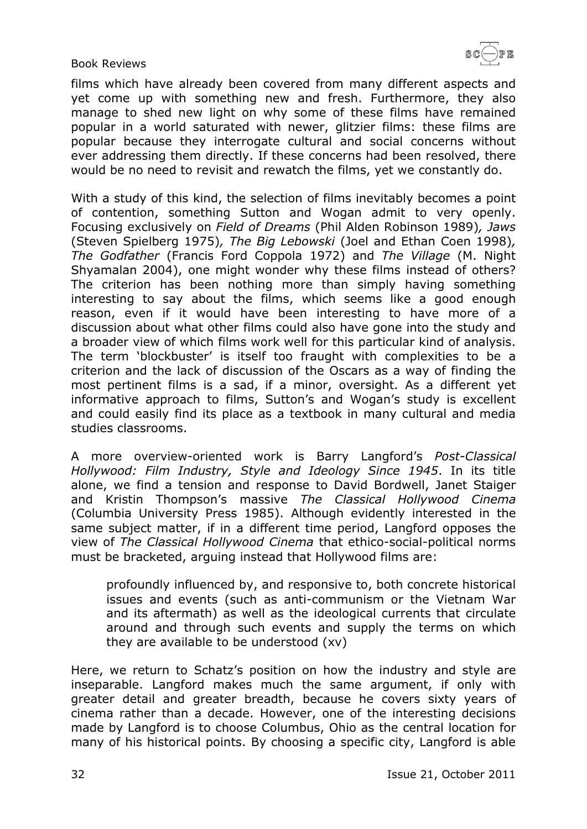

films which have already been covered from many different aspects and yet come up with something new and fresh. Furthermore, they also manage to shed new light on why some of these films have remained popular in a world saturated with newer, glitzier films: these films are popular because they interrogate cultural and social concerns without ever addressing them directly. If these concerns had been resolved, there would be no need to revisit and rewatch the films, yet we constantly do.

With a study of this kind, the selection of films inevitably becomes a point of contention, something Sutton and Wogan admit to very openly. Focusing exclusively on *Field of Dreams* (Phil Alden Robinson 1989)*, Jaws* (Steven Spielberg 1975)*, The Big Lebowski* (Joel and Ethan Coen 1998)*, The Godfather* (Francis Ford Coppola 1972) and *The Village* (M. Night Shyamalan 2004), one might wonder why these films instead of others? The criterion has been nothing more than simply having something interesting to say about the films, which seems like a good enough reason, even if it would have been interesting to have more of a discussion about what other films could also have gone into the study and a broader view of which films work well for this particular kind of analysis. The term 'blockbuster' is itself too fraught with complexities to be a criterion and the lack of discussion of the Oscars as a way of finding the most pertinent films is a sad, if a minor, oversight. As a different yet informative approach to films, Sutton's and Wogan's study is excellent and could easily find its place as a textbook in many cultural and media studies classrooms.

A more overview-oriented work is Barry Langford's *Post-Classical Hollywood: Film Industry, Style and Ideology Since 1945*. In its title alone, we find a tension and response to David Bordwell, Janet Staiger and Kristin Thompson's massive *The Classical Hollywood Cinema* (Columbia University Press 1985). Although evidently interested in the same subject matter, if in a different time period, Langford opposes the view of *The Classical Hollywood Cinema* that ethico-social-political norms must be bracketed, arguing instead that Hollywood films are:

profoundly influenced by, and responsive to, both concrete historical issues and events (such as anti-communism or the Vietnam War and its aftermath) as well as the ideological currents that circulate around and through such events and supply the terms on which they are available to be understood (xv)

Here, we return to Schatz's position on how the industry and style are inseparable. Langford makes much the same argument, if only with greater detail and greater breadth, because he covers sixty years of cinema rather than a decade. However, one of the interesting decisions made by Langford is to choose Columbus, Ohio as the central location for many of his historical points. By choosing a specific city, Langford is able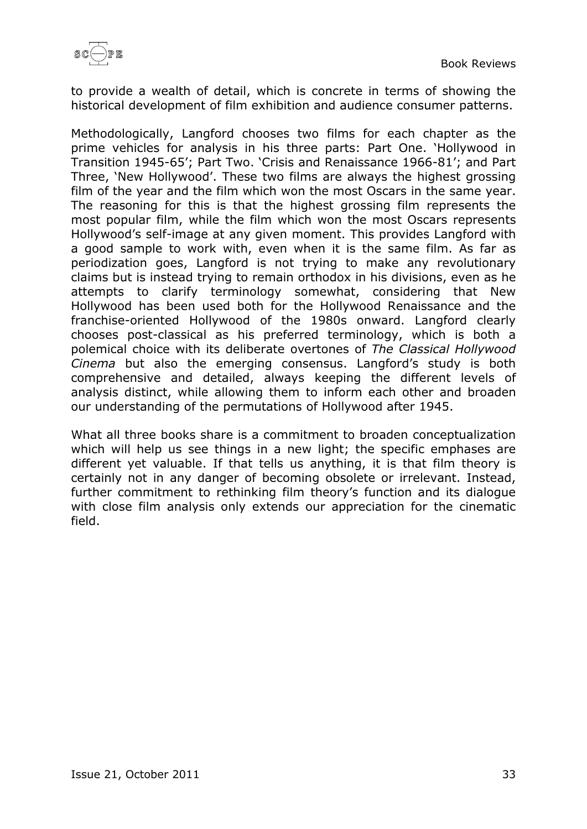

to provide a wealth of detail, which is concrete in terms of showing the historical development of film exhibition and audience consumer patterns.

Methodologically, Langford chooses two films for each chapter as the prime vehicles for analysis in his three parts: Part One. 'Hollywood in Transition 1945-65'; Part Two. 'Crisis and Renaissance 1966-81'; and Part Three, 'New Hollywood'. These two films are always the highest grossing film of the year and the film which won the most Oscars in the same year. The reasoning for this is that the highest grossing film represents the most popular film, while the film which won the most Oscars represents Hollywood's self-image at any given moment. This provides Langford with a good sample to work with, even when it is the same film. As far as periodization goes, Langford is not trying to make any revolutionary claims but is instead trying to remain orthodox in his divisions, even as he attempts to clarify terminology somewhat, considering that New Hollywood has been used both for the Hollywood Renaissance and the franchise-oriented Hollywood of the 1980s onward. Langford clearly chooses post-classical as his preferred terminology, which is both a polemical choice with its deliberate overtones of *The Classical Hollywood Cinema* but also the emerging consensus. Langford's study is both comprehensive and detailed, always keeping the different levels of analysis distinct, while allowing them to inform each other and broaden our understanding of the permutations of Hollywood after 1945.

What all three books share is a commitment to broaden conceptualization which will help us see things in a new light; the specific emphases are different yet valuable. If that tells us anything, it is that film theory is certainly not in any danger of becoming obsolete or irrelevant. Instead, further commitment to rethinking film theory's function and its dialogue with close film analysis only extends our appreciation for the cinematic field.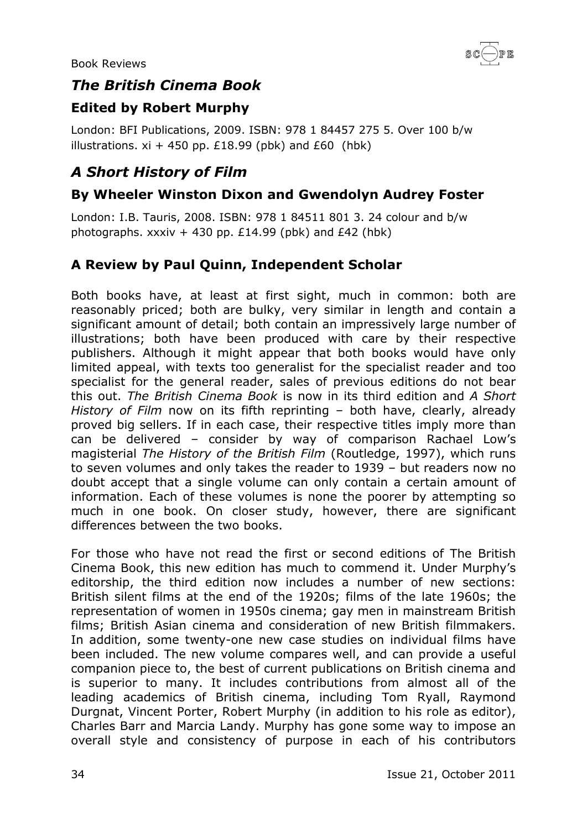

### <span id="page-33-0"></span>*The British Cinema Book*

### <span id="page-33-1"></span>**Edited by Robert Murphy**

London: BFI Publications, 2009. ISBN: 978 1 84457 275 5. Over 100 b/w illustrations.  $xi + 450$  pp. £18.99 (pbk) and £60 (hbk)

# <span id="page-33-2"></span>*A Short History of Film*

#### <span id="page-33-3"></span>**By Wheeler Winston Dixon and Gwendolyn Audrey Foster**

London: I.B. Tauris, 2008. ISBN: 978 1 84511 801 3. 24 colour and b/w photographs. xxxiv + 430 pp.  $£14.99$  (pbk) and  $£42$  (hbk)

#### <span id="page-33-4"></span>**A Review by Paul Quinn, Independent Scholar**

Both books have, at least at first sight, much in common: both are reasonably priced; both are bulky, very similar in length and contain a significant amount of detail; both contain an impressively large number of illustrations; both have been produced with care by their respective publishers. Although it might appear that both books would have only limited appeal, with texts too generalist for the specialist reader and too specialist for the general reader, sales of previous editions do not bear this out. *The British Cinema Book* is now in its third edition and *A Short History of Film* now on its fifth reprinting – both have, clearly, already proved big sellers. If in each case, their respective titles imply more than can be delivered – consider by way of comparison Rachael Low's magisterial *The History of the British Film* (Routledge, 1997), which runs to seven volumes and only takes the reader to 1939 – but readers now no doubt accept that a single volume can only contain a certain amount of information. Each of these volumes is none the poorer by attempting so much in one book. On closer study, however, there are significant differences between the two books.

For those who have not read the first or second editions of The British Cinema Book, this new edition has much to commend it. Under Murphy's editorship, the third edition now includes a number of new sections: British silent films at the end of the 1920s; films of the late 1960s; the representation of women in 1950s cinema; gay men in mainstream British films; British Asian cinema and consideration of new British filmmakers. In addition, some twenty-one new case studies on individual films have been included. The new volume compares well, and can provide a useful companion piece to, the best of current publications on British cinema and is superior to many. It includes contributions from almost all of the leading academics of British cinema, including Tom Ryall, Raymond Durgnat, Vincent Porter, Robert Murphy (in addition to his role as editor), Charles Barr and Marcia Landy. Murphy has gone some way to impose an overall style and consistency of purpose in each of his contributors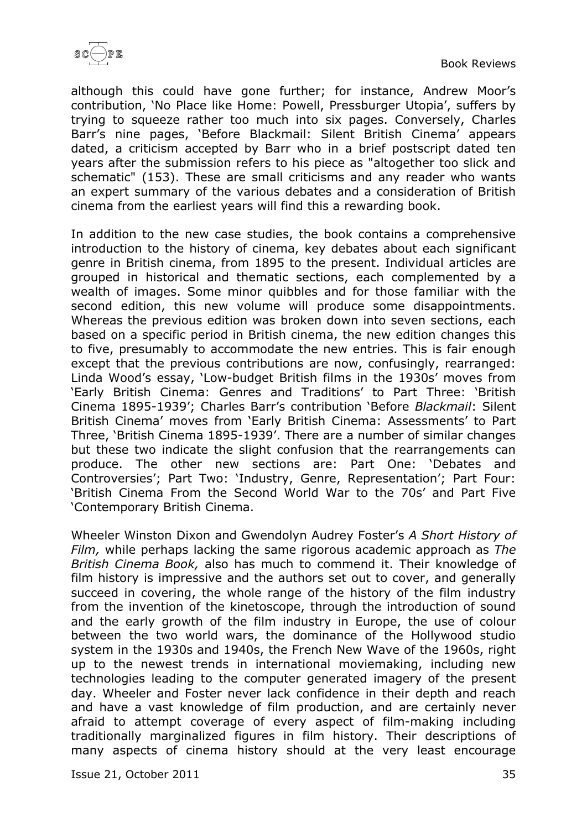

although this could have gone further; for instance, Andrew Moor's contribution, 'No Place like Home: Powell, Pressburger Utopia', suffers by trying to squeeze rather too much into six pages. Conversely, Charles Barr's nine pages, 'Before Blackmail: Silent British Cinema' appears dated, a criticism accepted by Barr who in a brief postscript dated ten years after the submission refers to his piece as "altogether too slick and schematic" (153). These are small criticisms and any reader who wants an expert summary of the various debates and a consideration of British cinema from the earliest years will find this a rewarding book.

In addition to the new case studies, the book contains a comprehensive introduction to the history of cinema, key debates about each significant genre in British cinema, from 1895 to the present. Individual articles are grouped in historical and thematic sections, each complemented by a wealth of images. Some minor quibbles and for those familiar with the second edition, this new volume will produce some disappointments. Whereas the previous edition was broken down into seven sections, each based on a specific period in British cinema, the new edition changes this to five, presumably to accommodate the new entries. This is fair enough except that the previous contributions are now, confusingly, rearranged: Linda Wood's essay, 'Low-budget British films in the 1930s' moves from 'Early British Cinema: Genres and Traditions' to Part Three: 'British Cinema 1895-1939'; Charles Barr's contribution 'Before *Blackmail*: Silent British Cinema' moves from 'Early British Cinema: Assessments' to Part Three, 'British Cinema 1895-1939'. There are a number of similar changes but these two indicate the slight confusion that the rearrangements can produce. The other new sections are: Part One: 'Debates and Controversies'; Part Two: 'Industry, Genre, Representation'; Part Four: 'British Cinema From the Second World War to the 70s' and Part Five 'Contemporary British Cinema.

Wheeler Winston Dixon and Gwendolyn Audrey Foster's *A Short History of Film,* while perhaps lacking the same rigorous academic approach as *The British Cinema Book,* also has much to commend it. Their knowledge of film history is impressive and the authors set out to cover, and generally succeed in covering, the whole range of the history of the film industry from the invention of the kinetoscope, through the introduction of sound and the early growth of the film industry in Europe, the use of colour between the two world wars, the dominance of the Hollywood studio system in the 1930s and 1940s, the French New Wave of the 1960s, right up to the newest trends in international moviemaking, including new technologies leading to the computer generated imagery of the present day. Wheeler and Foster never lack confidence in their depth and reach and have a vast knowledge of film production, and are certainly never afraid to attempt coverage of every aspect of film-making including traditionally marginalized figures in film history. Their descriptions of many aspects of cinema history should at the very least encourage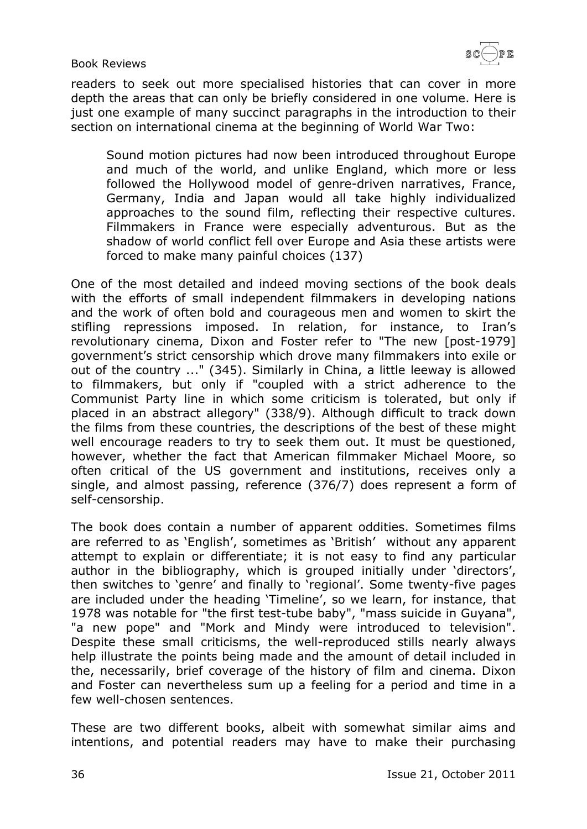

readers to seek out more specialised histories that can cover in more depth the areas that can only be briefly considered in one volume. Here is just one example of many succinct paragraphs in the introduction to their section on international cinema at the beginning of World War Two:

Sound motion pictures had now been introduced throughout Europe and much of the world, and unlike England, which more or less followed the Hollywood model of genre-driven narratives, France, Germany, India and Japan would all take highly individualized approaches to the sound film, reflecting their respective cultures. Filmmakers in France were especially adventurous. But as the shadow of world conflict fell over Europe and Asia these artists were forced to make many painful choices (137)

One of the most detailed and indeed moving sections of the book deals with the efforts of small independent filmmakers in developing nations and the work of often bold and courageous men and women to skirt the stifling repressions imposed. In relation, for instance, to Iran's revolutionary cinema, Dixon and Foster refer to "The new [post-1979] government's strict censorship which drove many filmmakers into exile or out of the country ..." (345). Similarly in China, a little leeway is allowed to filmmakers, but only if "coupled with a strict adherence to the Communist Party line in which some criticism is tolerated, but only if placed in an abstract allegory" (338/9). Although difficult to track down the films from these countries, the descriptions of the best of these might well encourage readers to try to seek them out. It must be questioned, however, whether the fact that American filmmaker Michael Moore, so often critical of the US government and institutions, receives only a single, and almost passing, reference (376/7) does represent a form of self-censorship.

The book does contain a number of apparent oddities. Sometimes films are referred to as 'English', sometimes as 'British' without any apparent attempt to explain or differentiate; it is not easy to find any particular author in the bibliography, which is grouped initially under 'directors', then switches to 'genre' and finally to 'regional'. Some twenty-five pages are included under the heading 'Timeline', so we learn, for instance, that 1978 was notable for "the first test-tube baby", "mass suicide in Guyana", "a new pope" and "Mork and Mindy were introduced to television". Despite these small criticisms, the well-reproduced stills nearly always help illustrate the points being made and the amount of detail included in the, necessarily, brief coverage of the history of film and cinema. Dixon and Foster can nevertheless sum up a feeling for a period and time in a few well-chosen sentences.

These are two different books, albeit with somewhat similar aims and intentions, and potential readers may have to make their purchasing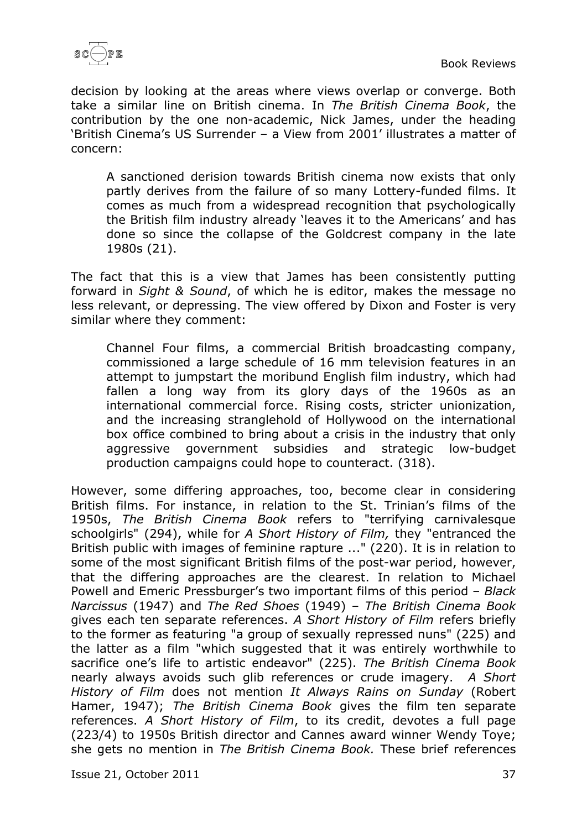

decision by looking at the areas where views overlap or converge. Both take a similar line on British cinema. In *The British Cinema Book*, the contribution by the one non-academic, Nick James, under the heading 'British Cinema's US Surrender – a View from 2001' illustrates a matter of concern:

A sanctioned derision towards British cinema now exists that only partly derives from the failure of so many Lottery-funded films. It comes as much from a widespread recognition that psychologically the British film industry already 'leaves it to the Americans' and has done so since the collapse of the Goldcrest company in the late 1980s (21).

The fact that this is a view that James has been consistently putting forward in *Sight & Sound*, of which he is editor, makes the message no less relevant, or depressing. The view offered by Dixon and Foster is very similar where they comment:

Channel Four films, a commercial British broadcasting company, commissioned a large schedule of 16 mm television features in an attempt to jumpstart the moribund English film industry, which had fallen a long way from its glory days of the 1960s as an international commercial force. Rising costs, stricter unionization, and the increasing stranglehold of Hollywood on the international box office combined to bring about a crisis in the industry that only aggressive government subsidies and strategic low-budget production campaigns could hope to counteract. (318).

However, some differing approaches, too, become clear in considering British films. For instance, in relation to the St. Trinian's films of the 1950s, *The British Cinema Book* refers to "terrifying carnivalesque schoolgirls" (294), while for *A Short History of Film,* they "entranced the British public with images of feminine rapture ..." (220). It is in relation to some of the most significant British films of the post-war period, however, that the differing approaches are the clearest. In relation to Michael Powell and Emeric Pressburger's two important films of this period – *Black Narcissus* (1947) and *The Red Shoes* (1949) – *The British Cinema Book* gives each ten separate references. *A Short History of Film* refers briefly to the former as featuring "a group of sexually repressed nuns" (225) and the latter as a film "which suggested that it was entirely worthwhile to sacrifice one's life to artistic endeavor" (225). *The British Cinema Book* nearly always avoids such glib references or crude imagery. *A Short History of Film* does not mention *It Always Rains on Sunday* (Robert Hamer, 1947); *The British Cinema Book* gives the film ten separate references. *A Short History of Film*, to its credit, devotes a full page (223/4) to 1950s British director and Cannes award winner Wendy Toye; she gets no mention in *The British Cinema Book.* These brief references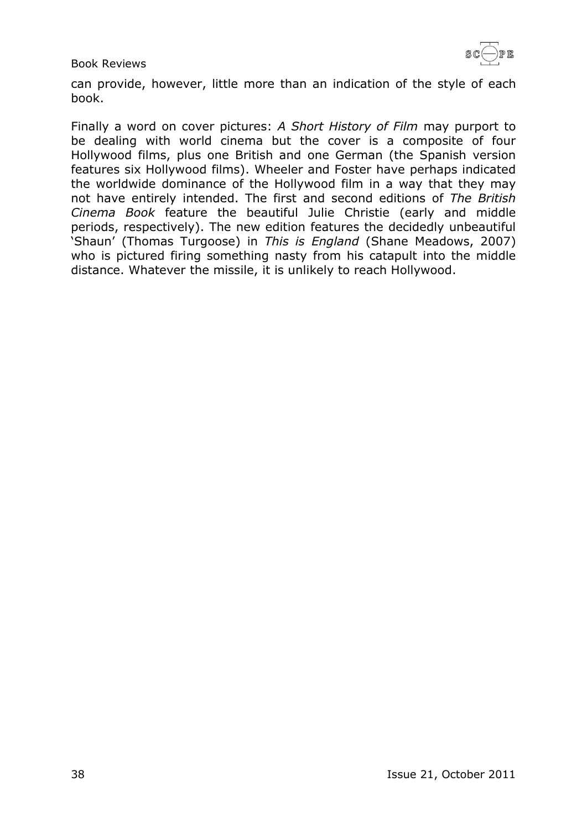

can provide, however, little more than an indication of the style of each book.

Finally a word on cover pictures: *A Short History of Film* may purport to be dealing with world cinema but the cover is a composite of four Hollywood films, plus one British and one German (the Spanish version features six Hollywood films). Wheeler and Foster have perhaps indicated the worldwide dominance of the Hollywood film in a way that they may not have entirely intended. The first and second editions of *The British Cinema Book* feature the beautiful Julie Christie (early and middle periods, respectively). The new edition features the decidedly unbeautiful 'Shaun' (Thomas Turgoose) in *This is England* (Shane Meadows, 2007) who is pictured firing something nasty from his catapult into the middle distance. Whatever the missile, it is unlikely to reach Hollywood.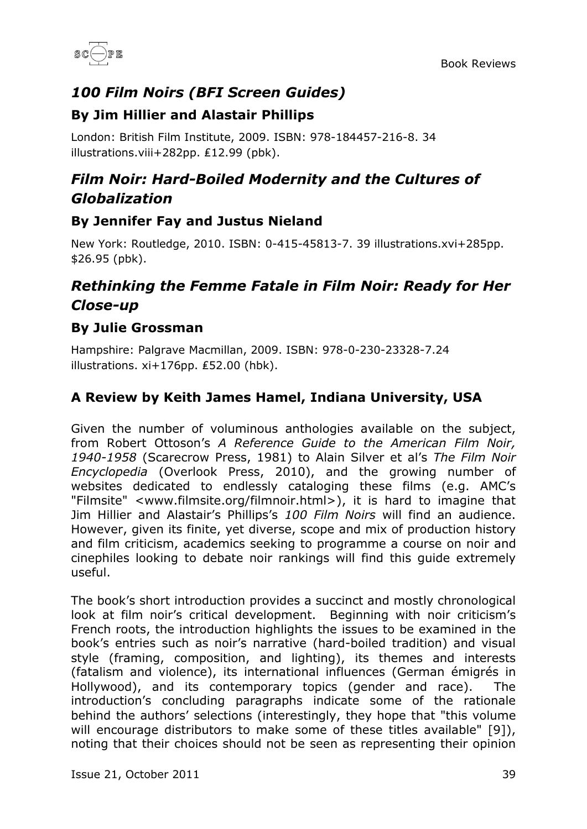

# <span id="page-38-0"></span>*100 Film Noirs (BFI Screen Guides)*

#### <span id="page-38-1"></span>**By Jim Hillier and Alastair Phillips**

London: British Film Institute, 2009. ISBN: 978-184457-216-8. 34 illustrations.viii+282pp. ₤12.99 (pbk).

# <span id="page-38-2"></span>*Film Noir: Hard-Boiled Modernity and the Cultures of Globalization*

#### <span id="page-38-3"></span>**By Jennifer Fay and Justus Nieland**

New York: Routledge, 2010. ISBN: 0-415-45813-7. 39 illustrations.xvi+285pp. \$26.95 (pbk).

# <span id="page-38-4"></span>*Rethinking the Femme Fatale in Film Noir: Ready for Her Close-up*

#### <span id="page-38-5"></span>**By Julie Grossman**

Hampshire: Palgrave Macmillan, 2009. ISBN: 978-0-230-23328-7.24 illustrations. xi+176pp. ₤52.00 (hbk).

# <span id="page-38-6"></span>**A Review by Keith James Hamel, Indiana University, USA**

Given the number of voluminous anthologies available on the subject, from Robert Ottoson's *A Reference Guide to the American Film Noir, 1940-1958* (Scarecrow Press, 1981) to Alain Silver et al's *The Film Noir Encyclopedia* (Overlook Press, 2010), and the growing number of websites dedicated to endlessly cataloging these films (e.g. AMC's "Filmsite" <www.filmsite.org/filmnoir.html>), it is hard to imagine that Jim Hillier and Alastair's Phillips's *100 Film Noirs* will find an audience. However, given its finite, yet diverse, scope and mix of production history and film criticism, academics seeking to programme a course on noir and cinephiles looking to debate noir rankings will find this guide extremely useful.

The book's short introduction provides a succinct and mostly chronological look at film noir's critical development. Beginning with noir criticism's French roots, the introduction highlights the issues to be examined in the book's entries such as noir's narrative (hard-boiled tradition) and visual style (framing, composition, and lighting), its themes and interests (fatalism and violence), its international influences (German émigrés in Hollywood), and its contemporary topics (gender and race). The introduction's concluding paragraphs indicate some of the rationale behind the authors' selections (interestingly, they hope that "this volume will encourage distributors to make some of these titles available" [9]), noting that their choices should not be seen as representing their opinion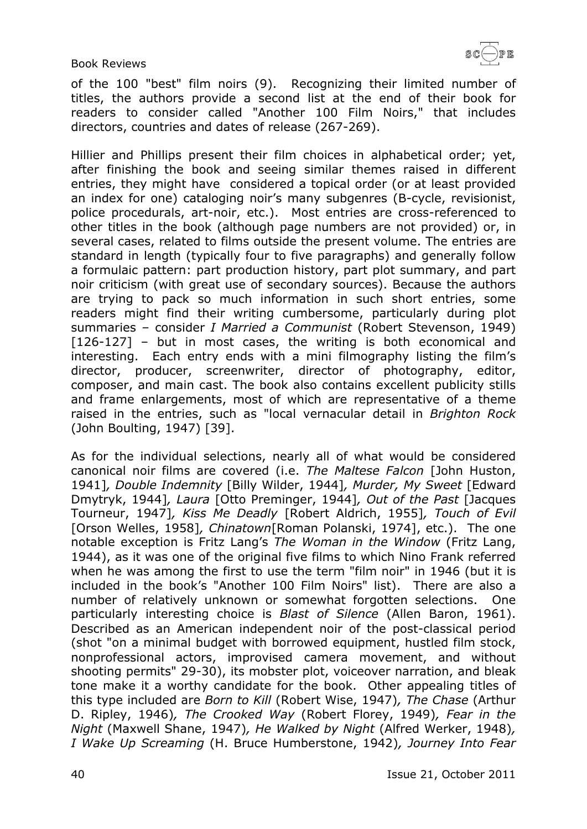$\left(\begin{array}{c}\longrightarrow\end{array}\right)$ p R

Book Reviews

of the 100 "best" film noirs (9). Recognizing their limited number of titles, the authors provide a second list at the end of their book for readers to consider called "Another 100 Film Noirs," that includes directors, countries and dates of release (267-269).

Hillier and Phillips present their film choices in alphabetical order; yet, after finishing the book and seeing similar themes raised in different entries, they might have considered a topical order (or at least provided an index for one) cataloging noir's many subgenres (B-cycle, revisionist, police procedurals, art-noir, etc.). Most entries are cross-referenced to other titles in the book (although page numbers are not provided) or, in several cases, related to films outside the present volume. The entries are standard in length (typically four to five paragraphs) and generally follow a formulaic pattern: part production history, part plot summary, and part noir criticism (with great use of secondary sources). Because the authors are trying to pack so much information in such short entries, some readers might find their writing cumbersome, particularly during plot summaries – consider *I Married a Communist* (Robert Stevenson, 1949) [126-127] – but in most cases, the writing is both economical and interesting. Each entry ends with a mini filmography listing the film's director, producer, screenwriter, director of photography, editor, composer, and main cast. The book also contains excellent publicity stills and frame enlargements, most of which are representative of a theme raised in the entries, such as "local vernacular detail in *Brighton Rock* (John Boulting, 1947) [39].

As for the individual selections, nearly all of what would be considered canonical noir films are covered (i.e. *The Maltese Falcon* [John Huston, 1941]*, Double Indemnity* [Billy Wilder, 1944]*, Murder, My Sweet* [Edward Dmytryk, 1944]*, Laura* [Otto Preminger, 1944]*, Out of the Past* [Jacques Tourneur, 1947]*, Kiss Me Deadly* [Robert Aldrich, 1955]*, Touch of Evil* [Orson Welles, 1958]*, Chinatown*[Roman Polanski, 1974], etc.). The one notable exception is Fritz Lang's *The Woman in the Window* (Fritz Lang, 1944), as it was one of the original five films to which Nino Frank referred when he was among the first to use the term "film noir" in 1946 (but it is included in the book's "Another 100 Film Noirs" list). There are also a number of relatively unknown or somewhat forgotten selections. One particularly interesting choice is *Blast of Silence* (Allen Baron, 1961). Described as an American independent noir of the post-classical period (shot "on a minimal budget with borrowed equipment, hustled film stock, nonprofessional actors, improvised camera movement, and without shooting permits" 29-30), its mobster plot, voiceover narration, and bleak tone make it a worthy candidate for the book. Other appealing titles of this type included are *Born to Kill* (Robert Wise, 1947)*, The Chase* (Arthur D. Ripley, 1946)*, The Crooked Way* (Robert Florey, 1949)*, Fear in the Night* (Maxwell Shane, 1947)*, He Walked by Night* (Alfred Werker, 1948)*, I Wake Up Screaming* (H. Bruce Humberstone, 1942)*, Journey Into Fear*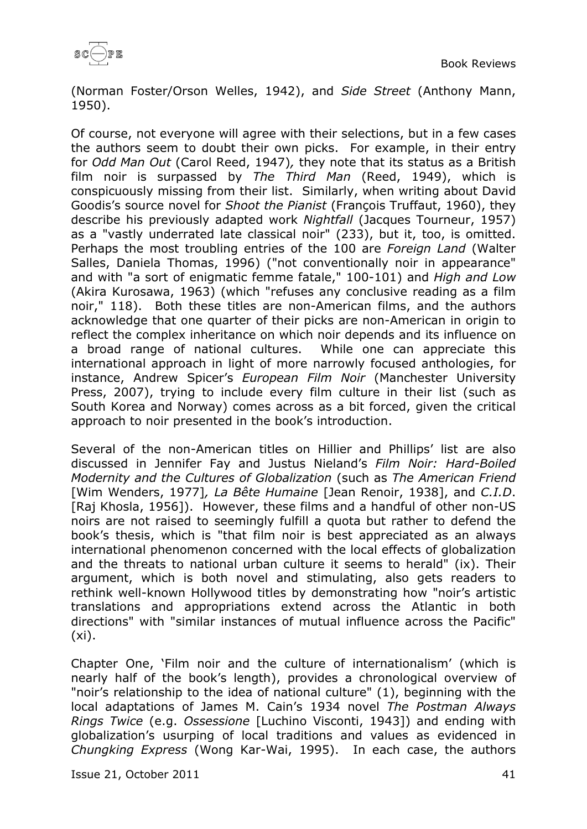(Norman Foster/Orson Welles, 1942), and *Side Street* (Anthony Mann, 1950).

Of course, not everyone will agree with their selections, but in a few cases the authors seem to doubt their own picks. For example, in their entry for *Odd Man Out* (Carol Reed, 1947)*,* they note that its status as a British film noir is surpassed by *The Third Man* (Reed, 1949), which is conspicuously missing from their list. Similarly, when writing about David Goodis's source novel for *Shoot the Pianist* (François Truffaut, 1960), they describe his previously adapted work *Nightfall* (Jacques Tourneur, 1957) as a "vastly underrated late classical noir" (233), but it, too, is omitted. Perhaps the most troubling entries of the 100 are *Foreign Land* (Walter Salles, Daniela Thomas, 1996) ("not conventionally noir in appearance" and with "a sort of enigmatic femme fatale," 100-101) and *High and Low* (Akira Kurosawa, 1963) (which "refuses any conclusive reading as a film noir," 118). Both these titles are non-American films, and the authors acknowledge that one quarter of their picks are non-American in origin to reflect the complex inheritance on which noir depends and its influence on a broad range of national cultures. While one can appreciate this international approach in light of more narrowly focused anthologies, for instance, Andrew Spicer's *European Film Noir* (Manchester University Press, 2007), trying to include every film culture in their list (such as South Korea and Norway) comes across as a bit forced, given the critical approach to noir presented in the book's introduction.

Several of the non-American titles on Hillier and Phillips' list are also discussed in Jennifer Fay and Justus Nieland's *Film Noir: Hard-Boiled Modernity and the Cultures of Globalization* (such as *The American Friend* [Wim Wenders, 1977]*, La Bête Humaine* [Jean Renoir, 1938], and *C.I.D*. [Raj Khosla, 1956]). However, these films and a handful of other non-US noirs are not raised to seemingly fulfill a quota but rather to defend the book's thesis, which is "that film noir is best appreciated as an always international phenomenon concerned with the local effects of globalization and the threats to national urban culture it seems to herald" (ix). Their argument, which is both novel and stimulating, also gets readers to rethink well-known Hollywood titles by demonstrating how "noir's artistic translations and appropriations extend across the Atlantic in both directions" with "similar instances of mutual influence across the Pacific" (xi).

Chapter One, 'Film noir and the culture of internationalism' (which is nearly half of the book's length), provides a chronological overview of "noir's relationship to the idea of national culture" (1), beginning with the local adaptations of James M. Cain's 1934 novel *The Postman Always Rings Twice* (e.g. *Ossessione* [Luchino Visconti, 1943]) and ending with globalization's usurping of local traditions and values as evidenced in *Chungking Express* (Wong Kar-Wai, 1995). In each case, the authors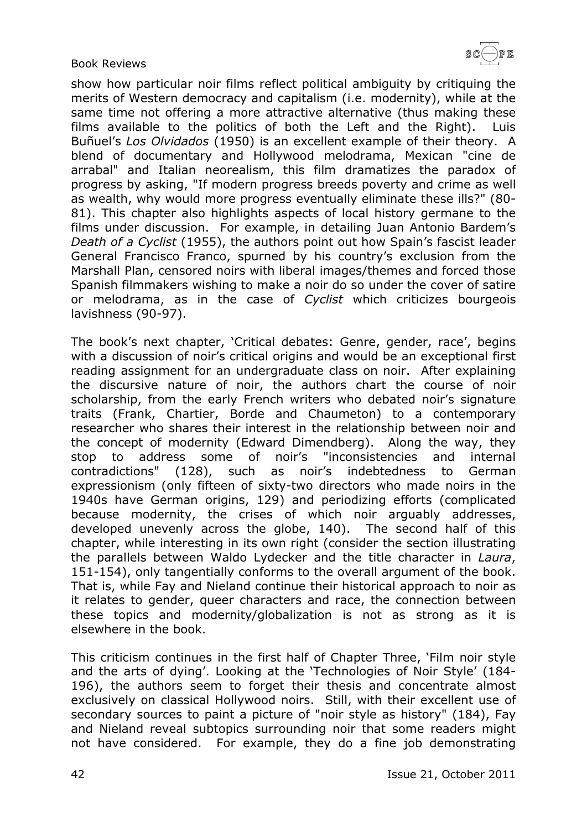

show how particular noir films reflect political ambiguity by critiquing the merits of Western democracy and capitalism (i.e. modernity), while at the same time not offering a more attractive alternative (thus making these films available to the politics of both the Left and the Right). Luis Buñuel's *Los Olvidados* (1950) is an excellent example of their theory. A blend of documentary and Hollywood melodrama, Mexican "cine de arrabal" and Italian neorealism, this film dramatizes the paradox of progress by asking, "If modern progress breeds poverty and crime as well as wealth, why would more progress eventually eliminate these ills?" (80- 81). This chapter also highlights aspects of local history germane to the films under discussion. For example, in detailing Juan Antonio Bardem's *Death of a Cyclist* (1955), the authors point out how Spain's fascist leader General Francisco Franco, spurned by his country's exclusion from the Marshall Plan, censored noirs with liberal images/themes and forced those Spanish filmmakers wishing to make a noir do so under the cover of satire or melodrama, as in the case of *Cyclist* which criticizes bourgeois lavishness (90-97).

The book's next chapter, 'Critical debates: Genre, gender, race', begins with a discussion of noir's critical origins and would be an exceptional first reading assignment for an undergraduate class on noir. After explaining the discursive nature of noir, the authors chart the course of noir scholarship, from the early French writers who debated noir's signature traits (Frank, Chartier, Borde and Chaumeton) to a contemporary researcher who shares their interest in the relationship between noir and the concept of modernity (Edward Dimendberg). Along the way, they stop to address some of noir's "inconsistencies and internal contradictions" (128), such as noir's indebtedness to German expressionism (only fifteen of sixty-two directors who made noirs in the 1940s have German origins, 129) and periodizing efforts (complicated because modernity, the crises of which noir arguably addresses, developed unevenly across the globe, 140). The second half of this chapter, while interesting in its own right (consider the section illustrating the parallels between Waldo Lydecker and the title character in *Laura*, 151-154), only tangentially conforms to the overall argument of the book. That is, while Fay and Nieland continue their historical approach to noir as it relates to gender, queer characters and race, the connection between these topics and modernity/globalization is not as strong as it is elsewhere in the book.

This criticism continues in the first half of Chapter Three, 'Film noir style and the arts of dying'. Looking at the 'Technologies of Noir Style' (184- 196), the authors seem to forget their thesis and concentrate almost exclusively on classical Hollywood noirs. Still, with their excellent use of secondary sources to paint a picture of "noir style as history" (184), Fay and Nieland reveal subtopics surrounding noir that some readers might not have considered. For example, they do a fine job demonstrating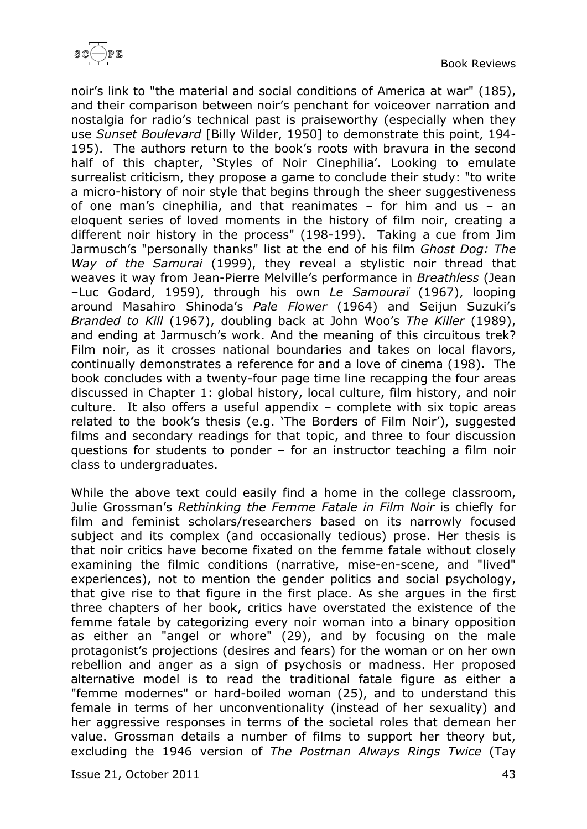

noir's link to "the material and social conditions of America at war" (185), and their comparison between noir's penchant for voiceover narration and nostalgia for radio's technical past is praiseworthy (especially when they use *Sunset Boulevard* [Billy Wilder, 1950] to demonstrate this point, 194- 195). The authors return to the book's roots with bravura in the second half of this chapter, 'Styles of Noir Cinephilia'. Looking to emulate surrealist criticism, they propose a game to conclude their study: "to write a micro-history of noir style that begins through the sheer suggestiveness of one man's cinephilia, and that reanimates – for him and us – an eloquent series of loved moments in the history of film noir, creating a different noir history in the process" (198-199). Taking a cue from Jim Jarmusch's "personally thanks" list at the end of his film *Ghost Dog: The Way of the Samurai* (1999), they reveal a stylistic noir thread that weaves it way from Jean-Pierre Melville's performance in *Breathless* (Jean –Luc Godard, 1959), through his own *Le Samouraï* (1967), looping around Masahiro Shinoda's *Pale Flower* (1964) and Seijun Suzuki's *Branded to Kill* (1967), doubling back at John Woo's *The Killer* (1989), and ending at Jarmusch's work. And the meaning of this circuitous trek? Film noir, as it crosses national boundaries and takes on local flavors, continually demonstrates a reference for and a love of cinema (198). The book concludes with a twenty-four page time line recapping the four areas discussed in Chapter 1: global history, local culture, film history, and noir culture. It also offers a useful appendix – complete with six topic areas related to the book's thesis (e.g. 'The Borders of Film Noir'), suggested films and secondary readings for that topic, and three to four discussion questions for students to ponder – for an instructor teaching a film noir class to undergraduates.

While the above text could easily find a home in the college classroom, Julie Grossman's *Rethinking the Femme Fatale in Film Noir* is chiefly for film and feminist scholars/researchers based on its narrowly focused subject and its complex (and occasionally tedious) prose. Her thesis is that noir critics have become fixated on the femme fatale without closely examining the filmic conditions (narrative, mise-en-scene, and "lived" experiences), not to mention the gender politics and social psychology, that give rise to that figure in the first place. As she argues in the first three chapters of her book, critics have overstated the existence of the femme fatale by categorizing every noir woman into a binary opposition as either an "angel or whore" (29), and by focusing on the male protagonist's projections (desires and fears) for the woman or on her own rebellion and anger as a sign of psychosis or madness. Her proposed alternative model is to read the traditional fatale figure as either a "femme modernes" or hard-boiled woman (25), and to understand this female in terms of her unconventionality (instead of her sexuality) and her aggressive responses in terms of the societal roles that demean her value. Grossman details a number of films to support her theory but, excluding the 1946 version of *The Postman Always Rings Twice* (Tay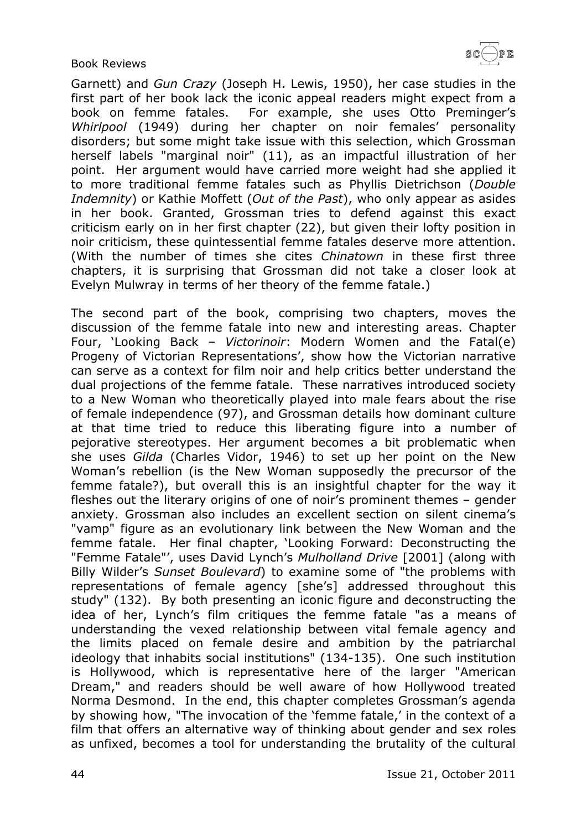$\texttt{SC}(\!\!\!-\!\!\,) \texttt{PE}$ 

Book Reviews

Garnett) and *Gun Crazy* (Joseph H. Lewis, 1950), her case studies in the first part of her book lack the iconic appeal readers might expect from a book on femme fatales. For example, she uses Otto Preminger's *Whirlpool* (1949) during her chapter on noir females' personality disorders; but some might take issue with this selection, which Grossman herself labels "marginal noir" (11), as an impactful illustration of her point. Her argument would have carried more weight had she applied it to more traditional femme fatales such as Phyllis Dietrichson (*Double Indemnity*) or Kathie Moffett (*Out of the Past*), who only appear as asides in her book. Granted, Grossman tries to defend against this exact criticism early on in her first chapter (22), but given their lofty position in noir criticism, these quintessential femme fatales deserve more attention. (With the number of times she cites *Chinatown* in these first three chapters, it is surprising that Grossman did not take a closer look at Evelyn Mulwray in terms of her theory of the femme fatale.)

The second part of the book, comprising two chapters, moves the discussion of the femme fatale into new and interesting areas. Chapter Four, 'Looking Back – *Victorinoir*: Modern Women and the Fatal(e) Progeny of Victorian Representations', show how the Victorian narrative can serve as a context for film noir and help critics better understand the dual projections of the femme fatale. These narratives introduced society to a New Woman who theoretically played into male fears about the rise of female independence (97), and Grossman details how dominant culture at that time tried to reduce this liberating figure into a number of pejorative stereotypes. Her argument becomes a bit problematic when she uses *Gilda* (Charles Vidor, 1946) to set up her point on the New Woman's rebellion (is the New Woman supposedly the precursor of the femme fatale?), but overall this is an insightful chapter for the way it fleshes out the literary origins of one of noir's prominent themes – gender anxiety. Grossman also includes an excellent section on silent cinema's "vamp" figure as an evolutionary link between the New Woman and the femme fatale. Her final chapter, 'Looking Forward: Deconstructing the "Femme Fatale"', uses David Lynch's *Mulholland Drive* [2001] (along with Billy Wilder's *Sunset Boulevard*) to examine some of "the problems with representations of female agency [she's] addressed throughout this study" (132). By both presenting an iconic figure and deconstructing the idea of her, Lynch's film critiques the femme fatale "as a means of understanding the vexed relationship between vital female agency and the limits placed on female desire and ambition by the patriarchal ideology that inhabits social institutions" (134-135). One such institution is Hollywood, which is representative here of the larger "American Dream," and readers should be well aware of how Hollywood treated Norma Desmond. In the end, this chapter completes Grossman's agenda by showing how, "The invocation of the 'femme fatale,' in the context of a film that offers an alternative way of thinking about gender and sex roles as unfixed, becomes a tool for understanding the brutality of the cultural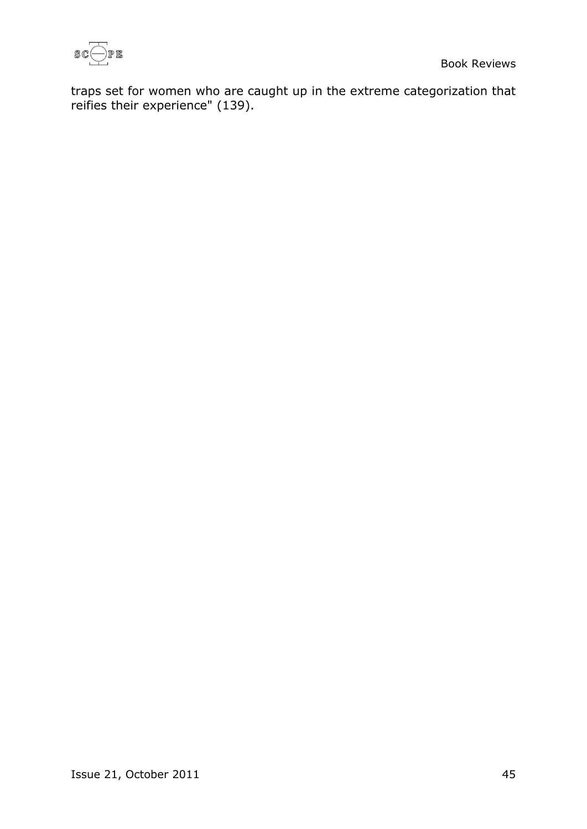

traps set for women who are caught up in the extreme categorization that reifies their experience" (139).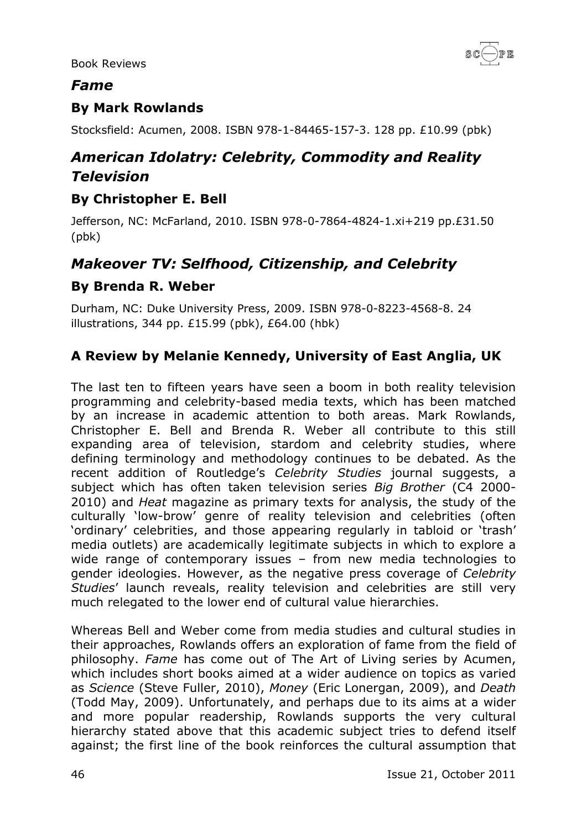

#### <span id="page-45-0"></span>*Fame*

### <span id="page-45-1"></span>**By Mark Rowlands**

Stocksfield: Acumen, 2008. ISBN 978-1-84465-157-3. 128 pp. £10.99 (pbk)

# <span id="page-45-2"></span>*American Idolatry: Celebrity, Commodity and Reality Television*

#### <span id="page-45-3"></span>**By Christopher E. Bell**

Jefferson, NC: McFarland, 2010. ISBN 978-0-7864-4824-1.xi+219 pp.£31.50 (pbk)

# <span id="page-45-4"></span>*Makeover TV: Selfhood, Citizenship, and Celebrity*

#### <span id="page-45-5"></span>**By Brenda R. Weber**

Durham, NC: Duke University Press, 2009. ISBN 978-0-8223-4568-8. 24 illustrations, 344 pp. £15.99 (pbk), £64.00 (hbk)

### <span id="page-45-6"></span>**A Review by Melanie Kennedy, University of East Anglia, UK**

The last ten to fifteen years have seen a boom in both reality television programming and celebrity-based media texts, which has been matched by an increase in academic attention to both areas. Mark Rowlands, Christopher E. Bell and Brenda R. Weber all contribute to this still expanding area of television, stardom and celebrity studies, where defining terminology and methodology continues to be debated. As the recent addition of Routledge's *Celebrity Studies* journal suggests, a subject which has often taken television series *Big Brother* (C4 2000- 2010) and *Heat* magazine as primary texts for analysis, the study of the culturally 'low-brow' genre of reality television and celebrities (often 'ordinary' celebrities, and those appearing regularly in tabloid or 'trash' media outlets) are academically legitimate subjects in which to explore a wide range of contemporary issues – from new media technologies to gender ideologies. However, as the negative press coverage of *Celebrity Studies*' launch reveals, reality television and celebrities are still very much relegated to the lower end of cultural value hierarchies.

Whereas Bell and Weber come from media studies and cultural studies in their approaches, Rowlands offers an exploration of fame from the field of philosophy. *Fame* has come out of The Art of Living series by Acumen, which includes short books aimed at a wider audience on topics as varied as *Science* (Steve Fuller, 2010), *Money* (Eric Lonergan, 2009), and *Death* (Todd May, 2009). Unfortunately, and perhaps due to its aims at a wider and more popular readership, Rowlands supports the very cultural hierarchy stated above that this academic subject tries to defend itself against; the first line of the book reinforces the cultural assumption that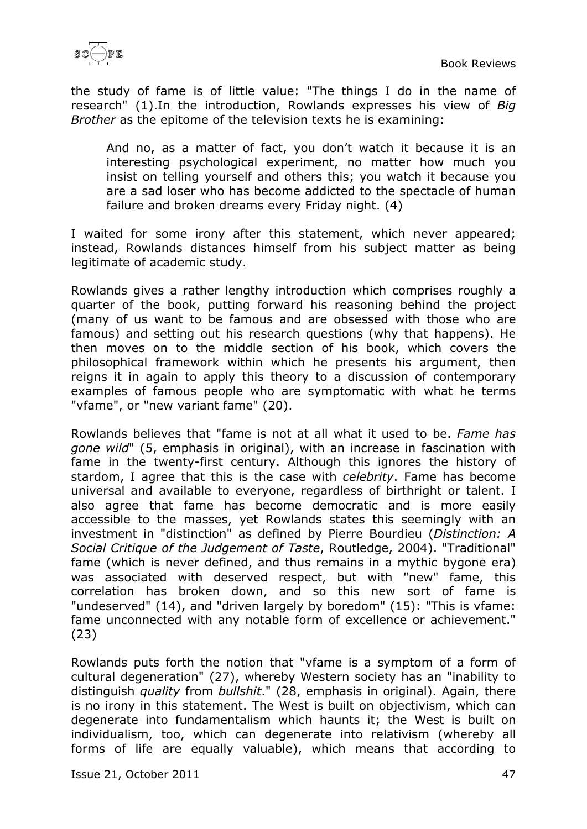

the study of fame is of little value: "The things I do in the name of research" (1).In the introduction, Rowlands expresses his view of *Big Brother* as the epitome of the television texts he is examining:

And no, as a matter of fact, you don't watch it because it is an interesting psychological experiment, no matter how much you insist on telling yourself and others this; you watch it because you are a sad loser who has become addicted to the spectacle of human failure and broken dreams every Friday night. (4)

I waited for some irony after this statement, which never appeared; instead, Rowlands distances himself from his subject matter as being legitimate of academic study.

Rowlands gives a rather lengthy introduction which comprises roughly a quarter of the book, putting forward his reasoning behind the project (many of us want to be famous and are obsessed with those who are famous) and setting out his research questions (why that happens). He then moves on to the middle section of his book, which covers the philosophical framework within which he presents his argument, then reigns it in again to apply this theory to a discussion of contemporary examples of famous people who are symptomatic with what he terms "vfame", or "new variant fame" (20).

Rowlands believes that "fame is not at all what it used to be. *Fame has gone wild*" (5, emphasis in original), with an increase in fascination with fame in the twenty-first century. Although this ignores the history of stardom, I agree that this is the case with *celebrity*. Fame has become universal and available to everyone, regardless of birthright or talent. I also agree that fame has become democratic and is more easily accessible to the masses, yet Rowlands states this seemingly with an investment in "distinction" as defined by Pierre Bourdieu (*Distinction: A Social Critique of the Judgement of Taste*, Routledge, 2004). "Traditional" fame (which is never defined, and thus remains in a mythic bygone era) was associated with deserved respect, but with "new" fame, this correlation has broken down, and so this new sort of fame is "undeserved" (14), and "driven largely by boredom" (15): "This is vfame: fame unconnected with any notable form of excellence or achievement." (23)

Rowlands puts forth the notion that "vfame is a symptom of a form of cultural degeneration" (27), whereby Western society has an "inability to distinguish *quality* from *bullshit*." (28, emphasis in original). Again, there is no irony in this statement. The West is built on objectivism, which can degenerate into fundamentalism which haunts it; the West is built on individualism, too, which can degenerate into relativism (whereby all forms of life are equally valuable), which means that according to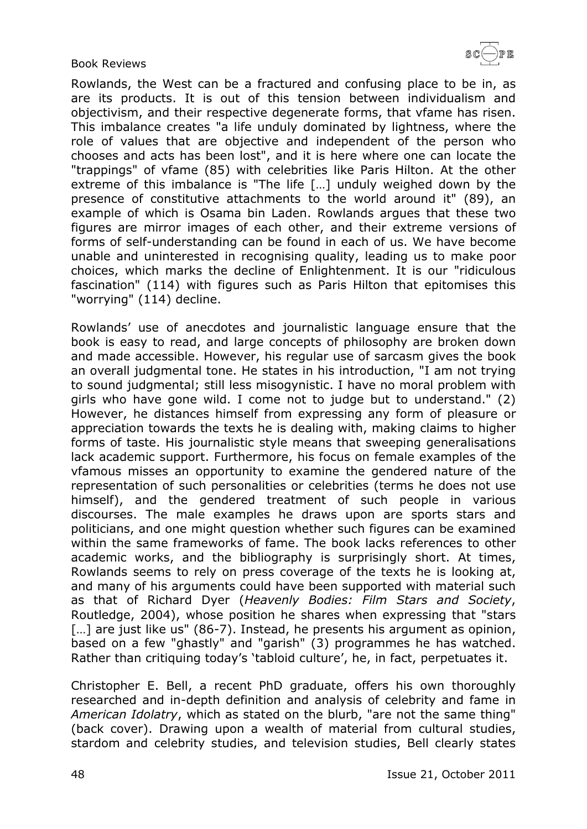$\texttt{SC}(\!\!\!-\!\!\,) \texttt{PE}$ 

#### Book Reviews

Rowlands, the West can be a fractured and confusing place to be in, as are its products. It is out of this tension between individualism and objectivism, and their respective degenerate forms, that vfame has risen. This imbalance creates "a life unduly dominated by lightness, where the role of values that are objective and independent of the person who chooses and acts has been lost", and it is here where one can locate the "trappings" of vfame (85) with celebrities like Paris Hilton. At the other extreme of this imbalance is "The life […] unduly weighed down by the presence of constitutive attachments to the world around it" (89), an example of which is Osama bin Laden. Rowlands argues that these two figures are mirror images of each other, and their extreme versions of forms of self-understanding can be found in each of us. We have become unable and uninterested in recognising quality, leading us to make poor choices, which marks the decline of Enlightenment. It is our "ridiculous fascination" (114) with figures such as Paris Hilton that epitomises this "worrying" (114) decline.

Rowlands' use of anecdotes and journalistic language ensure that the book is easy to read, and large concepts of philosophy are broken down and made accessible. However, his regular use of sarcasm gives the book an overall judgmental tone. He states in his introduction, "I am not trying to sound judgmental; still less misogynistic. I have no moral problem with girls who have gone wild. I come not to judge but to understand." (2) However, he distances himself from expressing any form of pleasure or appreciation towards the texts he is dealing with, making claims to higher forms of taste. His journalistic style means that sweeping generalisations lack academic support. Furthermore, his focus on female examples of the vfamous misses an opportunity to examine the gendered nature of the representation of such personalities or celebrities (terms he does not use himself), and the gendered treatment of such people in various discourses. The male examples he draws upon are sports stars and politicians, and one might question whether such figures can be examined within the same frameworks of fame. The book lacks references to other academic works, and the bibliography is surprisingly short. At times, Rowlands seems to rely on press coverage of the texts he is looking at, and many of his arguments could have been supported with material such as that of Richard Dyer (*Heavenly Bodies: Film Stars and Society*, Routledge, 2004), whose position he shares when expressing that "stars [...] are just like us" (86-7). Instead, he presents his argument as opinion, based on a few "ghastly" and "garish" (3) programmes he has watched. Rather than critiquing today's 'tabloid culture', he, in fact, perpetuates it.

Christopher E. Bell, a recent PhD graduate, offers his own thoroughly researched and in-depth definition and analysis of celebrity and fame in *American Idolatry*, which as stated on the blurb, "are not the same thing" (back cover). Drawing upon a wealth of material from cultural studies, stardom and celebrity studies, and television studies, Bell clearly states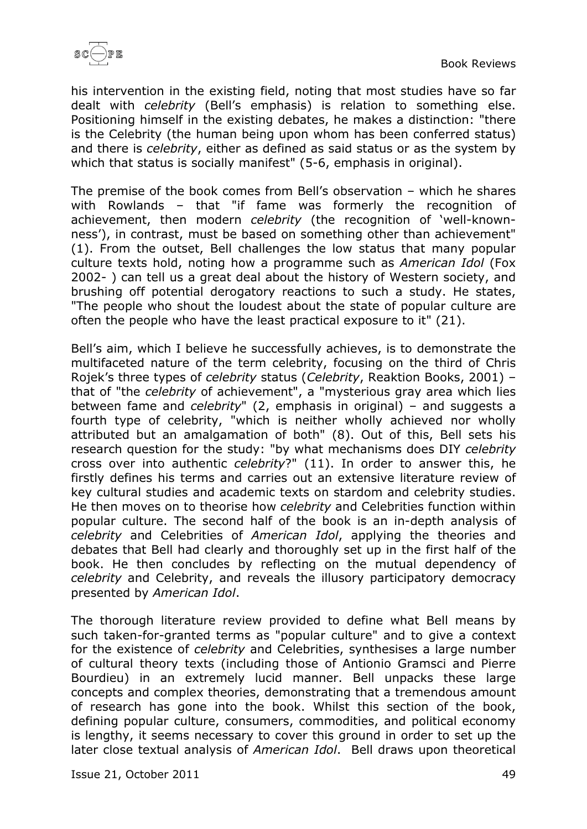

his intervention in the existing field, noting that most studies have so far dealt with *celebrity* (Bell's emphasis) is relation to something else. Positioning himself in the existing debates, he makes a distinction: "there is the Celebrity (the human being upon whom has been conferred status) and there is *celebrity*, either as defined as said status or as the system by which that status is socially manifest" (5-6, emphasis in original).

The premise of the book comes from Bell's observation – which he shares with Rowlands – that "if fame was formerly the recognition of achievement, then modern *celebrity* (the recognition of 'well-knownness'), in contrast, must be based on something other than achievement" (1). From the outset, Bell challenges the low status that many popular culture texts hold, noting how a programme such as *American Idol* (Fox 2002- ) can tell us a great deal about the history of Western society, and brushing off potential derogatory reactions to such a study. He states, "The people who shout the loudest about the state of popular culture are often the people who have the least practical exposure to it" (21).

Bell's aim, which I believe he successfully achieves, is to demonstrate the multifaceted nature of the term celebrity, focusing on the third of Chris Rojek's three types of *celebrity* status (*Celebrity*, Reaktion Books, 2001) – that of "the *celebrity* of achievement", a "mysterious gray area which lies between fame and *celebrity*" (2, emphasis in original) – and suggests a fourth type of celebrity, "which is neither wholly achieved nor wholly attributed but an amalgamation of both" (8). Out of this, Bell sets his research question for the study: "by what mechanisms does DIY *celebrity* cross over into authentic *celebrity*?" (11). In order to answer this, he firstly defines his terms and carries out an extensive literature review of key cultural studies and academic texts on stardom and celebrity studies. He then moves on to theorise how *celebrity* and Celebrities function within popular culture. The second half of the book is an in-depth analysis of *celebrity* and Celebrities of *American Idol*, applying the theories and debates that Bell had clearly and thoroughly set up in the first half of the book. He then concludes by reflecting on the mutual dependency of *celebrity* and Celebrity, and reveals the illusory participatory democracy presented by *American Idol*.

The thorough literature review provided to define what Bell means by such taken-for-granted terms as "popular culture" and to give a context for the existence of *celebrity* and Celebrities, synthesises a large number of cultural theory texts (including those of Antionio Gramsci and Pierre Bourdieu) in an extremely lucid manner. Bell unpacks these large concepts and complex theories, demonstrating that a tremendous amount of research has gone into the book. Whilst this section of the book, defining popular culture, consumers, commodities, and political economy is lengthy, it seems necessary to cover this ground in order to set up the later close textual analysis of *American Idol*. Bell draws upon theoretical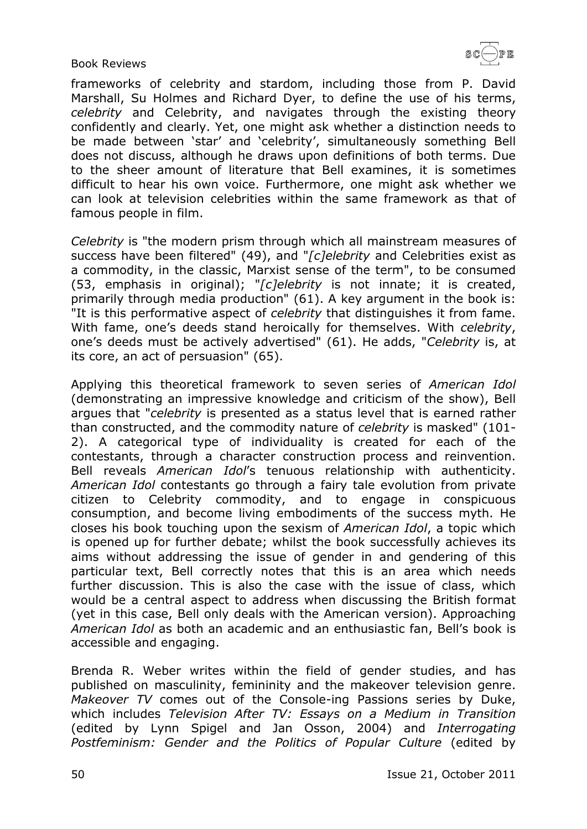

frameworks of celebrity and stardom, including those from P. David Marshall, Su Holmes and Richard Dyer, to define the use of his terms, *celebrity* and Celebrity, and navigates through the existing theory confidently and clearly. Yet, one might ask whether a distinction needs to be made between 'star' and 'celebrity', simultaneously something Bell does not discuss, although he draws upon definitions of both terms. Due to the sheer amount of literature that Bell examines, it is sometimes difficult to hear his own voice. Furthermore, one might ask whether we can look at television celebrities within the same framework as that of famous people in film.

*Celebrity* is "the modern prism through which all mainstream measures of success have been filtered" (49), and "*[c]elebrity* and Celebrities exist as a commodity, in the classic, Marxist sense of the term", to be consumed (53, emphasis in original); "*[c]elebrity* is not innate; it is created, primarily through media production" (61). A key argument in the book is: "It is this performative aspect of *celebrity* that distinguishes it from fame. With fame, one's deeds stand heroically for themselves. With *celebrity*, one's deeds must be actively advertised" (61). He adds, "*Celebrity* is, at its core, an act of persuasion" (65).

Applying this theoretical framework to seven series of *American Idol* (demonstrating an impressive knowledge and criticism of the show), Bell argues that "*celebrity* is presented as a status level that is earned rather than constructed, and the commodity nature of *celebrity* is masked" (101- 2). A categorical type of individuality is created for each of the contestants, through a character construction process and reinvention. Bell reveals *American Idol*'s tenuous relationship with authenticity. *American Idol* contestants go through a fairy tale evolution from private citizen to Celebrity commodity, and to engage in conspicuous consumption, and become living embodiments of the success myth. He closes his book touching upon the sexism of *American Idol*, a topic which is opened up for further debate; whilst the book successfully achieves its aims without addressing the issue of gender in and gendering of this particular text, Bell correctly notes that this is an area which needs further discussion. This is also the case with the issue of class, which would be a central aspect to address when discussing the British format (yet in this case, Bell only deals with the American version). Approaching *American Idol* as both an academic and an enthusiastic fan, Bell's book is accessible and engaging.

Brenda R. Weber writes within the field of gender studies, and has published on masculinity, femininity and the makeover television genre. *Makeover TV* comes out of the Console-ing Passions series by Duke, which includes *Television After TV: Essays on a Medium in Transition* (edited by Lynn Spigel and Jan Osson, 2004) and *Interrogating Postfeminism: Gender and the Politics of Popular Culture* (edited by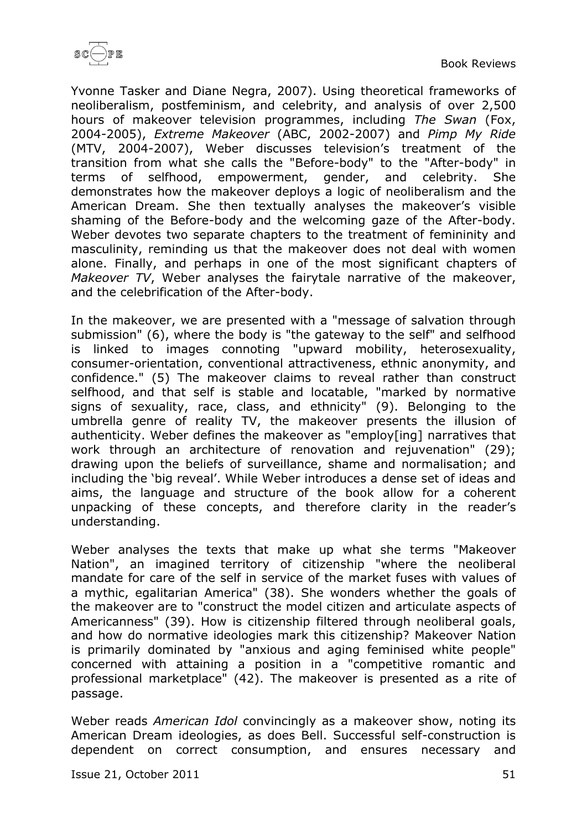

Yvonne Tasker and Diane Negra, 2007). Using theoretical frameworks of neoliberalism, postfeminism, and celebrity, and analysis of over 2,500 hours of makeover television programmes, including *The Swan* (Fox, 2004-2005), *Extreme Makeover* (ABC, 2002-2007) and *Pimp My Ride* (MTV, 2004-2007), Weber discusses television's treatment of the transition from what she calls the "Before-body" to the "After-body" in terms of selfhood, empowerment, gender, and celebrity. She demonstrates how the makeover deploys a logic of neoliberalism and the American Dream. She then textually analyses the makeover's visible shaming of the Before-body and the welcoming gaze of the After-body. Weber devotes two separate chapters to the treatment of femininity and masculinity, reminding us that the makeover does not deal with women alone. Finally, and perhaps in one of the most significant chapters of *Makeover TV*, Weber analyses the fairytale narrative of the makeover, and the celebrification of the After-body.

In the makeover, we are presented with a "message of salvation through submission" (6), where the body is "the gateway to the self" and selfhood is linked to images connoting "upward mobility, heterosexuality, consumer-orientation, conventional attractiveness, ethnic anonymity, and confidence." (5) The makeover claims to reveal rather than construct selfhood, and that self is stable and locatable, "marked by normative signs of sexuality, race, class, and ethnicity" (9). Belonging to the umbrella genre of reality TV, the makeover presents the illusion of authenticity. Weber defines the makeover as "employ[ing] narratives that work through an architecture of renovation and rejuvenation" (29); drawing upon the beliefs of surveillance, shame and normalisation; and including the 'big reveal'. While Weber introduces a dense set of ideas and aims, the language and structure of the book allow for a coherent unpacking of these concepts, and therefore clarity in the reader's understanding.

Weber analyses the texts that make up what she terms "Makeover Nation", an imagined territory of citizenship "where the neoliberal mandate for care of the self in service of the market fuses with values of a mythic, egalitarian America" (38). She wonders whether the goals of the makeover are to "construct the model citizen and articulate aspects of Americanness" (39). How is citizenship filtered through neoliberal goals, and how do normative ideologies mark this citizenship? Makeover Nation is primarily dominated by "anxious and aging feminised white people" concerned with attaining a position in a "competitive romantic and professional marketplace" (42). The makeover is presented as a rite of passage.

Weber reads *American Idol* convincingly as a makeover show, noting its American Dream ideologies, as does Bell. Successful self-construction is dependent on correct consumption, and ensures necessary and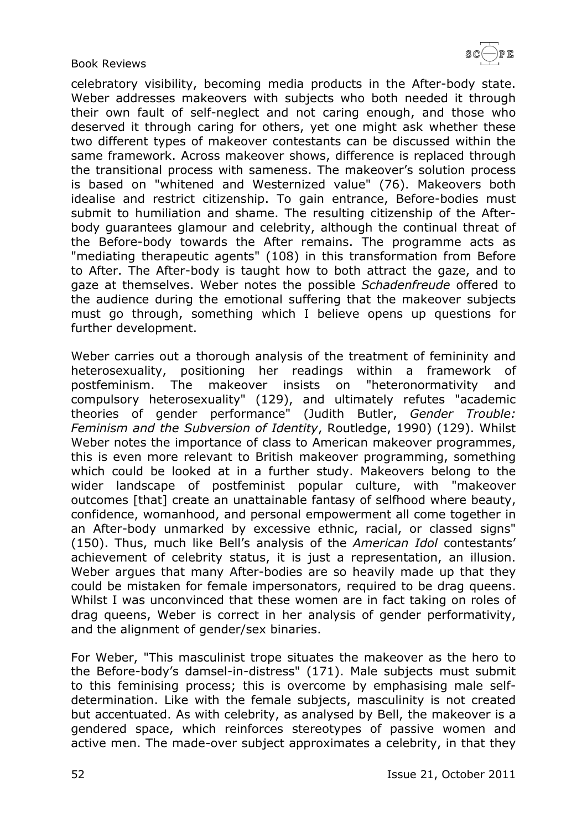

celebratory visibility, becoming media products in the After-body state. Weber addresses makeovers with subjects who both needed it through their own fault of self-neglect and not caring enough, and those who deserved it through caring for others, yet one might ask whether these two different types of makeover contestants can be discussed within the same framework. Across makeover shows, difference is replaced through the transitional process with sameness. The makeover's solution process is based on "whitened and Westernized value" (76). Makeovers both idealise and restrict citizenship. To gain entrance, Before-bodies must submit to humiliation and shame. The resulting citizenship of the Afterbody guarantees glamour and celebrity, although the continual threat of the Before-body towards the After remains. The programme acts as "mediating therapeutic agents" (108) in this transformation from Before to After. The After-body is taught how to both attract the gaze, and to gaze at themselves. Weber notes the possible *Schadenfreude* offered to the audience during the emotional suffering that the makeover subjects must go through, something which I believe opens up questions for further development.

Weber carries out a thorough analysis of the treatment of femininity and heterosexuality, positioning her readings within a framework of postfeminism. The makeover insists on "heteronormativity and compulsory heterosexuality" (129), and ultimately refutes "academic theories of gender performance" (Judith Butler, *Gender Trouble: Feminism and the Subversion of Identity*, Routledge, 1990) (129). Whilst Weber notes the importance of class to American makeover programmes, this is even more relevant to British makeover programming, something which could be looked at in a further study. Makeovers belong to the wider landscape of postfeminist popular culture, with "makeover outcomes [that] create an unattainable fantasy of selfhood where beauty, confidence, womanhood, and personal empowerment all come together in an After-body unmarked by excessive ethnic, racial, or classed signs" (150). Thus, much like Bell's analysis of the *American Idol* contestants' achievement of celebrity status, it is just a representation, an illusion. Weber argues that many After-bodies are so heavily made up that they could be mistaken for female impersonators, required to be drag queens. Whilst I was unconvinced that these women are in fact taking on roles of drag queens, Weber is correct in her analysis of gender performativity, and the alignment of gender/sex binaries.

For Weber, "This masculinist trope situates the makeover as the hero to the Before-body's damsel-in-distress" (171). Male subjects must submit to this feminising process; this is overcome by emphasising male selfdetermination. Like with the female subjects, masculinity is not created but accentuated. As with celebrity, as analysed by Bell, the makeover is a gendered space, which reinforces stereotypes of passive women and active men. The made-over subject approximates a celebrity, in that they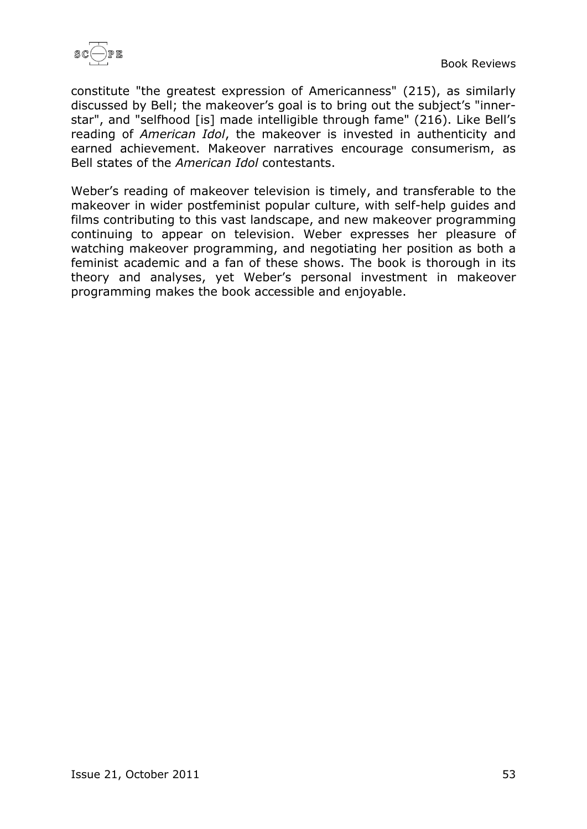

constitute "the greatest expression of Americanness" (215), as similarly discussed by Bell; the makeover's goal is to bring out the subject's "innerstar", and "selfhood [is] made intelligible through fame" (216). Like Bell's reading of *American Idol*, the makeover is invested in authenticity and earned achievement. Makeover narratives encourage consumerism, as Bell states of the *American Idol* contestants.

Weber's reading of makeover television is timely, and transferable to the makeover in wider postfeminist popular culture, with self-help guides and films contributing to this vast landscape, and new makeover programming continuing to appear on television. Weber expresses her pleasure of watching makeover programming, and negotiating her position as both a feminist academic and a fan of these shows. The book is thorough in its theory and analyses, yet Weber's personal investment in makeover programming makes the book accessible and enjoyable.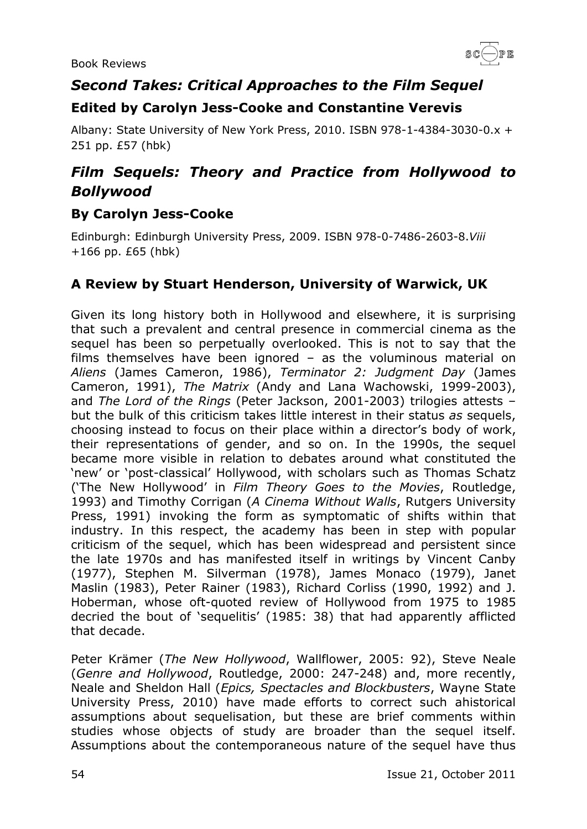

# <span id="page-53-0"></span>*Second Takes: Critical Approaches to the Film Sequel*

#### <span id="page-53-1"></span>**Edited by Carolyn Jess-Cooke and Constantine Verevis**

Albany: State University of New York Press, 2010. ISBN 978-1-4384-3030-0.x + 251 pp. £57 (hbk)

# <span id="page-53-2"></span>*Film Sequels: Theory and Practice from Hollywood to Bollywood*

#### <span id="page-53-3"></span>**By Carolyn Jess-Cooke**

Edinburgh: Edinburgh University Press, 2009. ISBN 978-0-7486-2603-8.*Viii* +166 pp. £65 (hbk)

#### <span id="page-53-4"></span>**A Review by Stuart Henderson, University of Warwick, UK**

Given its long history both in Hollywood and elsewhere, it is surprising that such a prevalent and central presence in commercial cinema as the sequel has been so perpetually overlooked. This is not to say that the films themselves have been ignored – as the voluminous material on *Aliens* (James Cameron, 1986), *Terminator 2: Judgment Day* (James Cameron, 1991), *The Matrix* (Andy and Lana Wachowski, 1999-2003), and *The Lord of the Rings* (Peter Jackson, 2001-2003) trilogies attests – but the bulk of this criticism takes little interest in their status *as* sequels, choosing instead to focus on their place within a director's body of work, their representations of gender, and so on. In the 1990s, the sequel became more visible in relation to debates around what constituted the 'new' or 'post-classical' Hollywood, with scholars such as Thomas Schatz ('The New Hollywood' in *Film Theory Goes to the Movies*, Routledge, 1993) and Timothy Corrigan (*A Cinema Without Walls*, Rutgers University Press, 1991) invoking the form as symptomatic of shifts within that industry. In this respect, the academy has been in step with popular criticism of the sequel, which has been widespread and persistent since the late 1970s and has manifested itself in writings by Vincent Canby (1977), Stephen M. Silverman (1978), James Monaco (1979), Janet Maslin (1983), Peter Rainer (1983), Richard Corliss (1990, 1992) and J. Hoberman, whose oft-quoted review of Hollywood from 1975 to 1985 decried the bout of 'sequelitis' (1985: 38) that had apparently afflicted that decade.

Peter Krämer (*The New Hollywood*, Wallflower, 2005: 92), Steve Neale (*Genre and Hollywood*, Routledge, 2000: 247-248) and, more recently, Neale and Sheldon Hall (*Epics, Spectacles and Blockbusters*, Wayne State University Press, 2010) have made efforts to correct such ahistorical assumptions about sequelisation, but these are brief comments within studies whose objects of study are broader than the sequel itself. Assumptions about the contemporaneous nature of the sequel have thus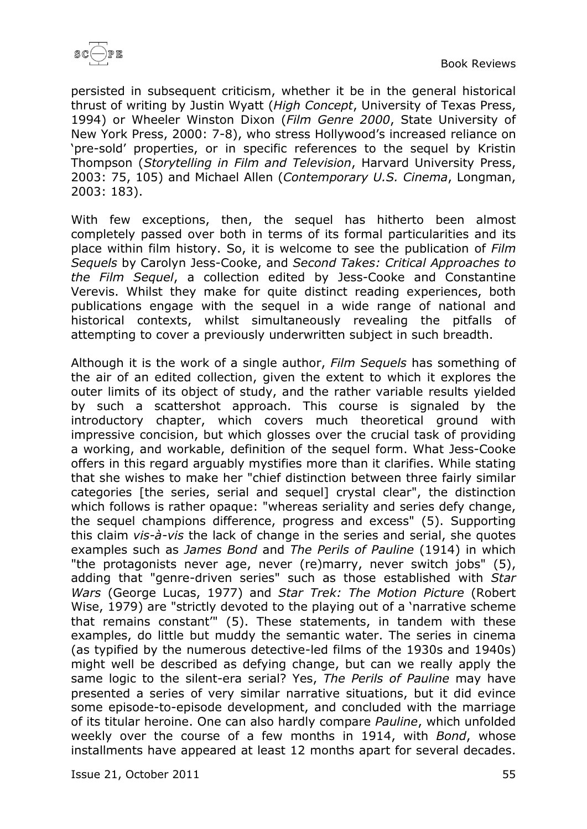

persisted in subsequent criticism, whether it be in the general historical thrust of writing by Justin Wyatt (*High Concept*, University of Texas Press, 1994) or Wheeler Winston Dixon (*Film Genre 2000*, State University of New York Press, 2000: 7-8), who stress Hollywood's increased reliance on 'pre-sold' properties, or in specific references to the sequel by Kristin Thompson (*Storytelling in Film and Television*, Harvard University Press, 2003: 75, 105) and Michael Allen (*Contemporary U.S. Cinema*, Longman, 2003: 183).

With few exceptions, then, the sequel has hitherto been almost completely passed over both in terms of its formal particularities and its place within film history. So, it is welcome to see the publication of *Film Sequels* by Carolyn Jess-Cooke, and *Second Takes: Critical Approaches to the Film Sequel*, a collection edited by Jess-Cooke and Constantine Verevis. Whilst they make for quite distinct reading experiences, both publications engage with the sequel in a wide range of national and historical contexts, whilst simultaneously revealing the pitfalls of attempting to cover a previously underwritten subject in such breadth.

Although it is the work of a single author, *Film Sequels* has something of the air of an edited collection, given the extent to which it explores the outer limits of its object of study, and the rather variable results yielded by such a scattershot approach. This course is signaled by the introductory chapter, which covers much theoretical ground with impressive concision, but which glosses over the crucial task of providing a working, and workable, definition of the sequel form. What Jess-Cooke offers in this regard arguably mystifies more than it clarifies. While stating that she wishes to make her "chief distinction between three fairly similar categories [the series, serial and sequel] crystal clear", the distinction which follows is rather opaque: "whereas seriality and series defy change, the sequel champions difference, progress and excess" (5). Supporting this claim *vis-à-vis* the lack of change in the series and serial, she quotes examples such as *James Bond* and *The Perils of Pauline* (1914) in which "the protagonists never age, never (re)marry, never switch jobs" (5), adding that "genre-driven series" such as those established with *Star Wars* (George Lucas, 1977) and *Star Trek: The Motion Picture* (Robert Wise, 1979) are "strictly devoted to the playing out of a 'narrative scheme that remains constant'" (5). These statements, in tandem with these examples, do little but muddy the semantic water. The series in cinema (as typified by the numerous detective-led films of the 1930s and 1940s) might well be described as defying change, but can we really apply the same logic to the silent-era serial? Yes, *The Perils of Pauline* may have presented a series of very similar narrative situations, but it did evince some episode-to-episode development, and concluded with the marriage of its titular heroine. One can also hardly compare *Pauline*, which unfolded weekly over the course of a few months in 1914, with *Bond*, whose installments have appeared at least 12 months apart for several decades.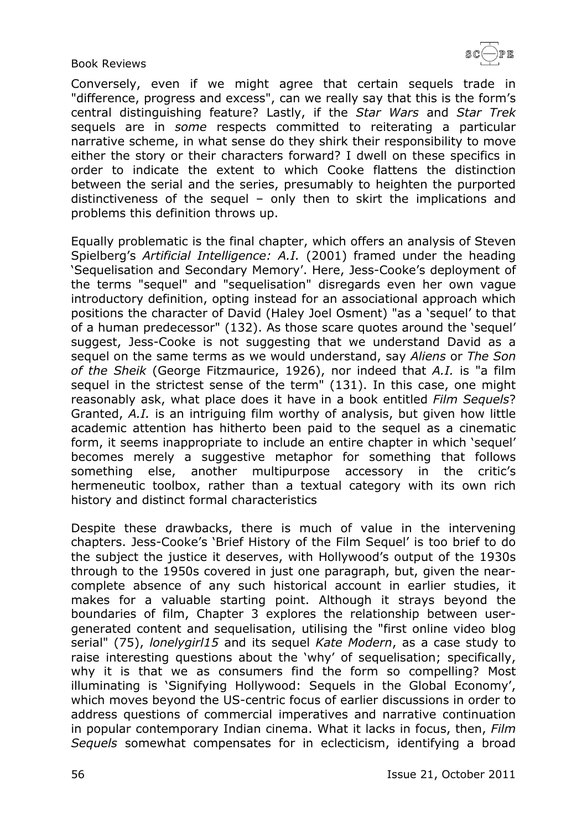

Conversely, even if we might agree that certain sequels trade in "difference, progress and excess", can we really say that this is the form's central distinguishing feature? Lastly, if the *Star Wars* and *Star Trek* sequels are in *some* respects committed to reiterating a particular narrative scheme, in what sense do they shirk their responsibility to move either the story or their characters forward? I dwell on these specifics in order to indicate the extent to which Cooke flattens the distinction between the serial and the series, presumably to heighten the purported distinctiveness of the sequel – only then to skirt the implications and problems this definition throws up.

Equally problematic is the final chapter, which offers an analysis of Steven Spielberg's *Artificial Intelligence: A.I.* (2001) framed under the heading 'Sequelisation and Secondary Memory'. Here, Jess-Cooke's deployment of the terms "sequel" and "sequelisation" disregards even her own vague introductory definition, opting instead for an associational approach which positions the character of David (Haley Joel Osment) "as a 'sequel' to that of a human predecessor" (132). As those scare quotes around the 'sequel' suggest, Jess-Cooke is not suggesting that we understand David as a sequel on the same terms as we would understand, say *Aliens* or *The Son of the Sheik* (George Fitzmaurice, 1926), nor indeed that *A.I.* is "a film sequel in the strictest sense of the term" (131). In this case, one might reasonably ask, what place does it have in a book entitled *Film Sequels*? Granted, *A.I.* is an intriguing film worthy of analysis, but given how little academic attention has hitherto been paid to the sequel as a cinematic form, it seems inappropriate to include an entire chapter in which 'sequel' becomes merely a suggestive metaphor for something that follows something else, another multipurpose accessory in the critic's hermeneutic toolbox, rather than a textual category with its own rich history and distinct formal characteristics

Despite these drawbacks, there is much of value in the intervening chapters. Jess-Cooke's 'Brief History of the Film Sequel' is too brief to do the subject the justice it deserves, with Hollywood's output of the 1930s through to the 1950s covered in just one paragraph, but, given the nearcomplete absence of any such historical account in earlier studies, it makes for a valuable starting point. Although it strays beyond the boundaries of film, Chapter 3 explores the relationship between usergenerated content and sequelisation, utilising the "first online video blog serial" (75), *lonelygirl15* and its sequel *Kate Modern*, as a case study to raise interesting questions about the 'why' of sequelisation; specifically, why it is that we as consumers find the form so compelling? Most illuminating is 'Signifying Hollywood: Sequels in the Global Economy', which moves beyond the US-centric focus of earlier discussions in order to address questions of commercial imperatives and narrative continuation in popular contemporary Indian cinema. What it lacks in focus, then, *Film Sequels* somewhat compensates for in eclecticism, identifying a broad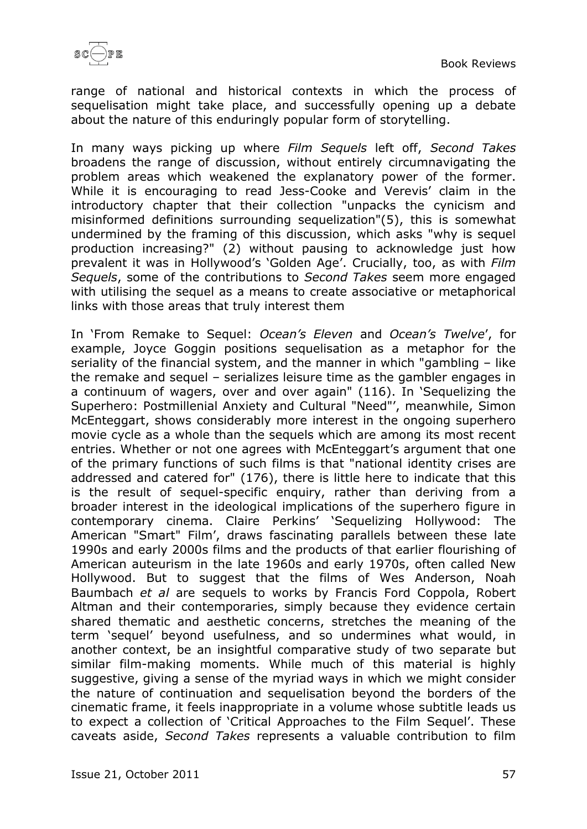

range of national and historical contexts in which the process of sequelisation might take place, and successfully opening up a debate about the nature of this enduringly popular form of storytelling.

In many ways picking up where *Film Sequels* left off, *Second Takes* broadens the range of discussion, without entirely circumnavigating the problem areas which weakened the explanatory power of the former. While it is encouraging to read Jess-Cooke and Verevis' claim in the introductory chapter that their collection "unpacks the cynicism and misinformed definitions surrounding sequelization"(5), this is somewhat undermined by the framing of this discussion, which asks "why is sequel production increasing?" (2) without pausing to acknowledge just how prevalent it was in Hollywood's 'Golden Age'. Crucially, too, as with *Film Sequels*, some of the contributions to *Second Takes* seem more engaged with utilising the sequel as a means to create associative or metaphorical links with those areas that truly interest them

In 'From Remake to Sequel: *Ocean's Eleven* and *Ocean's Twelve*', for example, Joyce Goggin positions sequelisation as a metaphor for the seriality of the financial system, and the manner in which "gambling – like the remake and sequel – serializes leisure time as the gambler engages in a continuum of wagers, over and over again" (116). In 'Sequelizing the Superhero: Postmillenial Anxiety and Cultural "Need"', meanwhile, Simon McEnteggart, shows considerably more interest in the ongoing superhero movie cycle as a whole than the sequels which are among its most recent entries. Whether or not one agrees with McEnteggart's argument that one of the primary functions of such films is that "national identity crises are addressed and catered for" (176), there is little here to indicate that this is the result of sequel-specific enquiry, rather than deriving from a broader interest in the ideological implications of the superhero figure in contemporary cinema. Claire Perkins' 'Sequelizing Hollywood: The American "Smart" Film', draws fascinating parallels between these late 1990s and early 2000s films and the products of that earlier flourishing of American auteurism in the late 1960s and early 1970s, often called New Hollywood. But to suggest that the films of Wes Anderson, Noah Baumbach *et al* are sequels to works by Francis Ford Coppola, Robert Altman and their contemporaries, simply because they evidence certain shared thematic and aesthetic concerns, stretches the meaning of the term 'sequel' beyond usefulness, and so undermines what would, in another context, be an insightful comparative study of two separate but similar film-making moments. While much of this material is highly suggestive, giving a sense of the myriad ways in which we might consider the nature of continuation and sequelisation beyond the borders of the cinematic frame, it feels inappropriate in a volume whose subtitle leads us to expect a collection of 'Critical Approaches to the Film Sequel'. These caveats aside, *Second Takes* represents a valuable contribution to film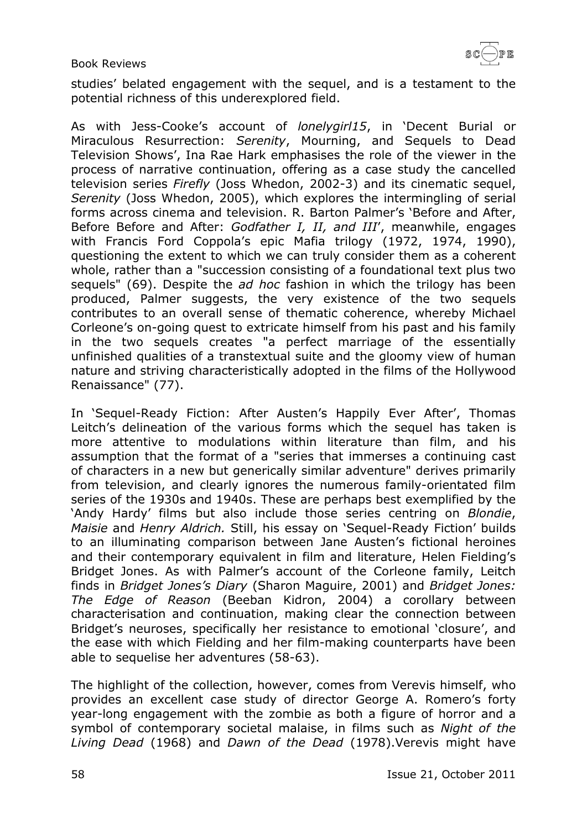

studies' belated engagement with the sequel, and is a testament to the potential richness of this underexplored field.

As with Jess-Cooke's account of *lonelygirl15*, in 'Decent Burial or Miraculous Resurrection: *Serenity*, Mourning, and Sequels to Dead Television Shows', Ina Rae Hark emphasises the role of the viewer in the process of narrative continuation, offering as a case study the cancelled television series *Firefly* (Joss Whedon, 2002-3) and its cinematic sequel, *Serenity* (Joss Whedon, 2005), which explores the intermingling of serial forms across cinema and television. R. Barton Palmer's 'Before and After, Before Before and After: *Godfather I, II, and III*', meanwhile, engages with Francis Ford Coppola's epic Mafia trilogy (1972, 1974, 1990), questioning the extent to which we can truly consider them as a coherent whole, rather than a "succession consisting of a foundational text plus two sequels" (69). Despite the *ad hoc* fashion in which the trilogy has been produced, Palmer suggests, the very existence of the two sequels contributes to an overall sense of thematic coherence, whereby Michael Corleone's on-going quest to extricate himself from his past and his family in the two sequels creates "a perfect marriage of the essentially unfinished qualities of a transtextual suite and the gloomy view of human nature and striving characteristically adopted in the films of the Hollywood Renaissance" (77).

In 'Sequel-Ready Fiction: After Austen's Happily Ever After', Thomas Leitch's delineation of the various forms which the sequel has taken is more attentive to modulations within literature than film, and his assumption that the format of a "series that immerses a continuing cast of characters in a new but generically similar adventure" derives primarily from television, and clearly ignores the numerous family-orientated film series of the 1930s and 1940s. These are perhaps best exemplified by the 'Andy Hardy' films but also include those series centring on *Blondie*, *Maisie* and *Henry Aldrich.* Still, his essay on 'Sequel-Ready Fiction' builds to an illuminating comparison between Jane Austen's fictional heroines and their contemporary equivalent in film and literature, Helen Fielding's Bridget Jones. As with Palmer's account of the Corleone family, Leitch finds in *Bridget Jones's Diary* (Sharon Maguire, 2001) and *Bridget Jones: The Edge of Reason* (Beeban Kidron, 2004) a corollary between characterisation and continuation, making clear the connection between Bridget's neuroses, specifically her resistance to emotional 'closure', and the ease with which Fielding and her film-making counterparts have been able to sequelise her adventures (58-63).

The highlight of the collection, however, comes from Verevis himself, who provides an excellent case study of director George A. Romero's forty year-long engagement with the zombie as both a figure of horror and a symbol of contemporary societal malaise, in films such as *Night of the Living Dead* (1968) and *Dawn of the Dead* (1978).Verevis might have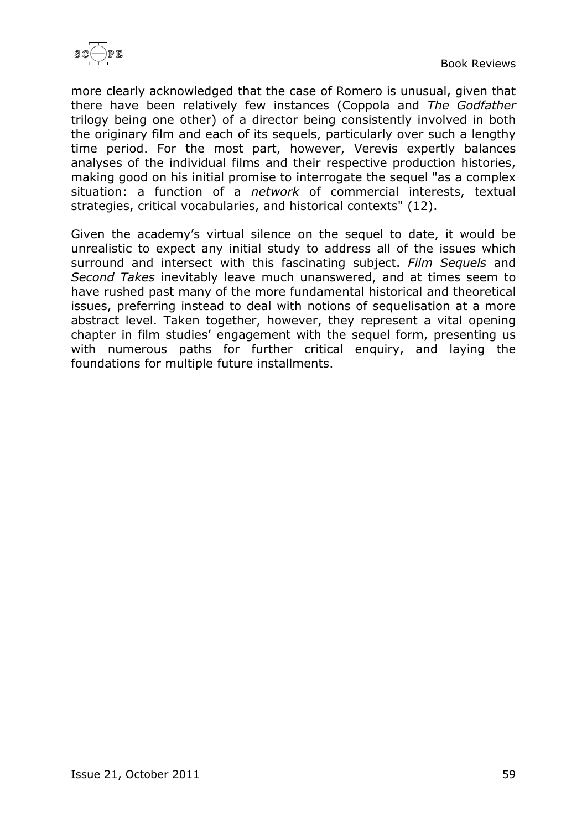

more clearly acknowledged that the case of Romero is unusual, given that there have been relatively few instances (Coppola and *The Godfather* trilogy being one other) of a director being consistently involved in both the originary film and each of its sequels, particularly over such a lengthy time period. For the most part, however, Verevis expertly balances analyses of the individual films and their respective production histories, making good on his initial promise to interrogate the sequel "as a complex situation: a function of a *network* of commercial interests, textual strategies, critical vocabularies, and historical contexts" (12).

Given the academy's virtual silence on the sequel to date, it would be unrealistic to expect any initial study to address all of the issues which surround and intersect with this fascinating subject. *Film Sequels* and *Second Takes* inevitably leave much unanswered, and at times seem to have rushed past many of the more fundamental historical and theoretical issues, preferring instead to deal with notions of sequelisation at a more abstract level. Taken together, however, they represent a vital opening chapter in film studies' engagement with the sequel form, presenting us with numerous paths for further critical enquiry, and laying the foundations for multiple future installments.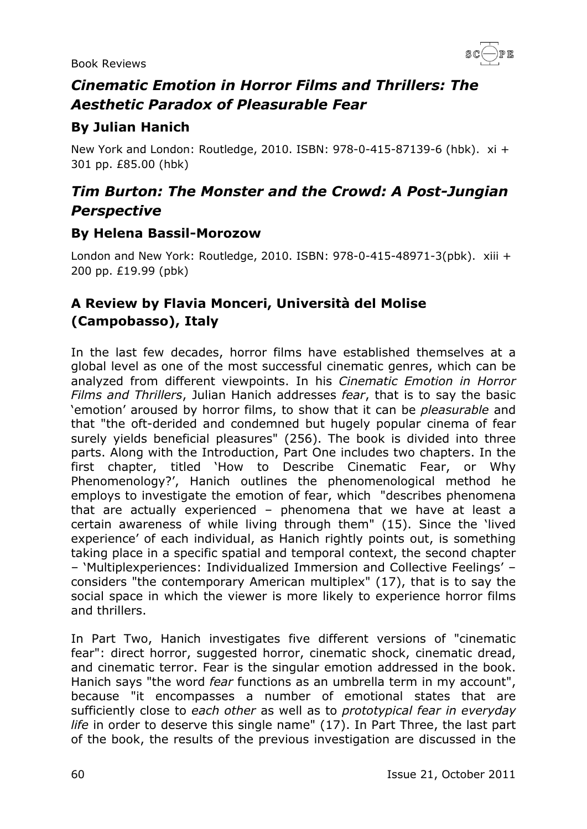

# <span id="page-59-0"></span>*Cinematic Emotion in Horror Films and Thrillers: The Aesthetic Paradox of Pleasurable Fear*

### <span id="page-59-1"></span>**By Julian Hanich**

New York and London: Routledge, 2010. ISBN: 978-0-415-87139-6 (hbk). xi + 301 pp. £85.00 (hbk)

# <span id="page-59-2"></span>*Tim Burton: The Monster and the Crowd: A Post-Jungian Perspective*

#### <span id="page-59-3"></span>**By Helena Bassil-Morozow**

London and New York: Routledge, 2010. ISBN: 978-0-415-48971-3(pbk). xiii + 200 pp. £19.99 (pbk)

# <span id="page-59-4"></span>**A Review by Flavia Monceri, Università del Molise (Campobasso), Italy**

In the last few decades, horror films have established themselves at a global level as one of the most successful cinematic genres, which can be analyzed from different viewpoints. In his *Cinematic Emotion in Horror Films and Thrillers*, Julian Hanich addresses *fear*, that is to say the basic 'emotion' aroused by horror films, to show that it can be *pleasurable* and that "the oft-derided and condemned but hugely popular cinema of fear surely yields beneficial pleasures" (256). The book is divided into three parts. Along with the Introduction, Part One includes two chapters. In the first chapter, titled 'How to Describe Cinematic Fear, or Why Phenomenology?', Hanich outlines the phenomenological method he employs to investigate the emotion of fear, which "describes phenomena that are actually experienced – phenomena that we have at least a certain awareness of while living through them" (15). Since the 'lived experience' of each individual, as Hanich rightly points out, is something taking place in a specific spatial and temporal context, the second chapter – 'Multiplexperiences: Individualized Immersion and Collective Feelings' – considers "the contemporary American multiplex" (17), that is to say the social space in which the viewer is more likely to experience horror films and thrillers.

In Part Two, Hanich investigates five different versions of "cinematic fear": direct horror, suggested horror, cinematic shock, cinematic dread, and cinematic terror. Fear is the singular emotion addressed in the book. Hanich says "the word *fear* functions as an umbrella term in my account", because "it encompasses a number of emotional states that are sufficiently close to *each other* as well as to *prototypical fear in everyday life* in order to deserve this single name" (17). In Part Three, the last part of the book, the results of the previous investigation are discussed in the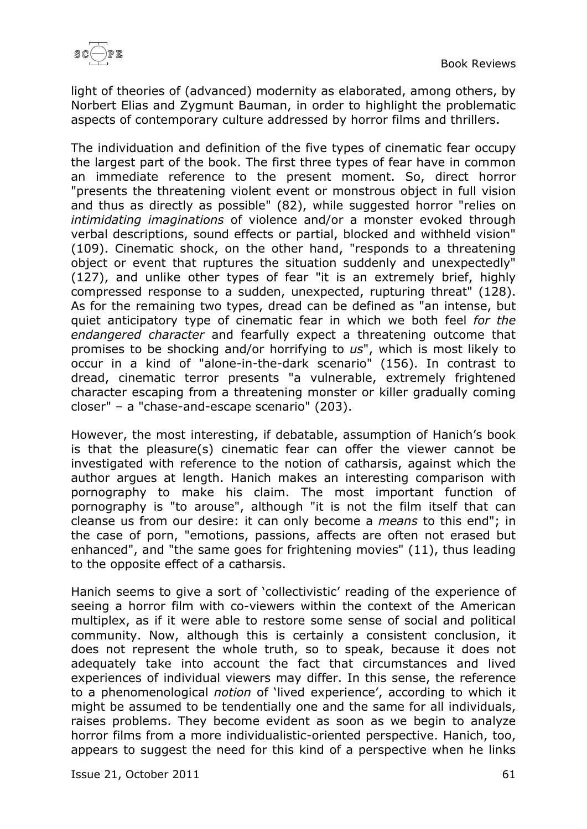light of theories of (advanced) modernity as elaborated, among others, by Norbert Elias and Zygmunt Bauman, in order to highlight the problematic aspects of contemporary culture addressed by horror films and thrillers.

The individuation and definition of the five types of cinematic fear occupy the largest part of the book. The first three types of fear have in common an immediate reference to the present moment. So, direct horror "presents the threatening violent event or monstrous object in full vision and thus as directly as possible" (82), while suggested horror "relies on *intimidating imaginations* of violence and/or a monster evoked through verbal descriptions, sound effects or partial, blocked and withheld vision" (109). Cinematic shock, on the other hand, "responds to a threatening object or event that ruptures the situation suddenly and unexpectedly" (127), and unlike other types of fear "it is an extremely brief, highly compressed response to a sudden, unexpected, rupturing threat" (128). As for the remaining two types, dread can be defined as "an intense, but quiet anticipatory type of cinematic fear in which we both feel *for the endangered character* and fearfully expect a threatening outcome that promises to be shocking and/or horrifying to *us*", which is most likely to occur in a kind of "alone-in-the-dark scenario" (156). In contrast to dread, cinematic terror presents "a vulnerable, extremely frightened character escaping from a threatening monster or killer gradually coming closer" – a "chase-and-escape scenario" (203).

However, the most interesting, if debatable, assumption of Hanich's book is that the pleasure(s) cinematic fear can offer the viewer cannot be investigated with reference to the notion of catharsis, against which the author argues at length. Hanich makes an interesting comparison with pornography to make his claim. The most important function of pornography is "to arouse", although "it is not the film itself that can cleanse us from our desire: it can only become a *means* to this end"; in the case of porn, "emotions, passions, affects are often not erased but enhanced", and "the same goes for frightening movies" (11), thus leading to the opposite effect of a catharsis.

Hanich seems to give a sort of 'collectivistic' reading of the experience of seeing a horror film with co-viewers within the context of the American multiplex, as if it were able to restore some sense of social and political community. Now, although this is certainly a consistent conclusion, it does not represent the whole truth, so to speak, because it does not adequately take into account the fact that circumstances and lived experiences of individual viewers may differ. In this sense, the reference to a phenomenological *notion* of 'lived experience', according to which it might be assumed to be tendentially one and the same for all individuals, raises problems. They become evident as soon as we begin to analyze horror films from a more individualistic-oriented perspective. Hanich, too, appears to suggest the need for this kind of a perspective when he links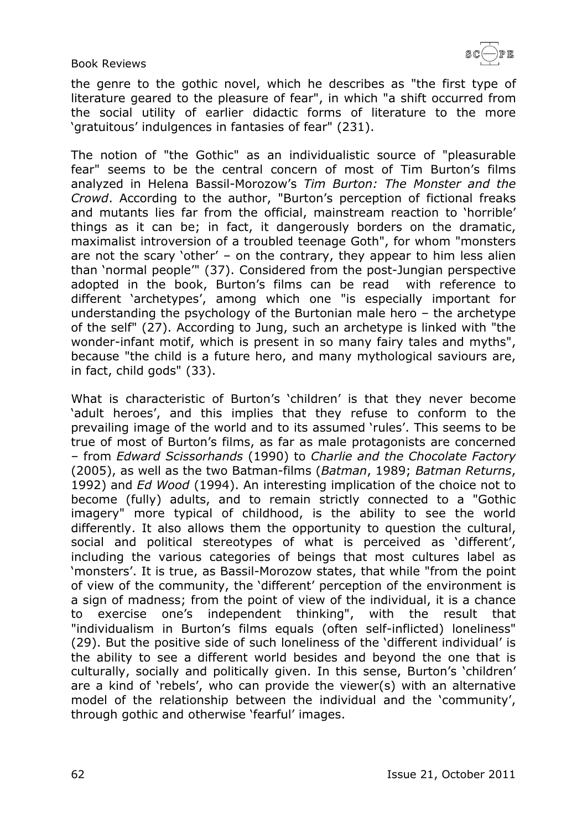the genre to the gothic novel, which he describes as "the first type of literature geared to the pleasure of fear", in which "a shift occurred from the social utility of earlier didactic forms of literature to the more 'gratuitous' indulgences in fantasies of fear" (231).

The notion of "the Gothic" as an individualistic source of "pleasurable fear" seems to be the central concern of most of Tim Burton's films analyzed in Helena Bassil-Morozow's *Tim Burton: The Monster and the Crowd*. According to the author, "Burton's perception of fictional freaks and mutants lies far from the official, mainstream reaction to 'horrible' things as it can be; in fact, it dangerously borders on the dramatic, maximalist introversion of a troubled teenage Goth", for whom "monsters are not the scary 'other' – on the contrary, they appear to him less alien than 'normal people'" (37). Considered from the post-Jungian perspective adopted in the book, Burton's films can be read with reference to different 'archetypes', among which one "is especially important for understanding the psychology of the Burtonian male hero – the archetype of the self" (27). According to Jung, such an archetype is linked with "the wonder-infant motif, which is present in so many fairy tales and myths", because "the child is a future hero, and many mythological saviours are, in fact, child gods" (33).

What is characteristic of Burton's 'children' is that they never become 'adult heroes', and this implies that they refuse to conform to the prevailing image of the world and to its assumed 'rules'. This seems to be true of most of Burton's films, as far as male protagonists are concerned – from *Edward Scissorhands* (1990) to *Charlie and the Chocolate Factory* (2005), as well as the two Batman-films (*Batman*, 1989; *Batman Returns*, 1992) and *Ed Wood* (1994). An interesting implication of the choice not to become (fully) adults, and to remain strictly connected to a "Gothic imagery" more typical of childhood, is the ability to see the world differently. It also allows them the opportunity to question the cultural, social and political stereotypes of what is perceived as 'different', including the various categories of beings that most cultures label as 'monsters'. It is true, as Bassil-Morozow states, that while "from the point of view of the community, the 'different' perception of the environment is a sign of madness; from the point of view of the individual, it is a chance to exercise one's independent thinking", with the result that "individualism in Burton's films equals (often self-inflicted) loneliness" (29). But the positive side of such loneliness of the 'different individual' is the ability to see a different world besides and beyond the one that is culturally, socially and politically given. In this sense, Burton's 'children' are a kind of 'rebels', who can provide the viewer(s) with an alternative model of the relationship between the individual and the 'community', through gothic and otherwise 'fearful' images.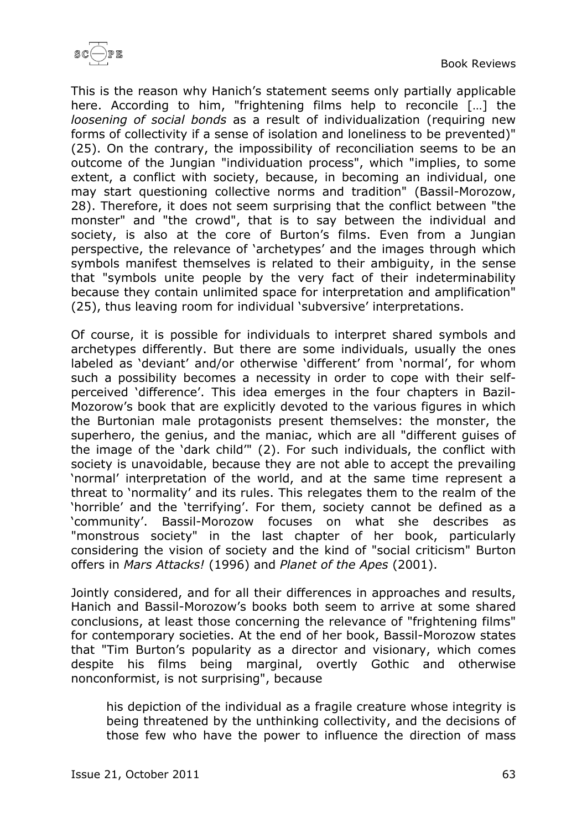

This is the reason why Hanich's statement seems only partially applicable here. According to him, "frightening films help to reconcile […] the *loosening of social bonds* as a result of individualization (requiring new forms of collectivity if a sense of isolation and loneliness to be prevented)" (25). On the contrary, the impossibility of reconciliation seems to be an outcome of the Jungian "individuation process", which "implies, to some extent, a conflict with society, because, in becoming an individual, one may start questioning collective norms and tradition" (Bassil-Morozow, 28). Therefore, it does not seem surprising that the conflict between "the monster" and "the crowd", that is to say between the individual and society, is also at the core of Burton's films. Even from a Jungian perspective, the relevance of 'archetypes' and the images through which symbols manifest themselves is related to their ambiguity, in the sense that "symbols unite people by the very fact of their indeterminability because they contain unlimited space for interpretation and amplification" (25), thus leaving room for individual 'subversive' interpretations.

Of course, it is possible for individuals to interpret shared symbols and archetypes differently. But there are some individuals, usually the ones labeled as 'deviant' and/or otherwise 'different' from 'normal', for whom such a possibility becomes a necessity in order to cope with their selfperceived 'difference'. This idea emerges in the four chapters in Bazil-Mozorow's book that are explicitly devoted to the various figures in which the Burtonian male protagonists present themselves: the monster, the superhero, the genius, and the maniac, which are all "different guises of the image of the 'dark child'" (2). For such individuals, the conflict with society is unavoidable, because they are not able to accept the prevailing 'normal' interpretation of the world, and at the same time represent a threat to 'normality' and its rules. This relegates them to the realm of the 'horrible' and the 'terrifying'. For them, society cannot be defined as a 'community'. Bassil-Morozow focuses on what she describes as "monstrous society" in the last chapter of her book, particularly considering the vision of society and the kind of "social criticism" Burton offers in *Mars Attacks!* (1996) and *Planet of the Apes* (2001).

Jointly considered, and for all their differences in approaches and results, Hanich and Bassil-Morozow's books both seem to arrive at some shared conclusions, at least those concerning the relevance of "frightening films" for contemporary societies. At the end of her book, Bassil-Morozow states that "Tim Burton's popularity as a director and visionary, which comes despite his films being marginal, overtly Gothic and otherwise nonconformist, is not surprising", because

his depiction of the individual as a fragile creature whose integrity is being threatened by the unthinking collectivity, and the decisions of those few who have the power to influence the direction of mass